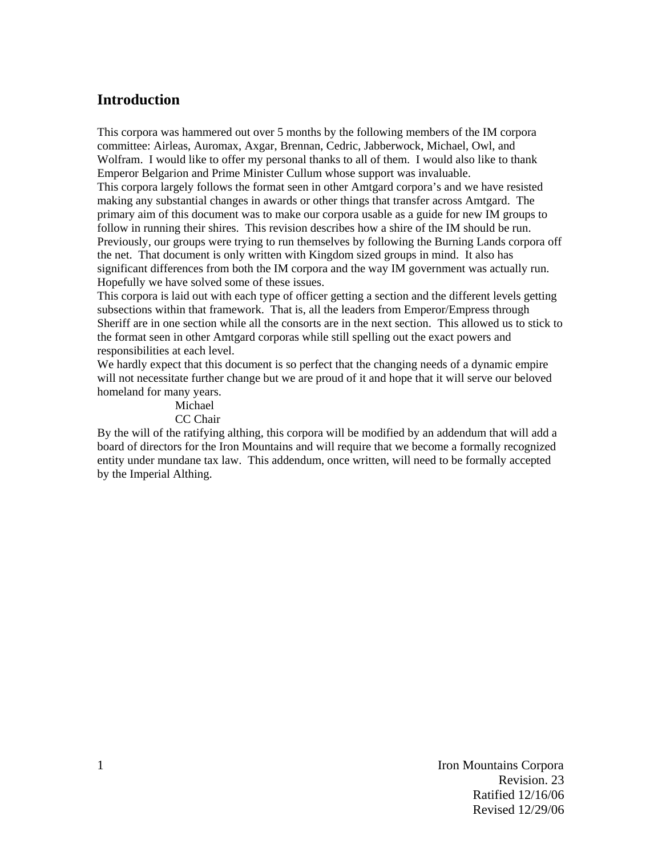# **Introduction**

This corpora was hammered out over 5 months by the following members of the IM corpora committee: Airleas, Auromax, Axgar, Brennan, Cedric, Jabberwock, Michael, Owl, and Wolfram. I would like to offer my personal thanks to all of them. I would also like to thank Emperor Belgarion and Prime Minister Cullum whose support was invaluable. This corpora largely follows the format seen in other Amtgard corpora's and we have resisted making any substantial changes in awards or other things that transfer across Amtgard. The primary aim of this document was to make our corpora usable as a guide for new IM groups to follow in running their shires. This revision describes how a shire of the IM should be run. Previously, our groups were trying to run themselves by following the Burning Lands corpora off the net. That document is only written with Kingdom sized groups in mind. It also has significant differences from both the IM corpora and the way IM government was actually run. Hopefully we have solved some of these issues.

This corpora is laid out with each type of officer getting a section and the different levels getting subsections within that framework. That is, all the leaders from Emperor/Empress through Sheriff are in one section while all the consorts are in the next section. This allowed us to stick to the format seen in other Amtgard corporas while still spelling out the exact powers and responsibilities at each level.

We hardly expect that this document is so perfect that the changing needs of a dynamic empire will not necessitate further change but we are proud of it and hope that it will serve our beloved homeland for many years.

#### Michael CC Chair

By the will of the ratifying althing, this corpora will be modified by an addendum that will add a board of directors for the Iron Mountains and will require that we become a formally recognized entity under mundane tax law. This addendum, once written, will need to be formally accepted by the Imperial Althing.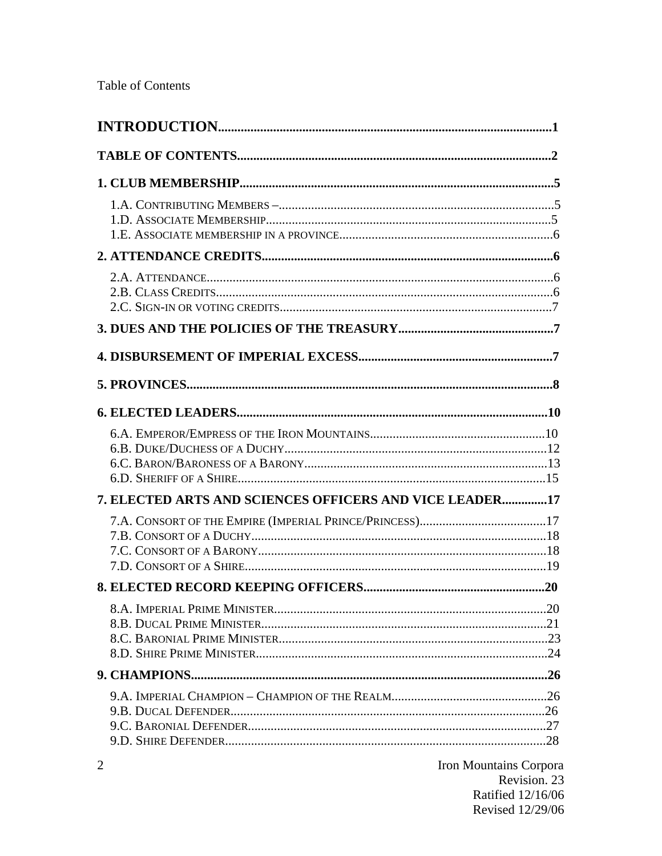| 7. ELECTED ARTS AND SCIENCES OFFICERS AND VICE LEADER17 |                               |
|---------------------------------------------------------|-------------------------------|
|                                                         |                               |
|                                                         |                               |
|                                                         |                               |
|                                                         |                               |
|                                                         |                               |
| $\overline{2}$                                          | <b>Iron Mountains Corpora</b> |

Revision. 23 Ratified 12/16/06 Revised 12/29/06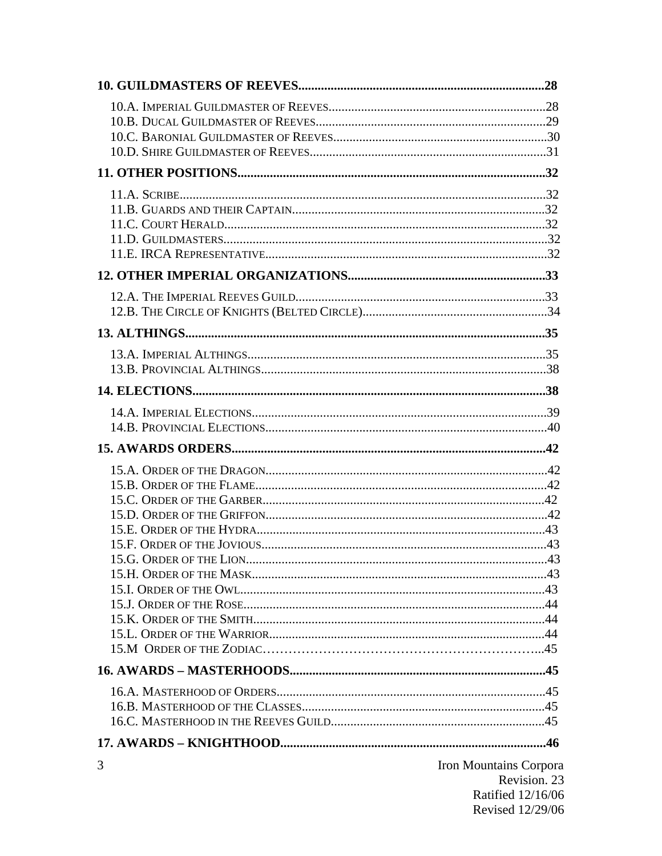| 3 | Iron Mountains Corpora |
|---|------------------------|
|   | Revision. 23           |
|   | Ratified 12/16/06      |
|   | Revised 12/29/06       |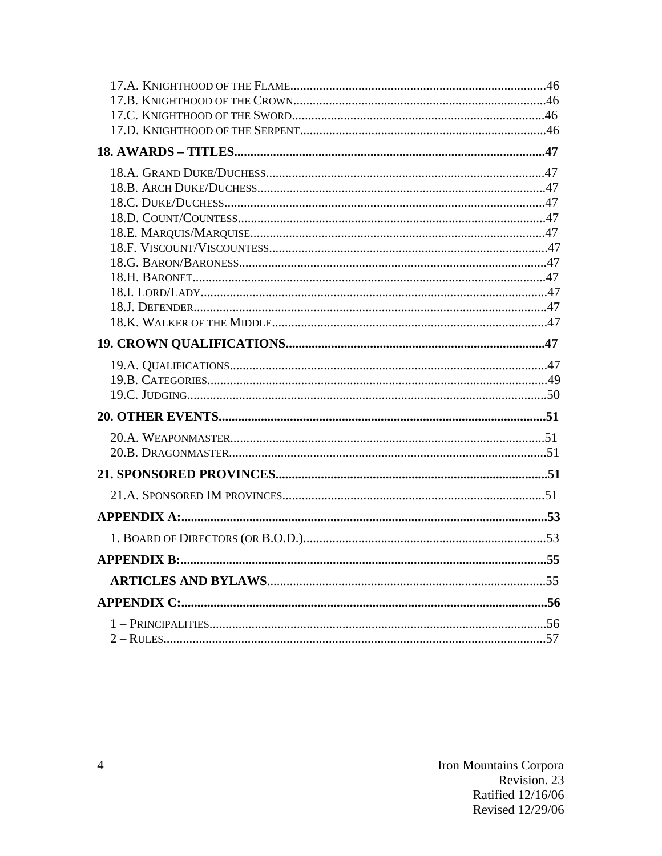| <b>APPENDIX B:.</b> | 55 |
|---------------------|----|
|                     |    |
|                     |    |
|                     |    |
|                     |    |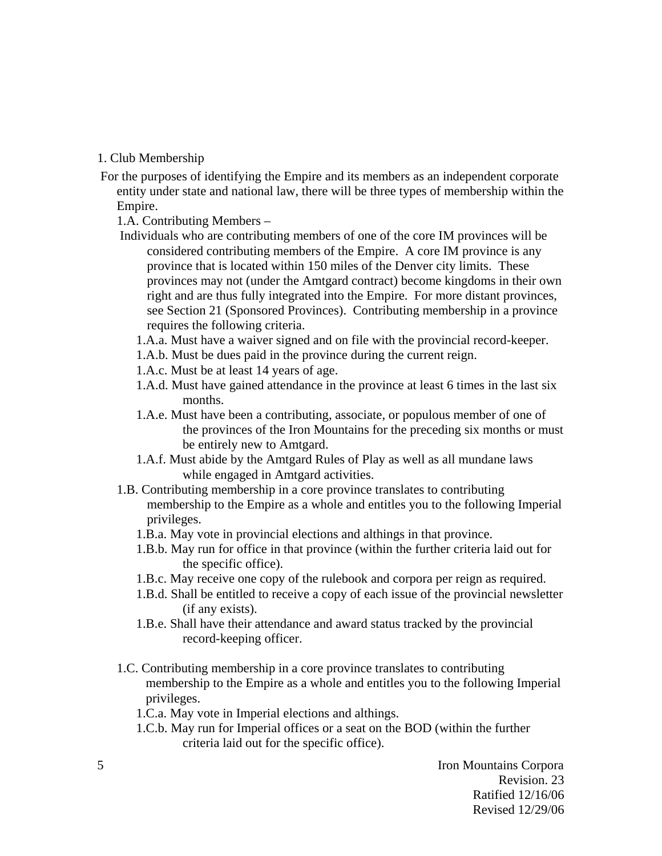### 1. Club Membership

 For the purposes of identifying the Empire and its members as an independent corporate entity under state and national law, there will be three types of membership within the Empire.

1.A. Contributing Members –

- Individuals who are contributing members of one of the core IM provinces will be considered contributing members of the Empire. A core IM province is any province that is located within 150 miles of the Denver city limits. These provinces may not (under the Amtgard contract) become kingdoms in their own right and are thus fully integrated into the Empire. For more distant provinces, see Section 21 (Sponsored Provinces). Contributing membership in a province requires the following criteria.
	- 1.A.a. Must have a waiver signed and on file with the provincial record-keeper.
	- 1.A.b. Must be dues paid in the province during the current reign.
	- 1.A.c. Must be at least 14 years of age.
	- 1.A.d. Must have gained attendance in the province at least 6 times in the last six months.
	- 1.A.e. Must have been a contributing, associate, or populous member of one of the provinces of the Iron Mountains for the preceding six months or must be entirely new to Amtgard.
	- 1.A.f. Must abide by the Amtgard Rules of Play as well as all mundane laws while engaged in Amtgard activities.
- 1.B. Contributing membership in a core province translates to contributing membership to the Empire as a whole and entitles you to the following Imperial privileges.
	- 1.B.a. May vote in provincial elections and althings in that province.
	- 1.B.b. May run for office in that province (within the further criteria laid out for the specific office).
	- 1.B.c. May receive one copy of the rulebook and corpora per reign as required.
	- 1.B.d. Shall be entitled to receive a copy of each issue of the provincial newsletter (if any exists).
	- 1.B.e. Shall have their attendance and award status tracked by the provincial record-keeping officer.
- 1.C. Contributing membership in a core province translates to contributing membership to the Empire as a whole and entitles you to the following Imperial privileges.
	- 1.C.a. May vote in Imperial elections and althings.
	- 1.C.b. May run for Imperial offices or a seat on the BOD (within the further criteria laid out for the specific office).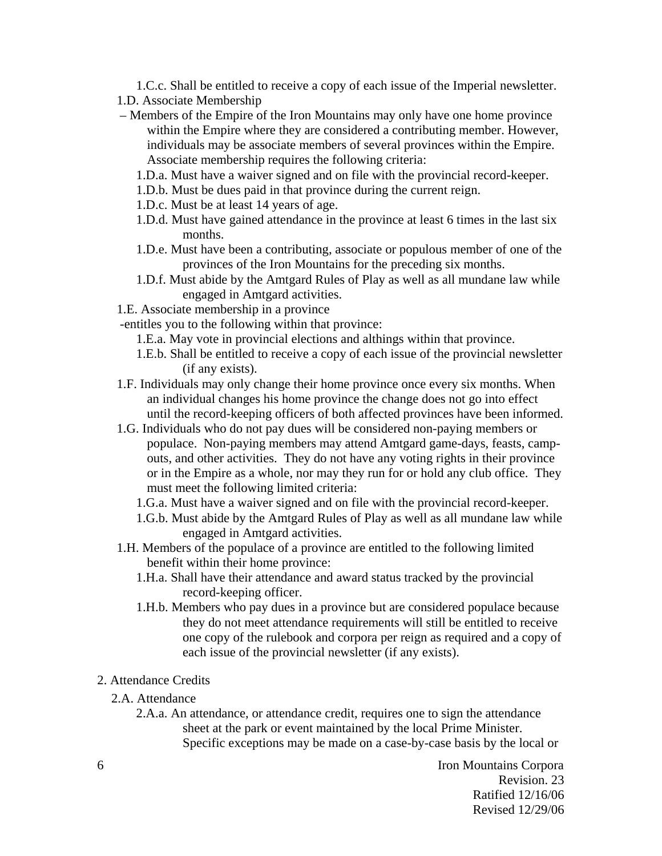1.C.c. Shall be entitled to receive a copy of each issue of the Imperial newsletter. 1.D. Associate Membership

- Members of the Empire of the Iron Mountains may only have one home province within the Empire where they are considered a contributing member. However, individuals may be associate members of several provinces within the Empire. Associate membership requires the following criteria:
	- 1.D.a. Must have a waiver signed and on file with the provincial record-keeper.
	- 1.D.b. Must be dues paid in that province during the current reign.
	- 1.D.c. Must be at least 14 years of age.
	- 1.D.d. Must have gained attendance in the province at least 6 times in the last six months.
	- 1.D.e. Must have been a contributing, associate or populous member of one of the provinces of the Iron Mountains for the preceding six months.
	- 1.D.f. Must abide by the Amtgard Rules of Play as well as all mundane law while engaged in Amtgard activities.
- 1.E. Associate membership in a province
- -entitles you to the following within that province:
	- 1.E.a. May vote in provincial elections and althings within that province.
	- 1.E.b. Shall be entitled to receive a copy of each issue of the provincial newsletter (if any exists).
- 1.F. Individuals may only change their home province once every six months. When an individual changes his home province the change does not go into effect until the record-keeping officers of both affected provinces have been informed.
- 1.G. Individuals who do not pay dues will be considered non-paying members or populace. Non-paying members may attend Amtgard game-days, feasts, campouts, and other activities. They do not have any voting rights in their province or in the Empire as a whole, nor may they run for or hold any club office. They must meet the following limited criteria:
	- 1.G.a. Must have a waiver signed and on file with the provincial record-keeper.
	- 1.G.b. Must abide by the Amtgard Rules of Play as well as all mundane law while engaged in Amtgard activities.
- 1.H. Members of the populace of a province are entitled to the following limited benefit within their home province:
	- 1.H.a. Shall have their attendance and award status tracked by the provincial record-keeping officer.
	- 1.H.b. Members who pay dues in a province but are considered populace because they do not meet attendance requirements will still be entitled to receive one copy of the rulebook and corpora per reign as required and a copy of each issue of the provincial newsletter (if any exists).
- 2. Attendance Credits
	- 2.A. Attendance

2.A.a. An attendance, or attendance credit, requires one to sign the attendance sheet at the park or event maintained by the local Prime Minister. Specific exceptions may be made on a case-by-case basis by the local or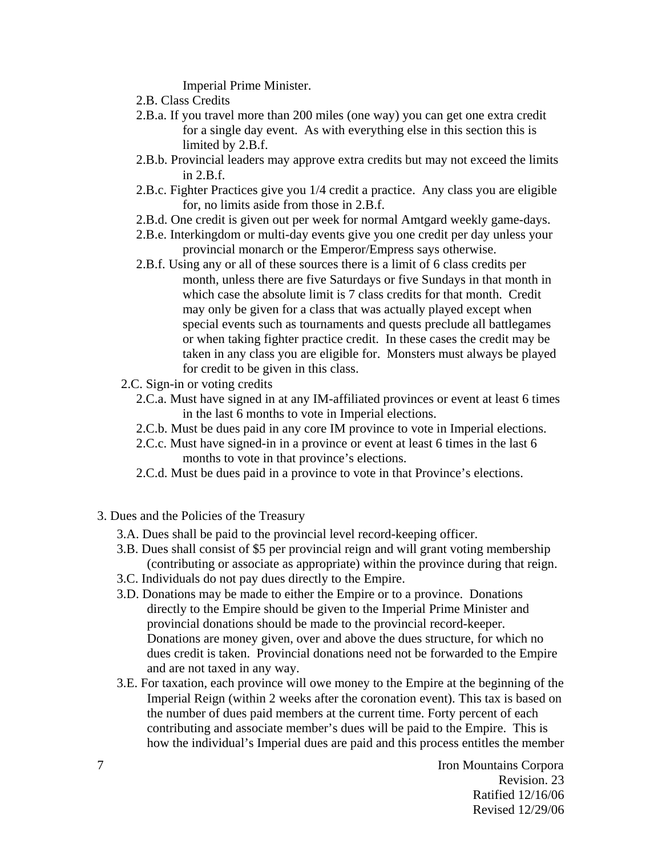Imperial Prime Minister.

- 2.B. Class Credits
- 2.B.a. If you travel more than 200 miles (one way) you can get one extra credit for a single day event. As with everything else in this section this is limited by 2.B.f.
- 2.B.b. Provincial leaders may approve extra credits but may not exceed the limits in 2.B.f.
- 2.B.c. Fighter Practices give you 1/4 credit a practice. Any class you are eligible for, no limits aside from those in 2.B.f.
- 2.B.d. One credit is given out per week for normal Amtgard weekly game-days.
- 2.B.e. Interkingdom or multi-day events give you one credit per day unless your provincial monarch or the Emperor/Empress says otherwise.
- 2.B.f. Using any or all of these sources there is a limit of 6 class credits per month, unless there are five Saturdays or five Sundays in that month in which case the absolute limit is 7 class credits for that month. Credit may only be given for a class that was actually played except when special events such as tournaments and quests preclude all battlegames or when taking fighter practice credit. In these cases the credit may be taken in any class you are eligible for. Monsters must always be played for credit to be given in this class.
- 2.C. Sign-in or voting credits
	- 2.C.a. Must have signed in at any IM-affiliated provinces or event at least 6 times in the last 6 months to vote in Imperial elections.
	- 2.C.b. Must be dues paid in any core IM province to vote in Imperial elections.
	- 2.C.c. Must have signed-in in a province or event at least 6 times in the last 6 months to vote in that province's elections.
	- 2.C.d. Must be dues paid in a province to vote in that Province's elections.
- 3. Dues and the Policies of the Treasury
	- 3.A. Dues shall be paid to the provincial level record-keeping officer.
	- 3.B. Dues shall consist of \$5 per provincial reign and will grant voting membership (contributing or associate as appropriate) within the province during that reign.
	- 3.C. Individuals do not pay dues directly to the Empire.
	- 3.D. Donations may be made to either the Empire or to a province. Donations directly to the Empire should be given to the Imperial Prime Minister and provincial donations should be made to the provincial record-keeper. Donations are money given, over and above the dues structure, for which no dues credit is taken. Provincial donations need not be forwarded to the Empire and are not taxed in any way.
	- 3.E. For taxation, each province will owe money to the Empire at the beginning of the Imperial Reign (within 2 weeks after the coronation event). This tax is based on the number of dues paid members at the current time. Forty percent of each contributing and associate member's dues will be paid to the Empire. This is how the individual's Imperial dues are paid and this process entitles the member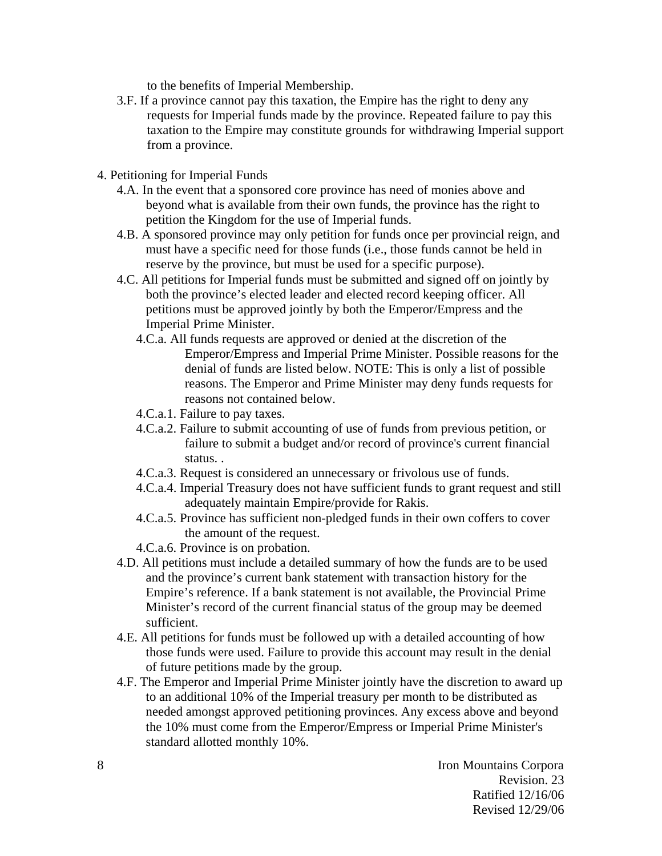to the benefits of Imperial Membership.

- 3.F. If a province cannot pay this taxation, the Empire has the right to deny any requests for Imperial funds made by the province. Repeated failure to pay this taxation to the Empire may constitute grounds for withdrawing Imperial support from a province.
- 4. Petitioning for Imperial Funds
	- 4.A. In the event that a sponsored core province has need of monies above and beyond what is available from their own funds, the province has the right to petition the Kingdom for the use of Imperial funds.
	- 4.B. A sponsored province may only petition for funds once per provincial reign, and must have a specific need for those funds (i.e., those funds cannot be held in reserve by the province, but must be used for a specific purpose).
	- 4.C. All petitions for Imperial funds must be submitted and signed off on jointly by both the province's elected leader and elected record keeping officer. All petitions must be approved jointly by both the Emperor/Empress and the Imperial Prime Minister.
		- 4.C.a. All funds requests are approved or denied at the discretion of the Emperor/Empress and Imperial Prime Minister. Possible reasons for the denial of funds are listed below. NOTE: This is only a list of possible reasons. The Emperor and Prime Minister may deny funds requests for reasons not contained below.
		- 4.C.a.1. Failure to pay taxes.
		- 4.C.a.2. Failure to submit accounting of use of funds from previous petition, or failure to submit a budget and/or record of province's current financial status. .
		- 4.C.a.3. Request is considered an unnecessary or frivolous use of funds.
		- 4.C.a.4. Imperial Treasury does not have sufficient funds to grant request and still adequately maintain Empire/provide for Rakis.
		- 4.C.a.5. Province has sufficient non-pledged funds in their own coffers to cover the amount of the request.
		- 4.C.a.6. Province is on probation.
	- 4.D. All petitions must include a detailed summary of how the funds are to be used and the province's current bank statement with transaction history for the Empire's reference. If a bank statement is not available, the Provincial Prime Minister's record of the current financial status of the group may be deemed sufficient.
	- 4.E. All petitions for funds must be followed up with a detailed accounting of how those funds were used. Failure to provide this account may result in the denial of future petitions made by the group.
	- 4.F. The Emperor and Imperial Prime Minister jointly have the discretion to award up to an additional 10% of the Imperial treasury per month to be distributed as needed amongst approved petitioning provinces. Any excess above and beyond the 10% must come from the Emperor/Empress or Imperial Prime Minister's standard allotted monthly 10%.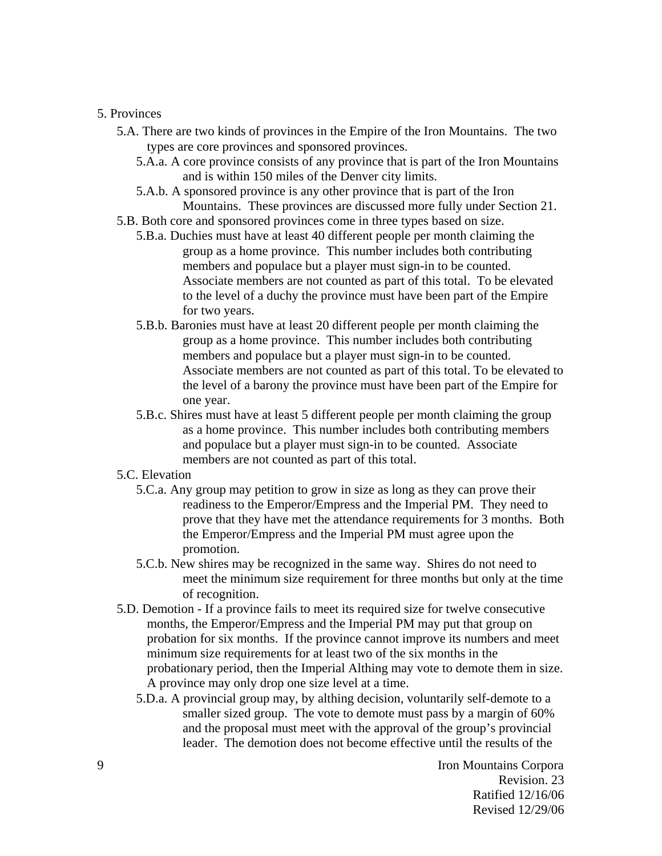#### 5. Provinces

- 5.A. There are two kinds of provinces in the Empire of the Iron Mountains. The two types are core provinces and sponsored provinces.
	- 5.A.a. A core province consists of any province that is part of the Iron Mountains and is within 150 miles of the Denver city limits.
	- 5.A.b. A sponsored province is any other province that is part of the Iron Mountains. These provinces are discussed more fully under Section 21.
- 5.B. Both core and sponsored provinces come in three types based on size.
	- 5.B.a. Duchies must have at least 40 different people per month claiming the group as a home province. This number includes both contributing members and populace but a player must sign-in to be counted. Associate members are not counted as part of this total. To be elevated to the level of a duchy the province must have been part of the Empire for two years.
	- 5.B.b. Baronies must have at least 20 different people per month claiming the group as a home province. This number includes both contributing members and populace but a player must sign-in to be counted. Associate members are not counted as part of this total. To be elevated to the level of a barony the province must have been part of the Empire for one year.
	- 5.B.c. Shires must have at least 5 different people per month claiming the group as a home province. This number includes both contributing members and populace but a player must sign-in to be counted. Associate members are not counted as part of this total.

### 5.C. Elevation

- 5.C.a. Any group may petition to grow in size as long as they can prove their readiness to the Emperor/Empress and the Imperial PM. They need to prove that they have met the attendance requirements for 3 months. Both the Emperor/Empress and the Imperial PM must agree upon the promotion.
- 5.C.b. New shires may be recognized in the same way. Shires do not need to meet the minimum size requirement for three months but only at the time of recognition.
- 5.D. Demotion If a province fails to meet its required size for twelve consecutive months, the Emperor/Empress and the Imperial PM may put that group on probation for six months. If the province cannot improve its numbers and meet minimum size requirements for at least two of the six months in the probationary period, then the Imperial Althing may vote to demote them in size. A province may only drop one size level at a time.
	- 5.D.a. A provincial group may, by althing decision, voluntarily self-demote to a smaller sized group. The vote to demote must pass by a margin of 60% and the proposal must meet with the approval of the group's provincial leader. The demotion does not become effective until the results of the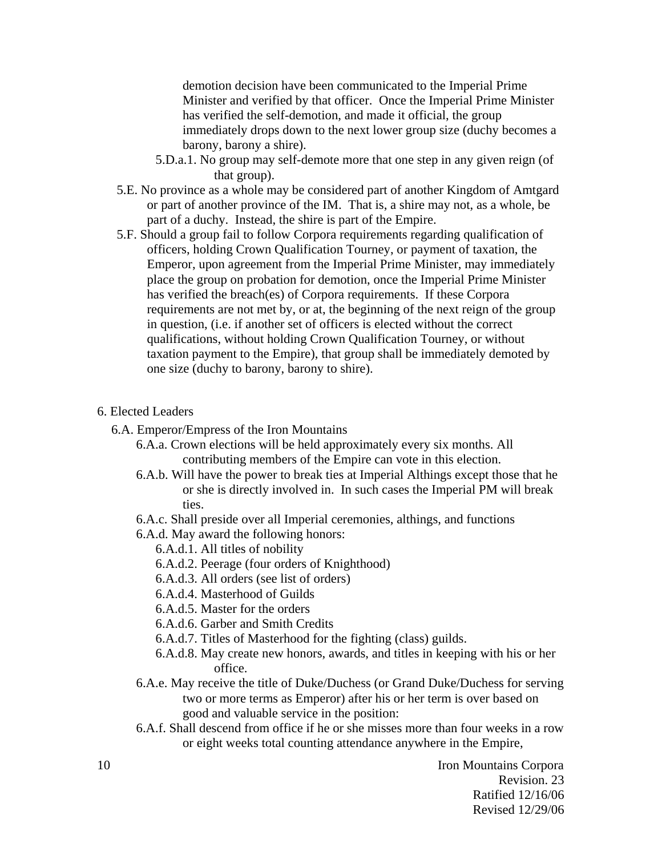demotion decision have been communicated to the Imperial Prime Minister and verified by that officer. Once the Imperial Prime Minister has verified the self-demotion, and made it official, the group immediately drops down to the next lower group size (duchy becomes a barony, barony a shire).

- 5.D.a.1. No group may self-demote more that one step in any given reign (of that group).
- 5.E. No province as a whole may be considered part of another Kingdom of Amtgard or part of another province of the IM. That is, a shire may not, as a whole, be part of a duchy. Instead, the shire is part of the Empire.
- 5.F. Should a group fail to follow Corpora requirements regarding qualification of officers, holding Crown Qualification Tourney, or payment of taxation, the Emperor, upon agreement from the Imperial Prime Minister, may immediately place the group on probation for demotion, once the Imperial Prime Minister has verified the breach(es) of Corpora requirements. If these Corpora requirements are not met by, or at, the beginning of the next reign of the group in question, (i.e. if another set of officers is elected without the correct qualifications, without holding Crown Qualification Tourney, or without taxation payment to the Empire), that group shall be immediately demoted by one size (duchy to barony, barony to shire).

### 6. Elected Leaders

6.A. Emperor/Empress of the Iron Mountains

- 6.A.a. Crown elections will be held approximately every six months. All contributing members of the Empire can vote in this election.
- 6.A.b. Will have the power to break ties at Imperial Althings except those that he or she is directly involved in. In such cases the Imperial PM will break ties.
- 6.A.c. Shall preside over all Imperial ceremonies, althings, and functions

6.A.d. May award the following honors:

6.A.d.1. All titles of nobility

6.A.d.2. Peerage (four orders of Knighthood)

- 6.A.d.3. All orders (see list of orders)
- 6.A.d.4. Masterhood of Guilds

6.A.d.5. Master for the orders

6.A.d.6. Garber and Smith Credits

- 6.A.d.7. Titles of Masterhood for the fighting (class) guilds.
- 6.A.d.8. May create new honors, awards, and titles in keeping with his or her office.
- 6.A.e. May receive the title of Duke/Duchess (or Grand Duke/Duchess for serving two or more terms as Emperor) after his or her term is over based on good and valuable service in the position:
- 6.A.f. Shall descend from office if he or she misses more than four weeks in a row or eight weeks total counting attendance anywhere in the Empire,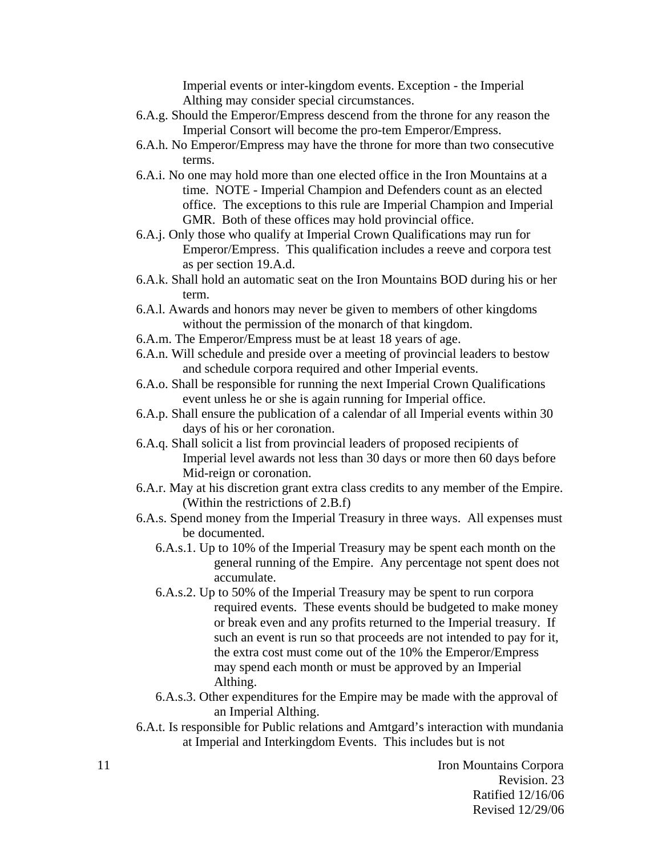Imperial events or inter-kingdom events. Exception - the Imperial Althing may consider special circumstances.

- 6.A.g. Should the Emperor/Empress descend from the throne for any reason the Imperial Consort will become the pro-tem Emperor/Empress.
- 6.A.h. No Emperor/Empress may have the throne for more than two consecutive terms.
- 6.A.i. No one may hold more than one elected office in the Iron Mountains at a time. NOTE - Imperial Champion and Defenders count as an elected office. The exceptions to this rule are Imperial Champion and Imperial GMR. Both of these offices may hold provincial office.
- 6.A.j. Only those who qualify at Imperial Crown Qualifications may run for Emperor/Empress. This qualification includes a reeve and corpora test as per section 19.A.d.
- 6.A.k. Shall hold an automatic seat on the Iron Mountains BOD during his or her term.
- 6.A.l. Awards and honors may never be given to members of other kingdoms without the permission of the monarch of that kingdom.
- 6.A.m. The Emperor/Empress must be at least 18 years of age.
- 6.A.n. Will schedule and preside over a meeting of provincial leaders to bestow and schedule corpora required and other Imperial events.
- 6.A.o. Shall be responsible for running the next Imperial Crown Qualifications event unless he or she is again running for Imperial office.
- 6.A.p. Shall ensure the publication of a calendar of all Imperial events within 30 days of his or her coronation.
- 6.A.q. Shall solicit a list from provincial leaders of proposed recipients of Imperial level awards not less than 30 days or more then 60 days before Mid-reign or coronation.
- 6.A.r. May at his discretion grant extra class credits to any member of the Empire. (Within the restrictions of 2.B.f)
- 6.A.s. Spend money from the Imperial Treasury in three ways. All expenses must be documented.
	- 6.A.s.1. Up to 10% of the Imperial Treasury may be spent each month on the general running of the Empire. Any percentage not spent does not accumulate.
	- 6.A.s.2. Up to 50% of the Imperial Treasury may be spent to run corpora required events. These events should be budgeted to make money or break even and any profits returned to the Imperial treasury. If such an event is run so that proceeds are not intended to pay for it, the extra cost must come out of the 10% the Emperor/Empress may spend each month or must be approved by an Imperial Althing.
	- 6.A.s.3. Other expenditures for the Empire may be made with the approval of an Imperial Althing.
- 6.A.t. Is responsible for Public relations and Amtgard's interaction with mundania at Imperial and Interkingdom Events. This includes but is not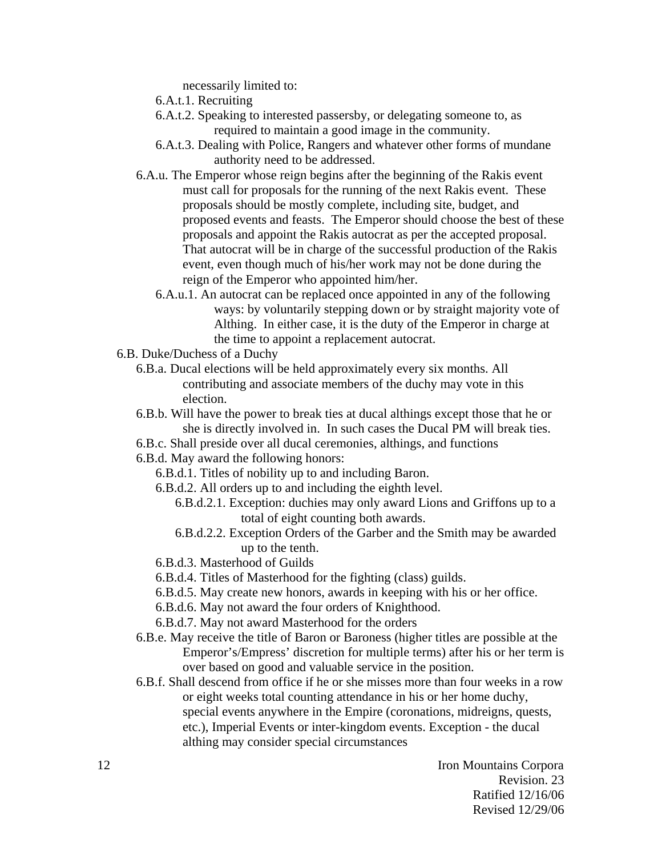necessarily limited to:

- 6.A.t.1. Recruiting
- 6.A.t.2. Speaking to interested passersby, or delegating someone to, as required to maintain a good image in the community.
- 6.A.t.3. Dealing with Police, Rangers and whatever other forms of mundane authority need to be addressed.
- 6.A.u. The Emperor whose reign begins after the beginning of the Rakis event must call for proposals for the running of the next Rakis event. These proposals should be mostly complete, including site, budget, and proposed events and feasts. The Emperor should choose the best of these proposals and appoint the Rakis autocrat as per the accepted proposal. That autocrat will be in charge of the successful production of the Rakis event, even though much of his/her work may not be done during the reign of the Emperor who appointed him/her.
	- 6.A.u.1. An autocrat can be replaced once appointed in any of the following ways: by voluntarily stepping down or by straight majority vote of Althing. In either case, it is the duty of the Emperor in charge at the time to appoint a replacement autocrat.
- 6.B. Duke/Duchess of a Duchy
	- 6.B.a. Ducal elections will be held approximately every six months. All contributing and associate members of the duchy may vote in this election.
	- 6.B.b. Will have the power to break ties at ducal althings except those that he or she is directly involved in. In such cases the Ducal PM will break ties.
	- 6.B.c. Shall preside over all ducal ceremonies, althings, and functions
	- 6.B.d. May award the following honors:
		- 6.B.d.1. Titles of nobility up to and including Baron.
		- 6.B.d.2. All orders up to and including the eighth level.
			- 6.B.d.2.1. Exception: duchies may only award Lions and Griffons up to a total of eight counting both awards.
			- 6.B.d.2.2. Exception Orders of the Garber and the Smith may be awarded up to the tenth.
		- 6.B.d.3. Masterhood of Guilds
		- 6.B.d.4. Titles of Masterhood for the fighting (class) guilds.
		- 6.B.d.5. May create new honors, awards in keeping with his or her office.
		- 6.B.d.6. May not award the four orders of Knighthood.
		- 6.B.d.7. May not award Masterhood for the orders
	- 6.B.e. May receive the title of Baron or Baroness (higher titles are possible at the Emperor's/Empress' discretion for multiple terms) after his or her term is over based on good and valuable service in the position.
	- 6.B.f. Shall descend from office if he or she misses more than four weeks in a row or eight weeks total counting attendance in his or her home duchy, special events anywhere in the Empire (coronations, midreigns, quests, etc.), Imperial Events or inter-kingdom events. Exception - the ducal althing may consider special circumstances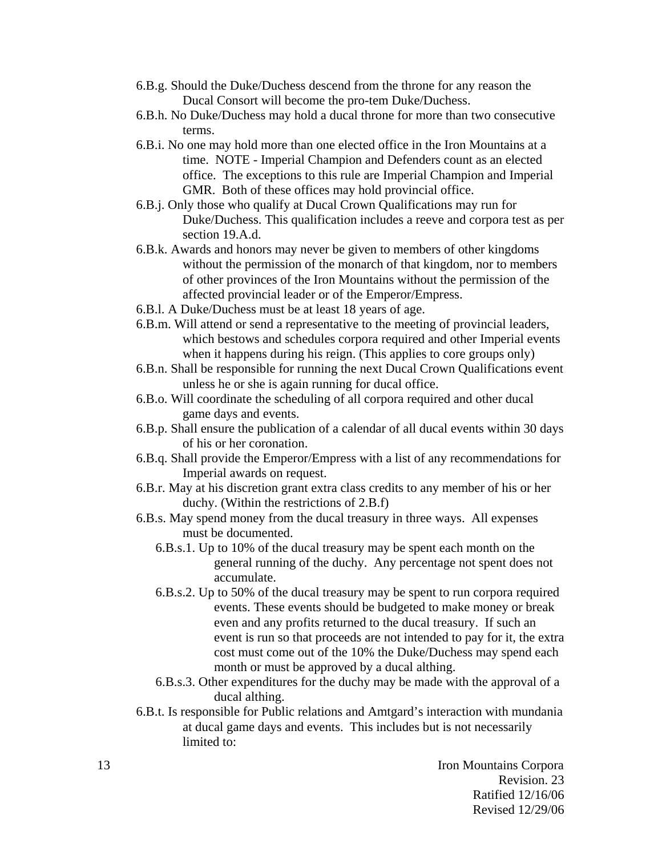- 6.B.g. Should the Duke/Duchess descend from the throne for any reason the Ducal Consort will become the pro-tem Duke/Duchess.
- 6.B.h. No Duke/Duchess may hold a ducal throne for more than two consecutive terms.
- 6.B.i. No one may hold more than one elected office in the Iron Mountains at a time. NOTE - Imperial Champion and Defenders count as an elected office. The exceptions to this rule are Imperial Champion and Imperial GMR. Both of these offices may hold provincial office.
- 6.B.j. Only those who qualify at Ducal Crown Qualifications may run for Duke/Duchess. This qualification includes a reeve and corpora test as per section 19.A.d.
- 6.B.k. Awards and honors may never be given to members of other kingdoms without the permission of the monarch of that kingdom, nor to members of other provinces of the Iron Mountains without the permission of the affected provincial leader or of the Emperor/Empress.
- 6.B.l. A Duke/Duchess must be at least 18 years of age.
- 6.B.m. Will attend or send a representative to the meeting of provincial leaders, which bestows and schedules corpora required and other Imperial events when it happens during his reign. (This applies to core groups only)
- 6.B.n. Shall be responsible for running the next Ducal Crown Qualifications event unless he or she is again running for ducal office.
- 6.B.o. Will coordinate the scheduling of all corpora required and other ducal game days and events.
- 6.B.p. Shall ensure the publication of a calendar of all ducal events within 30 days of his or her coronation.
- 6.B.q. Shall provide the Emperor/Empress with a list of any recommendations for Imperial awards on request.
- 6.B.r. May at his discretion grant extra class credits to any member of his or her duchy. (Within the restrictions of 2.B.f)
- 6.B.s. May spend money from the ducal treasury in three ways. All expenses must be documented.
	- 6.B.s.1. Up to 10% of the ducal treasury may be spent each month on the general running of the duchy. Any percentage not spent does not accumulate.
	- 6.B.s.2. Up to 50% of the ducal treasury may be spent to run corpora required events. These events should be budgeted to make money or break even and any profits returned to the ducal treasury. If such an event is run so that proceeds are not intended to pay for it, the extra cost must come out of the 10% the Duke/Duchess may spend each month or must be approved by a ducal althing.
	- 6.B.s.3. Other expenditures for the duchy may be made with the approval of a ducal althing.
- 6.B.t. Is responsible for Public relations and Amtgard's interaction with mundania at ducal game days and events. This includes but is not necessarily limited to: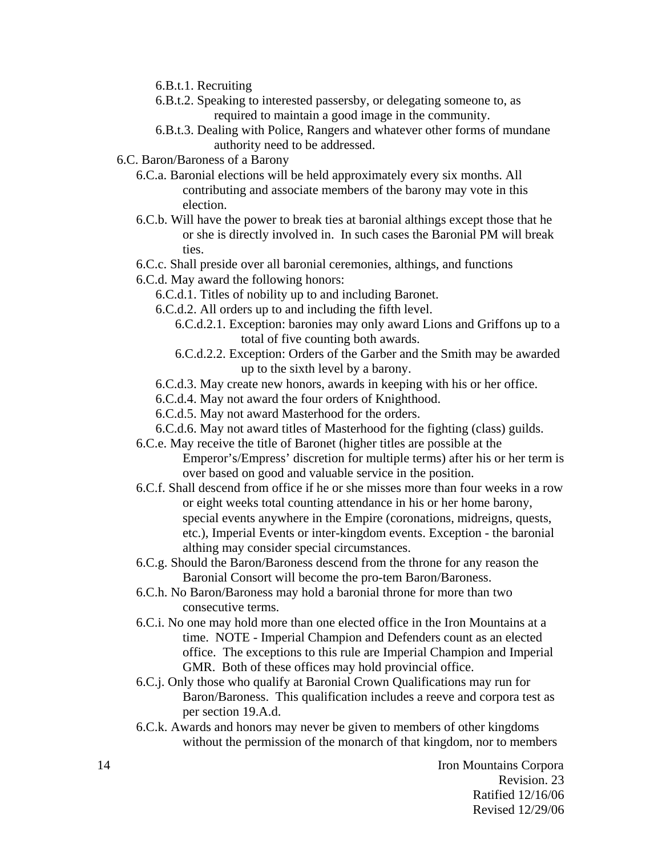- 6.B.t.1. Recruiting
- 6.B.t.2. Speaking to interested passersby, or delegating someone to, as required to maintain a good image in the community.
- 6.B.t.3. Dealing with Police, Rangers and whatever other forms of mundane authority need to be addressed.
- 6.C. Baron/Baroness of a Barony
	- 6.C.a. Baronial elections will be held approximately every six months. All contributing and associate members of the barony may vote in this election.
	- 6.C.b. Will have the power to break ties at baronial althings except those that he or she is directly involved in. In such cases the Baronial PM will break ties.
	- 6.C.c. Shall preside over all baronial ceremonies, althings, and functions
	- 6.C.d. May award the following honors:
		- 6.C.d.1. Titles of nobility up to and including Baronet.
		- 6.C.d.2. All orders up to and including the fifth level.
			- 6.C.d.2.1. Exception: baronies may only award Lions and Griffons up to a total of five counting both awards.
			- 6.C.d.2.2. Exception: Orders of the Garber and the Smith may be awarded up to the sixth level by a barony.
		- 6.C.d.3. May create new honors, awards in keeping with his or her office.
		- 6.C.d.4. May not award the four orders of Knighthood.
		- 6.C.d.5. May not award Masterhood for the orders.
		- 6.C.d.6. May not award titles of Masterhood for the fighting (class) guilds.
	- 6.C.e. May receive the title of Baronet (higher titles are possible at the Emperor's/Empress' discretion for multiple terms) after his or her term is over based on good and valuable service in the position.
	- 6.C.f. Shall descend from office if he or she misses more than four weeks in a row or eight weeks total counting attendance in his or her home barony, special events anywhere in the Empire (coronations, midreigns, quests, etc.), Imperial Events or inter-kingdom events. Exception - the baronial althing may consider special circumstances.
	- 6.C.g. Should the Baron/Baroness descend from the throne for any reason the Baronial Consort will become the pro-tem Baron/Baroness.
	- 6.C.h. No Baron/Baroness may hold a baronial throne for more than two consecutive terms.
	- 6.C.i. No one may hold more than one elected office in the Iron Mountains at a time. NOTE - Imperial Champion and Defenders count as an elected office. The exceptions to this rule are Imperial Champion and Imperial GMR. Both of these offices may hold provincial office.
	- 6.C.j. Only those who qualify at Baronial Crown Qualifications may run for Baron/Baroness. This qualification includes a reeve and corpora test as per section 19.A.d.
	- 6.C.k. Awards and honors may never be given to members of other kingdoms without the permission of the monarch of that kingdom, nor to members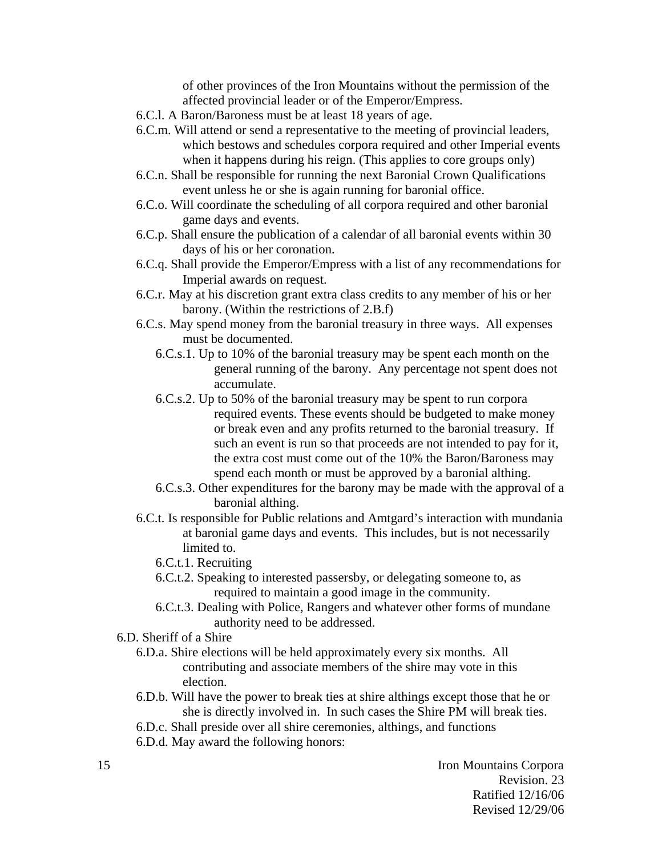of other provinces of the Iron Mountains without the permission of the affected provincial leader or of the Emperor/Empress.

- 6.C.l. A Baron/Baroness must be at least 18 years of age.
- 6.C.m. Will attend or send a representative to the meeting of provincial leaders, which bestows and schedules corpora required and other Imperial events when it happens during his reign. (This applies to core groups only)
- 6.C.n. Shall be responsible for running the next Baronial Crown Qualifications event unless he or she is again running for baronial office.
- 6.C.o. Will coordinate the scheduling of all corpora required and other baronial game days and events.
- 6.C.p. Shall ensure the publication of a calendar of all baronial events within 30 days of his or her coronation.
- 6.C.q. Shall provide the Emperor/Empress with a list of any recommendations for Imperial awards on request.
- 6.C.r. May at his discretion grant extra class credits to any member of his or her barony. (Within the restrictions of 2.B.f)
- 6.C.s. May spend money from the baronial treasury in three ways. All expenses must be documented.
	- 6.C.s.1. Up to 10% of the baronial treasury may be spent each month on the general running of the barony. Any percentage not spent does not accumulate.
	- 6.C.s.2. Up to 50% of the baronial treasury may be spent to run corpora required events. These events should be budgeted to make money or break even and any profits returned to the baronial treasury. If such an event is run so that proceeds are not intended to pay for it, the extra cost must come out of the 10% the Baron/Baroness may spend each month or must be approved by a baronial althing.
	- 6.C.s.3. Other expenditures for the barony may be made with the approval of a baronial althing.
- 6.C.t. Is responsible for Public relations and Amtgard's interaction with mundania at baronial game days and events. This includes, but is not necessarily limited to.
	- 6.C.t.1. Recruiting
	- 6.C.t.2. Speaking to interested passersby, or delegating someone to, as required to maintain a good image in the community.
	- 6.C.t.3. Dealing with Police, Rangers and whatever other forms of mundane authority need to be addressed.
- 6.D. Sheriff of a Shire
	- 6.D.a. Shire elections will be held approximately every six months. All contributing and associate members of the shire may vote in this election.
	- 6.D.b. Will have the power to break ties at shire althings except those that he or she is directly involved in. In such cases the Shire PM will break ties.
	- 6.D.c. Shall preside over all shire ceremonies, althings, and functions
	- 6.D.d. May award the following honors: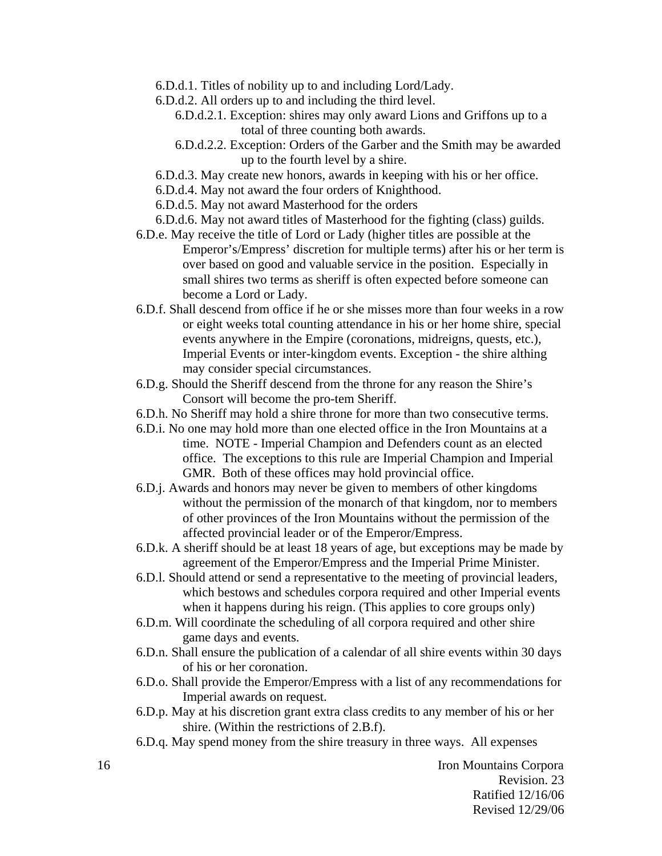- 6.D.d.1. Titles of nobility up to and including Lord/Lady.
- 6.D.d.2. All orders up to and including the third level.
	- 6.D.d.2.1. Exception: shires may only award Lions and Griffons up to a total of three counting both awards.
	- 6.D.d.2.2. Exception: Orders of the Garber and the Smith may be awarded up to the fourth level by a shire.
- 6.D.d.3. May create new honors, awards in keeping with his or her office.
- 6.D.d.4. May not award the four orders of Knighthood.
- 6.D.d.5. May not award Masterhood for the orders
- 6.D.d.6. May not award titles of Masterhood for the fighting (class) guilds.
- 6.D.e. May receive the title of Lord or Lady (higher titles are possible at the Emperor's/Empress' discretion for multiple terms) after his or her term is over based on good and valuable service in the position. Especially in small shires two terms as sheriff is often expected before someone can become a Lord or Lady.
- 6.D.f. Shall descend from office if he or she misses more than four weeks in a row or eight weeks total counting attendance in his or her home shire, special events anywhere in the Empire (coronations, midreigns, quests, etc.), Imperial Events or inter-kingdom events. Exception - the shire althing may consider special circumstances.
- 6.D.g. Should the Sheriff descend from the throne for any reason the Shire's Consort will become the pro-tem Sheriff.
- 6.D.h. No Sheriff may hold a shire throne for more than two consecutive terms.
- 6.D.i. No one may hold more than one elected office in the Iron Mountains at a time. NOTE - Imperial Champion and Defenders count as an elected office. The exceptions to this rule are Imperial Champion and Imperial GMR. Both of these offices may hold provincial office.
- 6.D.j. Awards and honors may never be given to members of other kingdoms without the permission of the monarch of that kingdom, nor to members of other provinces of the Iron Mountains without the permission of the affected provincial leader or of the Emperor/Empress.
- 6.D.k. A sheriff should be at least 18 years of age, but exceptions may be made by agreement of the Emperor/Empress and the Imperial Prime Minister.
- 6.D.l. Should attend or send a representative to the meeting of provincial leaders, which bestows and schedules corpora required and other Imperial events when it happens during his reign. (This applies to core groups only)
- 6.D.m. Will coordinate the scheduling of all corpora required and other shire game days and events.
- 6.D.n. Shall ensure the publication of a calendar of all shire events within 30 days of his or her coronation.
- 6.D.o. Shall provide the Emperor/Empress with a list of any recommendations for Imperial awards on request.
- 6.D.p. May at his discretion grant extra class credits to any member of his or her shire. (Within the restrictions of 2.B.f).
- 6.D.q. May spend money from the shire treasury in three ways. All expenses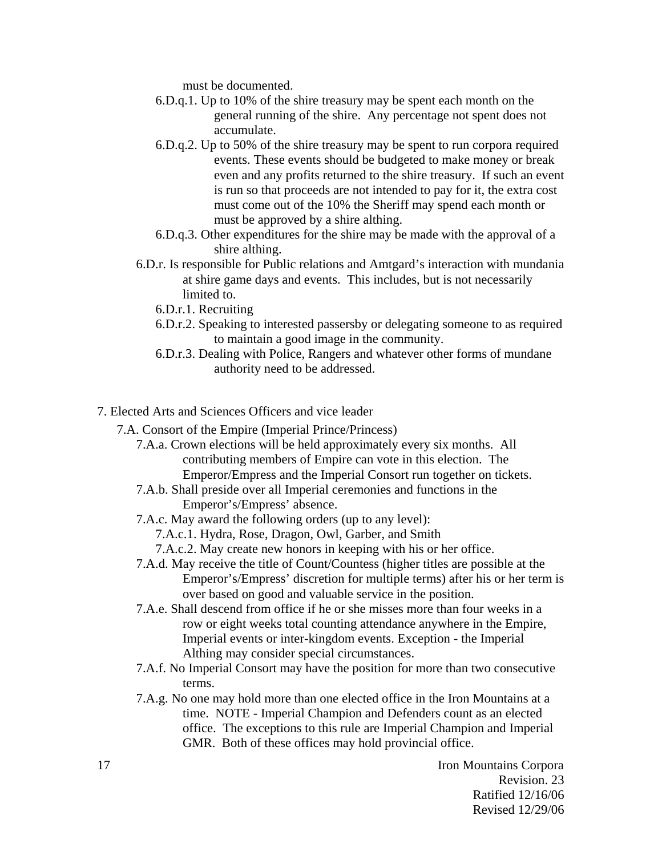must be documented.

- 6.D.q.1. Up to 10% of the shire treasury may be spent each month on the general running of the shire. Any percentage not spent does not accumulate.
- 6.D.q.2. Up to 50% of the shire treasury may be spent to run corpora required events. These events should be budgeted to make money or break even and any profits returned to the shire treasury. If such an event is run so that proceeds are not intended to pay for it, the extra cost must come out of the 10% the Sheriff may spend each month or must be approved by a shire althing.
- 6.D.q.3. Other expenditures for the shire may be made with the approval of a shire althing.
- 6.D.r. Is responsible for Public relations and Amtgard's interaction with mundania at shire game days and events. This includes, but is not necessarily limited to.
	- 6.D.r.1. Recruiting
	- 6.D.r.2. Speaking to interested passersby or delegating someone to as required to maintain a good image in the community.
	- 6.D.r.3. Dealing with Police, Rangers and whatever other forms of mundane authority need to be addressed.
- 7. Elected Arts and Sciences Officers and vice leader
	- 7.A. Consort of the Empire (Imperial Prince/Princess)
		- 7.A.a. Crown elections will be held approximately every six months. All contributing members of Empire can vote in this election. The Emperor/Empress and the Imperial Consort run together on tickets.
		- 7.A.b. Shall preside over all Imperial ceremonies and functions in the Emperor's/Empress' absence.
		- 7.A.c. May award the following orders (up to any level):
			- 7.A.c.1. Hydra, Rose, Dragon, Owl, Garber, and Smith
			- 7.A.c.2. May create new honors in keeping with his or her office.
		- 7.A.d. May receive the title of Count/Countess (higher titles are possible at the Emperor's/Empress' discretion for multiple terms) after his or her term is over based on good and valuable service in the position.
		- 7.A.e. Shall descend from office if he or she misses more than four weeks in a row or eight weeks total counting attendance anywhere in the Empire, Imperial events or inter-kingdom events. Exception - the Imperial Althing may consider special circumstances.
		- 7.A.f. No Imperial Consort may have the position for more than two consecutive terms.
		- 7.A.g. No one may hold more than one elected office in the Iron Mountains at a time. NOTE - Imperial Champion and Defenders count as an elected office. The exceptions to this rule are Imperial Champion and Imperial GMR. Both of these offices may hold provincial office.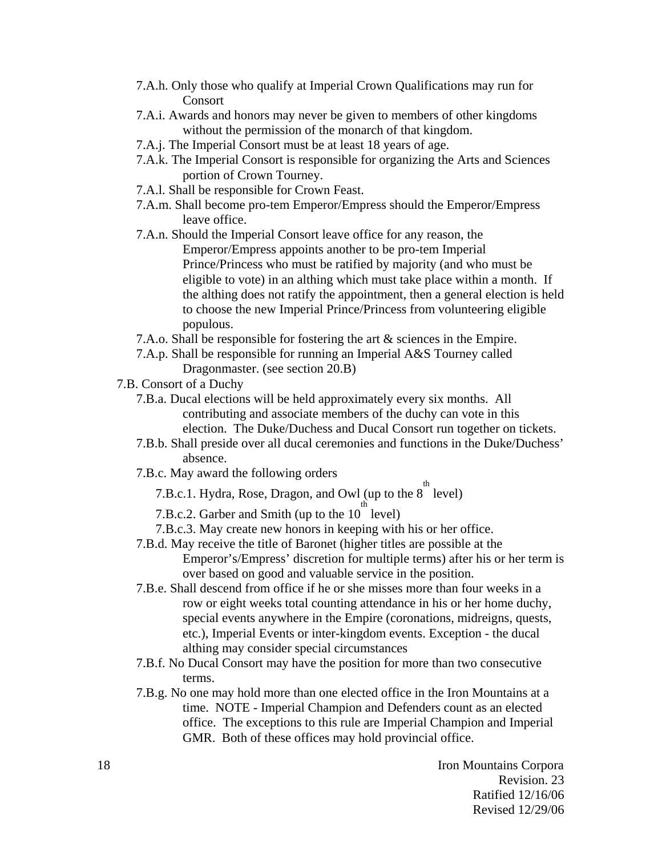- 7.A.h. Only those who qualify at Imperial Crown Qualifications may run for Consort
- 7.A.i. Awards and honors may never be given to members of other kingdoms without the permission of the monarch of that kingdom.
- 7.A.j. The Imperial Consort must be at least 18 years of age.
- 7.A.k. The Imperial Consort is responsible for organizing the Arts and Sciences portion of Crown Tourney.
- 7.A.l. Shall be responsible for Crown Feast.
- 7.A.m. Shall become pro-tem Emperor/Empress should the Emperor/Empress leave office.
- 7.A.n. Should the Imperial Consort leave office for any reason, the Emperor/Empress appoints another to be pro-tem Imperial Prince/Princess who must be ratified by majority (and who must be eligible to vote) in an althing which must take place within a month. If the althing does not ratify the appointment, then a general election is held to choose the new Imperial Prince/Princess from volunteering eligible populous.
- 7.A.o. Shall be responsible for fostering the art & sciences in the Empire.
- 7.A.p. Shall be responsible for running an Imperial A&S Tourney called Dragonmaster. (see section 20.B)
- 7.B. Consort of a Duchy
	- 7.B.a. Ducal elections will be held approximately every six months. All contributing and associate members of the duchy can vote in this election. The Duke/Duchess and Ducal Consort run together on tickets.
	- 7.B.b. Shall preside over all ducal ceremonies and functions in the Duke/Duchess' absence.
	- 7.B.c. May award the following orders
		- 7.B.c.1. Hydra, Rose, Dragon, and Owl (up to the  $8^{th}$  level)
		- 7.B.c.2. Garber and Smith (up to the  $10^{-1}$  level)
		- 7.B.c.3. May create new honors in keeping with his or her office.
	- 7.B.d. May receive the title of Baronet (higher titles are possible at the Emperor's/Empress' discretion for multiple terms) after his or her term is over based on good and valuable service in the position.
	- 7.B.e. Shall descend from office if he or she misses more than four weeks in a row or eight weeks total counting attendance in his or her home duchy, special events anywhere in the Empire (coronations, midreigns, quests, etc.), Imperial Events or inter-kingdom events. Exception - the ducal althing may consider special circumstances
	- 7.B.f. No Ducal Consort may have the position for more than two consecutive terms.
	- 7.B.g. No one may hold more than one elected office in the Iron Mountains at a time. NOTE - Imperial Champion and Defenders count as an elected office. The exceptions to this rule are Imperial Champion and Imperial GMR. Both of these offices may hold provincial office.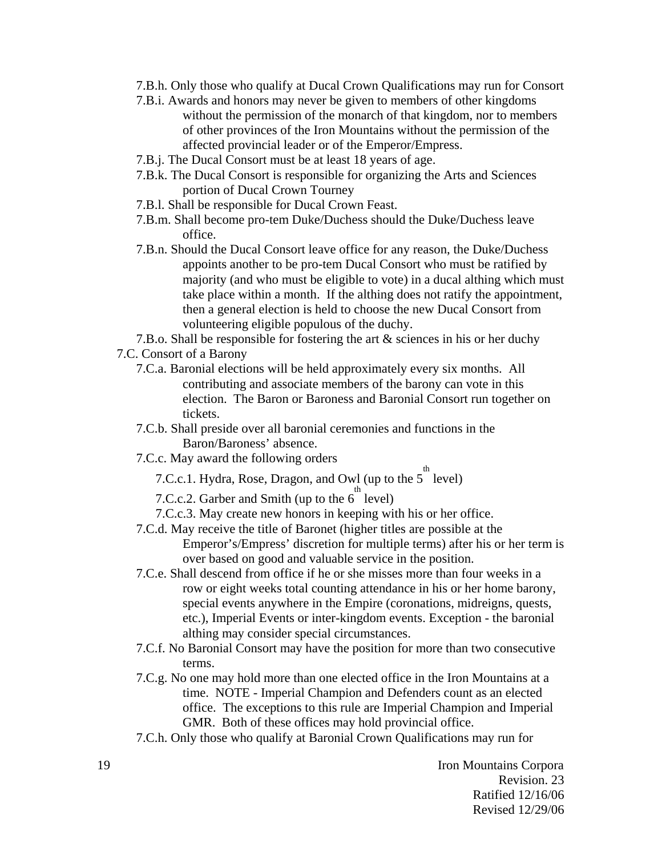- 7.B.h. Only those who qualify at Ducal Crown Qualifications may run for Consort
- 7.B.i. Awards and honors may never be given to members of other kingdoms without the permission of the monarch of that kingdom, nor to members of other provinces of the Iron Mountains without the permission of the affected provincial leader or of the Emperor/Empress.
- 7.B.j. The Ducal Consort must be at least 18 years of age.
- 7.B.k. The Ducal Consort is responsible for organizing the Arts and Sciences portion of Ducal Crown Tourney
- 7.B.l. Shall be responsible for Ducal Crown Feast.
- 7.B.m. Shall become pro-tem Duke/Duchess should the Duke/Duchess leave office.
- 7.B.n. Should the Ducal Consort leave office for any reason, the Duke/Duchess appoints another to be pro-tem Ducal Consort who must be ratified by majority (and who must be eligible to vote) in a ducal althing which must take place within a month. If the althing does not ratify the appointment, then a general election is held to choose the new Ducal Consort from volunteering eligible populous of the duchy.

7.B.o. Shall be responsible for fostering the art & sciences in his or her duchy 7.C. Consort of a Barony

- 7.C.a. Baronial elections will be held approximately every six months. All contributing and associate members of the barony can vote in this election. The Baron or Baroness and Baronial Consort run together on tickets.
- 7.C.b. Shall preside over all baronial ceremonies and functions in the Baron/Baroness' absence.
- 7.C.c. May award the following orders
	- 7.C.c.1. Hydra, Rose, Dragon, and Owl (up to the  $5^{\text{th}}$  level)
	- 7.C.c.2. Garber and Smith (up to the 6 level)
	- 7.C.c.3. May create new honors in keeping with his or her office.
- 7.C.d. May receive the title of Baronet (higher titles are possible at the Emperor's/Empress' discretion for multiple terms) after his or her term is over based on good and valuable service in the position.
- 7.C.e. Shall descend from office if he or she misses more than four weeks in a row or eight weeks total counting attendance in his or her home barony, special events anywhere in the Empire (coronations, midreigns, quests, etc.), Imperial Events or inter-kingdom events. Exception - the baronial althing may consider special circumstances.
- 7.C.f. No Baronial Consort may have the position for more than two consecutive terms.
- 7.C.g. No one may hold more than one elected office in the Iron Mountains at a time. NOTE - Imperial Champion and Defenders count as an elected office. The exceptions to this rule are Imperial Champion and Imperial GMR. Both of these offices may hold provincial office.
- 7.C.h. Only those who qualify at Baronial Crown Qualifications may run for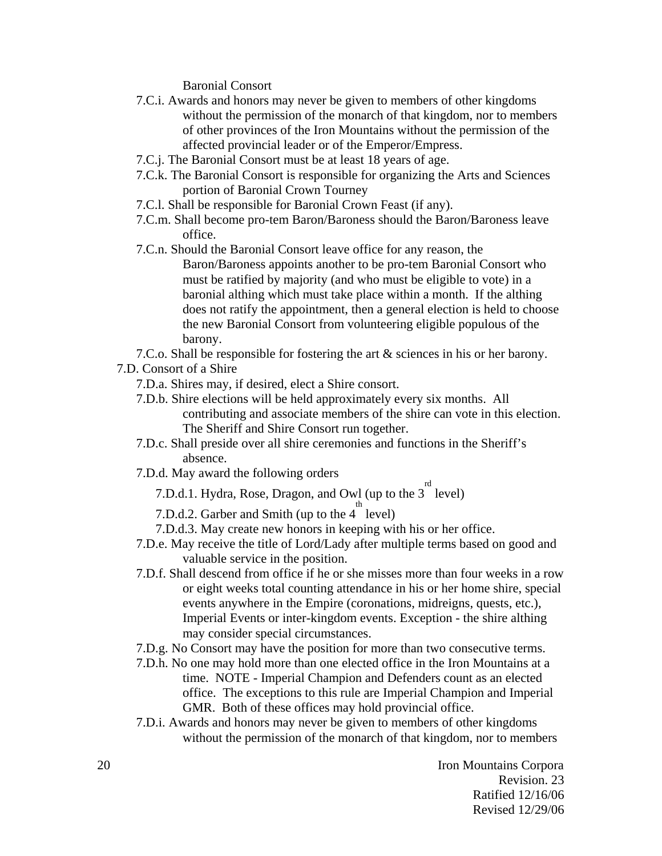Baronial Consort

- 7.C.i. Awards and honors may never be given to members of other kingdoms without the permission of the monarch of that kingdom, nor to members of other provinces of the Iron Mountains without the permission of the affected provincial leader or of the Emperor/Empress.
- 7.C.j. The Baronial Consort must be at least 18 years of age.
- 7.C.k. The Baronial Consort is responsible for organizing the Arts and Sciences portion of Baronial Crown Tourney
- 7.C.l. Shall be responsible for Baronial Crown Feast (if any).
- 7.C.m. Shall become pro-tem Baron/Baroness should the Baron/Baroness leave office.
- 7.C.n. Should the Baronial Consort leave office for any reason, the Baron/Baroness appoints another to be pro-tem Baronial Consort who must be ratified by majority (and who must be eligible to vote) in a baronial althing which must take place within a month. If the althing does not ratify the appointment, then a general election is held to choose the new Baronial Consort from volunteering eligible populous of the barony.

7.C.o. Shall be responsible for fostering the art & sciences in his or her barony.

- 7.D. Consort of a Shire
	- 7.D.a. Shires may, if desired, elect a Shire consort.
	- 7.D.b. Shire elections will be held approximately every six months. All contributing and associate members of the shire can vote in this election. The Sheriff and Shire Consort run together.
	- 7.D.c. Shall preside over all shire ceremonies and functions in the Sheriff's absence.
	- 7.D.d. May award the following orders
		- 7.D.d.1. Hydra, Rose, Dragon, and Owl (up to the  $3^{\text{rd}}$  level)
		- 7.D.d.2. Garber and Smith (up to the  $4^{th}$  level)
		- 7.D.d.3. May create new honors in keeping with his or her office.
	- 7.D.e. May receive the title of Lord/Lady after multiple terms based on good and valuable service in the position.
	- 7.D.f. Shall descend from office if he or she misses more than four weeks in a row or eight weeks total counting attendance in his or her home shire, special events anywhere in the Empire (coronations, midreigns, quests, etc.), Imperial Events or inter-kingdom events. Exception - the shire althing may consider special circumstances.
	- 7.D.g. No Consort may have the position for more than two consecutive terms.
	- 7.D.h. No one may hold more than one elected office in the Iron Mountains at a time. NOTE - Imperial Champion and Defenders count as an elected office. The exceptions to this rule are Imperial Champion and Imperial GMR. Both of these offices may hold provincial office.
	- 7.D.i. Awards and honors may never be given to members of other kingdoms without the permission of the monarch of that kingdom, nor to members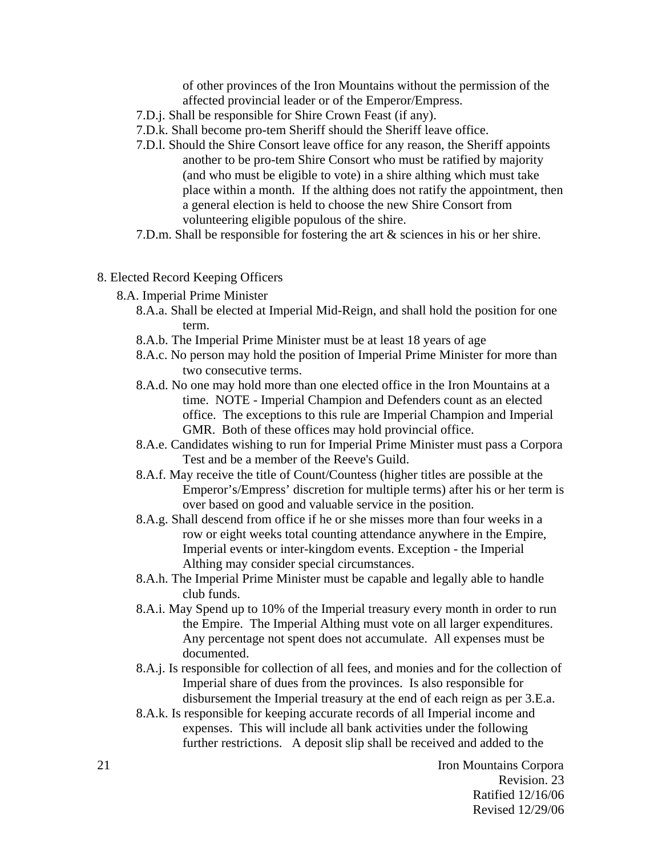of other provinces of the Iron Mountains without the permission of the affected provincial leader or of the Emperor/Empress.

- 7.D.j. Shall be responsible for Shire Crown Feast (if any).
- 7.D.k. Shall become pro-tem Sheriff should the Sheriff leave office.
- 7.D.l. Should the Shire Consort leave office for any reason, the Sheriff appoints another to be pro-tem Shire Consort who must be ratified by majority (and who must be eligible to vote) in a shire althing which must take place within a month. If the althing does not ratify the appointment, then a general election is held to choose the new Shire Consort from volunteering eligible populous of the shire.
- 7.D.m. Shall be responsible for fostering the art & sciences in his or her shire.
- 8. Elected Record Keeping Officers
	- 8.A. Imperial Prime Minister
		- 8.A.a. Shall be elected at Imperial Mid-Reign, and shall hold the position for one term.
		- 8.A.b. The Imperial Prime Minister must be at least 18 years of age
		- 8.A.c. No person may hold the position of Imperial Prime Minister for more than two consecutive terms.
		- 8.A.d. No one may hold more than one elected office in the Iron Mountains at a time. NOTE - Imperial Champion and Defenders count as an elected office. The exceptions to this rule are Imperial Champion and Imperial GMR. Both of these offices may hold provincial office.
		- 8.A.e. Candidates wishing to run for Imperial Prime Minister must pass a Corpora Test and be a member of the Reeve's Guild.
		- 8.A.f. May receive the title of Count/Countess (higher titles are possible at the Emperor's/Empress' discretion for multiple terms) after his or her term is over based on good and valuable service in the position.
		- 8.A.g. Shall descend from office if he or she misses more than four weeks in a row or eight weeks total counting attendance anywhere in the Empire, Imperial events or inter-kingdom events. Exception - the Imperial Althing may consider special circumstances.
		- 8.A.h. The Imperial Prime Minister must be capable and legally able to handle club funds.
		- 8.A.i. May Spend up to 10% of the Imperial treasury every month in order to run the Empire. The Imperial Althing must vote on all larger expenditures. Any percentage not spent does not accumulate. All expenses must be documented.
		- 8.A.j. Is responsible for collection of all fees, and monies and for the collection of Imperial share of dues from the provinces. Is also responsible for disbursement the Imperial treasury at the end of each reign as per 3.E.a.
		- 8.A.k. Is responsible for keeping accurate records of all Imperial income and expenses. This will include all bank activities under the following further restrictions. A deposit slip shall be received and added to the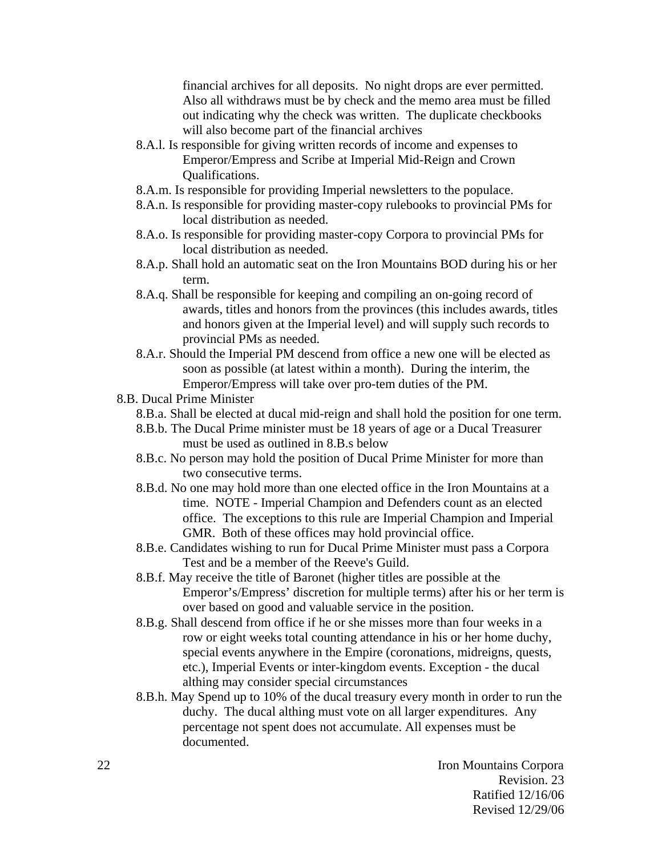financial archives for all deposits. No night drops are ever permitted. Also all withdraws must be by check and the memo area must be filled out indicating why the check was written. The duplicate checkbooks will also become part of the financial archives

- 8.A.l. Is responsible for giving written records of income and expenses to Emperor/Empress and Scribe at Imperial Mid-Reign and Crown Qualifications.
- 8.A.m. Is responsible for providing Imperial newsletters to the populace.
- 8.A.n. Is responsible for providing master-copy rulebooks to provincial PMs for local distribution as needed.
- 8.A.o. Is responsible for providing master-copy Corpora to provincial PMs for local distribution as needed.
- 8.A.p. Shall hold an automatic seat on the Iron Mountains BOD during his or her term.
- 8.A.q. Shall be responsible for keeping and compiling an on-going record of awards, titles and honors from the provinces (this includes awards, titles and honors given at the Imperial level) and will supply such records to provincial PMs as needed.
- 8.A.r. Should the Imperial PM descend from office a new one will be elected as soon as possible (at latest within a month). During the interim, the Emperor/Empress will take over pro-tem duties of the PM.
- 8.B. Ducal Prime Minister
	- 8.B.a. Shall be elected at ducal mid-reign and shall hold the position for one term.
	- 8.B.b. The Ducal Prime minister must be 18 years of age or a Ducal Treasurer must be used as outlined in 8.B.s below
	- 8.B.c. No person may hold the position of Ducal Prime Minister for more than two consecutive terms.
	- 8.B.d. No one may hold more than one elected office in the Iron Mountains at a time. NOTE - Imperial Champion and Defenders count as an elected office. The exceptions to this rule are Imperial Champion and Imperial GMR. Both of these offices may hold provincial office.
	- 8.B.e. Candidates wishing to run for Ducal Prime Minister must pass a Corpora Test and be a member of the Reeve's Guild.
	- 8.B.f. May receive the title of Baronet (higher titles are possible at the Emperor's/Empress' discretion for multiple terms) after his or her term is over based on good and valuable service in the position.
	- 8.B.g. Shall descend from office if he or she misses more than four weeks in a row or eight weeks total counting attendance in his or her home duchy, special events anywhere in the Empire (coronations, midreigns, quests, etc.), Imperial Events or inter-kingdom events. Exception - the ducal althing may consider special circumstances
	- 8.B.h. May Spend up to 10% of the ducal treasury every month in order to run the duchy. The ducal althing must vote on all larger expenditures. Any percentage not spent does not accumulate. All expenses must be documented.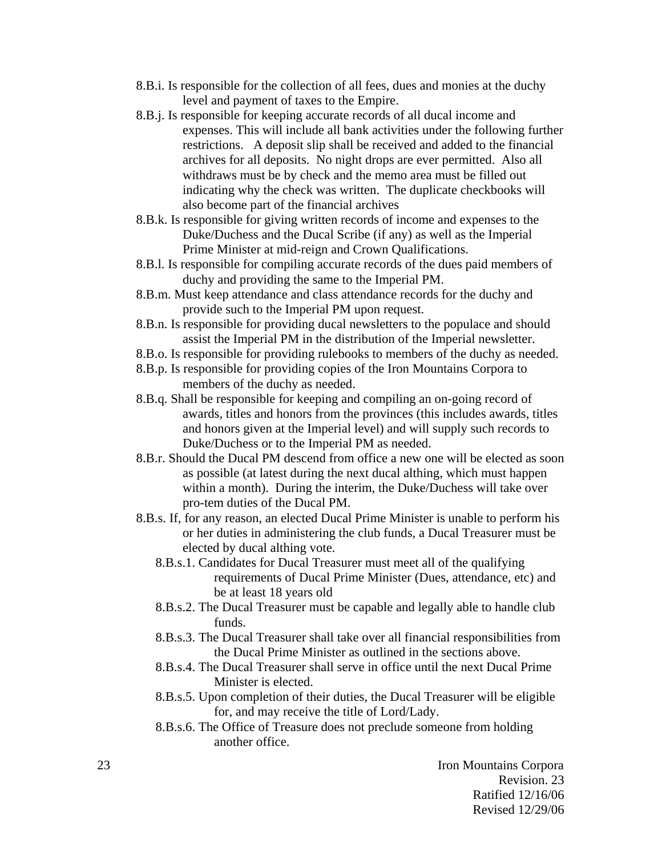- 8.B.i. Is responsible for the collection of all fees, dues and monies at the duchy level and payment of taxes to the Empire.
- 8.B.j. Is responsible for keeping accurate records of all ducal income and expenses. This will include all bank activities under the following further restrictions. A deposit slip shall be received and added to the financial archives for all deposits. No night drops are ever permitted. Also all withdraws must be by check and the memo area must be filled out indicating why the check was written. The duplicate checkbooks will also become part of the financial archives
- 8.B.k. Is responsible for giving written records of income and expenses to the Duke/Duchess and the Ducal Scribe (if any) as well as the Imperial Prime Minister at mid-reign and Crown Qualifications.
- 8.B.l. Is responsible for compiling accurate records of the dues paid members of duchy and providing the same to the Imperial PM.
- 8.B.m. Must keep attendance and class attendance records for the duchy and provide such to the Imperial PM upon request.
- 8.B.n. Is responsible for providing ducal newsletters to the populace and should assist the Imperial PM in the distribution of the Imperial newsletter.
- 8.B.o. Is responsible for providing rulebooks to members of the duchy as needed.
- 8.B.p. Is responsible for providing copies of the Iron Mountains Corpora to members of the duchy as needed.
- 8.B.q. Shall be responsible for keeping and compiling an on-going record of awards, titles and honors from the provinces (this includes awards, titles and honors given at the Imperial level) and will supply such records to Duke/Duchess or to the Imperial PM as needed.
- 8.B.r. Should the Ducal PM descend from office a new one will be elected as soon as possible (at latest during the next ducal althing, which must happen within a month). During the interim, the Duke/Duchess will take over pro-tem duties of the Ducal PM.
- 8.B.s. If, for any reason, an elected Ducal Prime Minister is unable to perform his or her duties in administering the club funds, a Ducal Treasurer must be elected by ducal althing vote.
	- 8.B.s.1. Candidates for Ducal Treasurer must meet all of the qualifying requirements of Ducal Prime Minister (Dues, attendance, etc) and be at least 18 years old
	- 8.B.s.2. The Ducal Treasurer must be capable and legally able to handle club funds.
	- 8.B.s.3. The Ducal Treasurer shall take over all financial responsibilities from the Ducal Prime Minister as outlined in the sections above.
	- 8.B.s.4. The Ducal Treasurer shall serve in office until the next Ducal Prime Minister is elected.
	- 8.B.s.5. Upon completion of their duties, the Ducal Treasurer will be eligible for, and may receive the title of Lord/Lady.
	- 8.B.s.6. The Office of Treasure does not preclude someone from holding another office.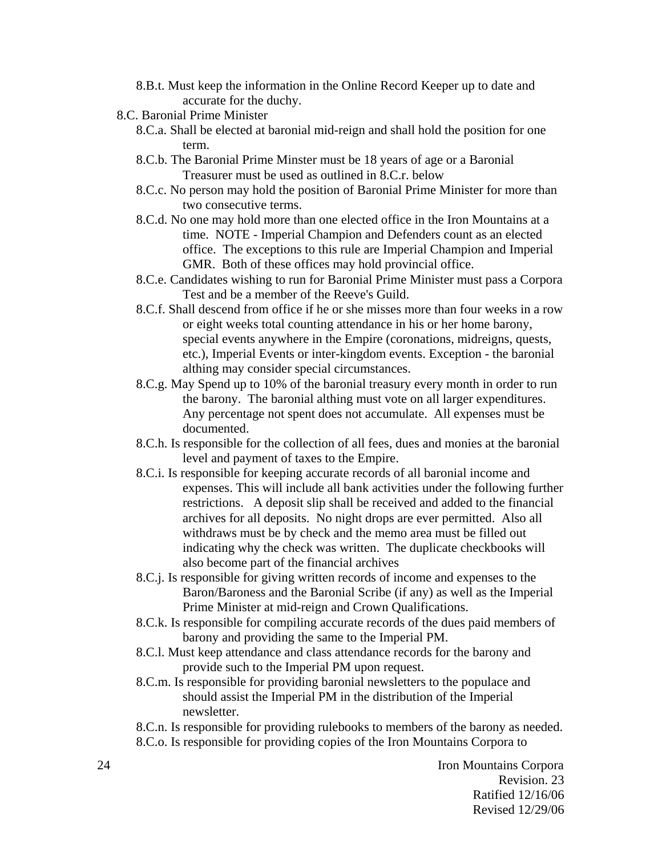- 8.B.t. Must keep the information in the Online Record Keeper up to date and accurate for the duchy.
- 8.C. Baronial Prime Minister
	- 8.C.a. Shall be elected at baronial mid-reign and shall hold the position for one term.
	- 8.C.b. The Baronial Prime Minster must be 18 years of age or a Baronial Treasurer must be used as outlined in 8.C.r. below
	- 8.C.c. No person may hold the position of Baronial Prime Minister for more than two consecutive terms.
	- 8.C.d. No one may hold more than one elected office in the Iron Mountains at a time. NOTE - Imperial Champion and Defenders count as an elected office. The exceptions to this rule are Imperial Champion and Imperial GMR. Both of these offices may hold provincial office.
	- 8.C.e. Candidates wishing to run for Baronial Prime Minister must pass a Corpora Test and be a member of the Reeve's Guild.
	- 8.C.f. Shall descend from office if he or she misses more than four weeks in a row or eight weeks total counting attendance in his or her home barony, special events anywhere in the Empire (coronations, midreigns, quests, etc.), Imperial Events or inter-kingdom events. Exception - the baronial althing may consider special circumstances.
	- 8.C.g. May Spend up to 10% of the baronial treasury every month in order to run the barony. The baronial althing must vote on all larger expenditures. Any percentage not spent does not accumulate. All expenses must be documented.
	- 8.C.h. Is responsible for the collection of all fees, dues and monies at the baronial level and payment of taxes to the Empire.
	- 8.C.i. Is responsible for keeping accurate records of all baronial income and expenses. This will include all bank activities under the following further restrictions. A deposit slip shall be received and added to the financial archives for all deposits. No night drops are ever permitted. Also all withdraws must be by check and the memo area must be filled out indicating why the check was written. The duplicate checkbooks will also become part of the financial archives
	- 8.C.j. Is responsible for giving written records of income and expenses to the Baron/Baroness and the Baronial Scribe (if any) as well as the Imperial Prime Minister at mid-reign and Crown Qualifications.
	- 8.C.k. Is responsible for compiling accurate records of the dues paid members of barony and providing the same to the Imperial PM.
	- 8.C.l. Must keep attendance and class attendance records for the barony and provide such to the Imperial PM upon request.
	- 8.C.m. Is responsible for providing baronial newsletters to the populace and should assist the Imperial PM in the distribution of the Imperial newsletter.

8.C.n. Is responsible for providing rulebooks to members of the barony as needed. 8.C.o. Is responsible for providing copies of the Iron Mountains Corpora to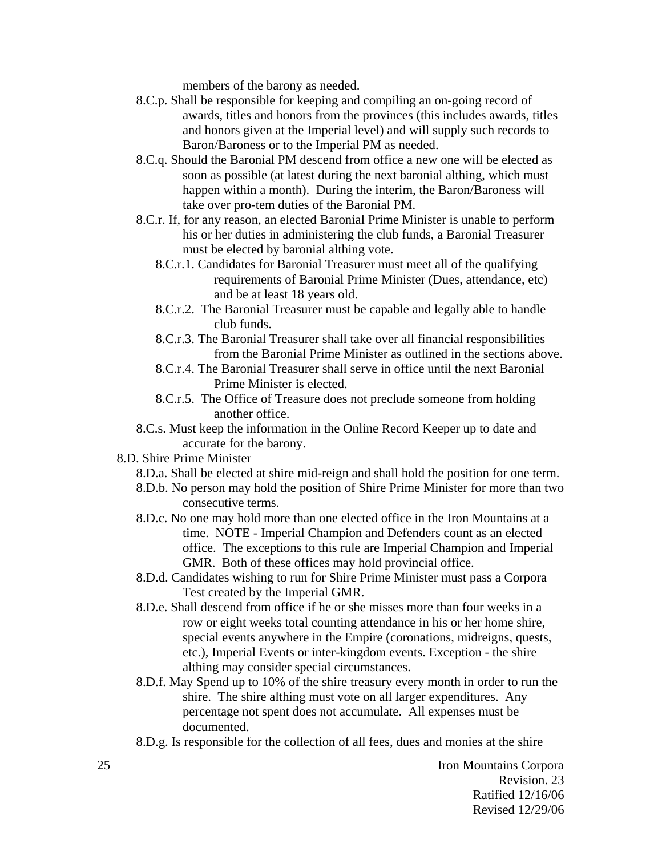members of the barony as needed.

- 8.C.p. Shall be responsible for keeping and compiling an on-going record of awards, titles and honors from the provinces (this includes awards, titles and honors given at the Imperial level) and will supply such records to Baron/Baroness or to the Imperial PM as needed.
- 8.C.q. Should the Baronial PM descend from office a new one will be elected as soon as possible (at latest during the next baronial althing, which must happen within a month). During the interim, the Baron/Baroness will take over pro-tem duties of the Baronial PM.
- 8.C.r. If, for any reason, an elected Baronial Prime Minister is unable to perform his or her duties in administering the club funds, a Baronial Treasurer must be elected by baronial althing vote.
	- 8.C.r.1. Candidates for Baronial Treasurer must meet all of the qualifying requirements of Baronial Prime Minister (Dues, attendance, etc) and be at least 18 years old.
	- 8.C.r.2. The Baronial Treasurer must be capable and legally able to handle club funds.
	- 8.C.r.3. The Baronial Treasurer shall take over all financial responsibilities from the Baronial Prime Minister as outlined in the sections above.
	- 8.C.r.4. The Baronial Treasurer shall serve in office until the next Baronial Prime Minister is elected.
	- 8.C.r.5. The Office of Treasure does not preclude someone from holding another office.
- 8.C.s. Must keep the information in the Online Record Keeper up to date and accurate for the barony.
- 8.D. Shire Prime Minister
	- 8.D.a. Shall be elected at shire mid-reign and shall hold the position for one term.
	- 8.D.b. No person may hold the position of Shire Prime Minister for more than two consecutive terms.
	- 8.D.c. No one may hold more than one elected office in the Iron Mountains at a time. NOTE - Imperial Champion and Defenders count as an elected office. The exceptions to this rule are Imperial Champion and Imperial GMR. Both of these offices may hold provincial office.
	- 8.D.d. Candidates wishing to run for Shire Prime Minister must pass a Corpora Test created by the Imperial GMR.
	- 8.D.e. Shall descend from office if he or she misses more than four weeks in a row or eight weeks total counting attendance in his or her home shire, special events anywhere in the Empire (coronations, midreigns, quests, etc.), Imperial Events or inter-kingdom events. Exception - the shire althing may consider special circumstances.
	- 8.D.f. May Spend up to 10% of the shire treasury every month in order to run the shire. The shire althing must vote on all larger expenditures. Any percentage not spent does not accumulate. All expenses must be documented.
	- 8.D.g. Is responsible for the collection of all fees, dues and monies at the shire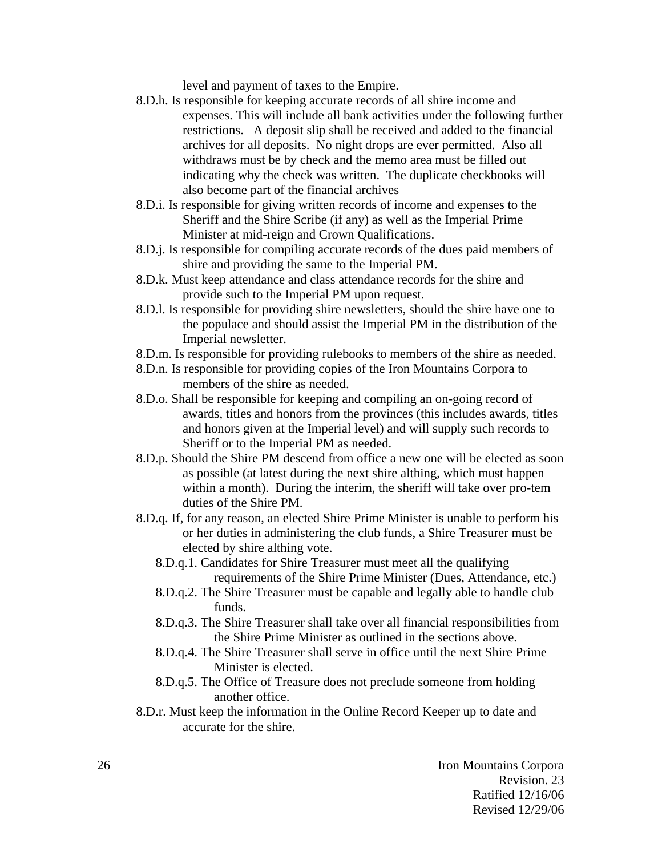level and payment of taxes to the Empire.

- 8.D.h. Is responsible for keeping accurate records of all shire income and expenses. This will include all bank activities under the following further restrictions. A deposit slip shall be received and added to the financial archives for all deposits. No night drops are ever permitted. Also all withdraws must be by check and the memo area must be filled out indicating why the check was written. The duplicate checkbooks will also become part of the financial archives
- 8.D.i. Is responsible for giving written records of income and expenses to the Sheriff and the Shire Scribe (if any) as well as the Imperial Prime Minister at mid-reign and Crown Qualifications.
- 8.D.j. Is responsible for compiling accurate records of the dues paid members of shire and providing the same to the Imperial PM.
- 8.D.k. Must keep attendance and class attendance records for the shire and provide such to the Imperial PM upon request.
- 8.D.l. Is responsible for providing shire newsletters, should the shire have one to the populace and should assist the Imperial PM in the distribution of the Imperial newsletter.
- 8.D.m. Is responsible for providing rulebooks to members of the shire as needed.
- 8.D.n. Is responsible for providing copies of the Iron Mountains Corpora to members of the shire as needed.
- 8.D.o. Shall be responsible for keeping and compiling an on-going record of awards, titles and honors from the provinces (this includes awards, titles and honors given at the Imperial level) and will supply such records to Sheriff or to the Imperial PM as needed.
- 8.D.p. Should the Shire PM descend from office a new one will be elected as soon as possible (at latest during the next shire althing, which must happen within a month). During the interim, the sheriff will take over pro-tem duties of the Shire PM.
- 8.D.q. If, for any reason, an elected Shire Prime Minister is unable to perform his or her duties in administering the club funds, a Shire Treasurer must be elected by shire althing vote.
	- 8.D.q.1. Candidates for Shire Treasurer must meet all the qualifying requirements of the Shire Prime Minister (Dues, Attendance, etc.)
	- 8.D.q.2. The Shire Treasurer must be capable and legally able to handle club funds.
	- 8.D.q.3. The Shire Treasurer shall take over all financial responsibilities from the Shire Prime Minister as outlined in the sections above.
	- 8.D.q.4. The Shire Treasurer shall serve in office until the next Shire Prime Minister is elected.
	- 8.D.q.5. The Office of Treasure does not preclude someone from holding another office.
- 8.D.r. Must keep the information in the Online Record Keeper up to date and accurate for the shire.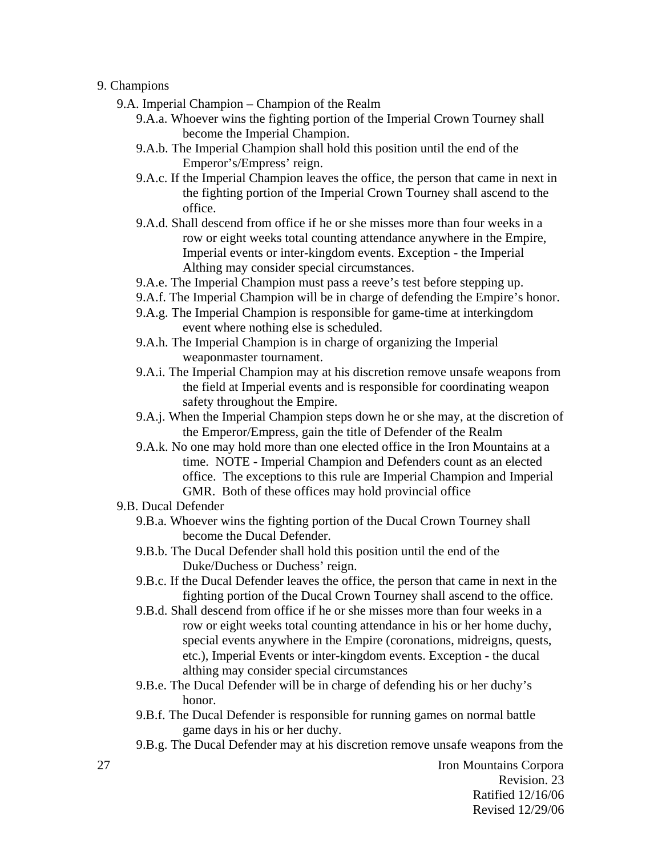### 9. Champions

- 9.A. Imperial Champion Champion of the Realm
	- 9.A.a. Whoever wins the fighting portion of the Imperial Crown Tourney shall become the Imperial Champion.
	- 9.A.b. The Imperial Champion shall hold this position until the end of the Emperor's/Empress' reign.
	- 9.A.c. If the Imperial Champion leaves the office, the person that came in next in the fighting portion of the Imperial Crown Tourney shall ascend to the office.
	- 9.A.d. Shall descend from office if he or she misses more than four weeks in a row or eight weeks total counting attendance anywhere in the Empire, Imperial events or inter-kingdom events. Exception - the Imperial Althing may consider special circumstances.
	- 9.A.e. The Imperial Champion must pass a reeve's test before stepping up.
	- 9.A.f. The Imperial Champion will be in charge of defending the Empire's honor.
	- 9.A.g. The Imperial Champion is responsible for game-time at interkingdom event where nothing else is scheduled.
	- 9.A.h. The Imperial Champion is in charge of organizing the Imperial weaponmaster tournament.
	- 9.A.i. The Imperial Champion may at his discretion remove unsafe weapons from the field at Imperial events and is responsible for coordinating weapon safety throughout the Empire.
	- 9.A.j. When the Imperial Champion steps down he or she may, at the discretion of the Emperor/Empress, gain the title of Defender of the Realm
	- 9.A.k. No one may hold more than one elected office in the Iron Mountains at a time. NOTE - Imperial Champion and Defenders count as an elected office. The exceptions to this rule are Imperial Champion and Imperial GMR. Both of these offices may hold provincial office

#### 9.B. Ducal Defender

- 9.B.a. Whoever wins the fighting portion of the Ducal Crown Tourney shall become the Ducal Defender.
- 9.B.b. The Ducal Defender shall hold this position until the end of the Duke/Duchess or Duchess' reign.
- 9.B.c. If the Ducal Defender leaves the office, the person that came in next in the fighting portion of the Ducal Crown Tourney shall ascend to the office.
- 9.B.d. Shall descend from office if he or she misses more than four weeks in a row or eight weeks total counting attendance in his or her home duchy, special events anywhere in the Empire (coronations, midreigns, quests, etc.), Imperial Events or inter-kingdom events. Exception - the ducal althing may consider special circumstances
- 9.B.e. The Ducal Defender will be in charge of defending his or her duchy's honor.
- 9.B.f. The Ducal Defender is responsible for running games on normal battle game days in his or her duchy.
- 9.B.g. The Ducal Defender may at his discretion remove unsafe weapons from the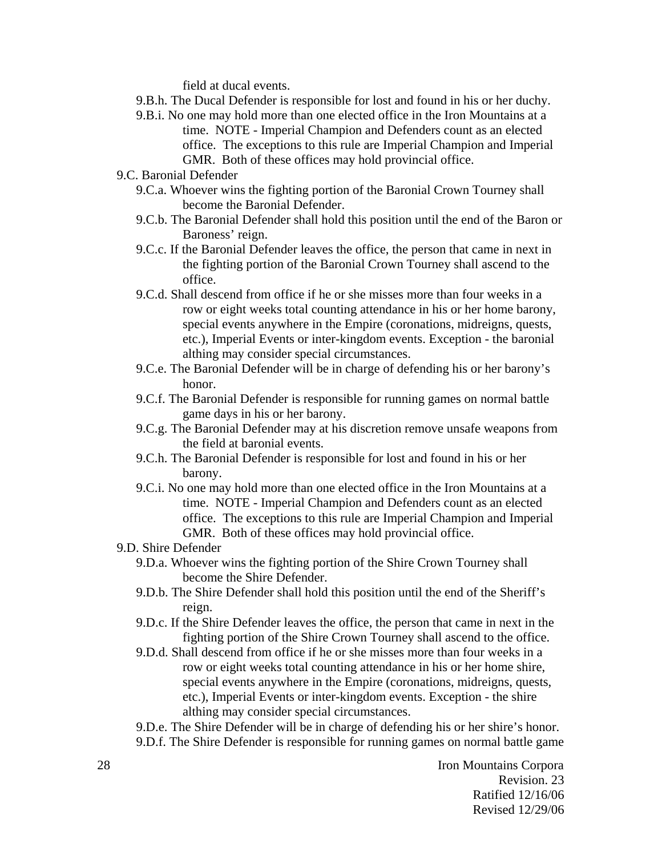field at ducal events.

- 9.B.h. The Ducal Defender is responsible for lost and found in his or her duchy.
- 9.B.i. No one may hold more than one elected office in the Iron Mountains at a time. NOTE - Imperial Champion and Defenders count as an elected office. The exceptions to this rule are Imperial Champion and Imperial GMR. Both of these offices may hold provincial office.
- 9.C. Baronial Defender
	- 9.C.a. Whoever wins the fighting portion of the Baronial Crown Tourney shall become the Baronial Defender.
	- 9.C.b. The Baronial Defender shall hold this position until the end of the Baron or Baroness' reign.
	- 9.C.c. If the Baronial Defender leaves the office, the person that came in next in the fighting portion of the Baronial Crown Tourney shall ascend to the office.
	- 9.C.d. Shall descend from office if he or she misses more than four weeks in a row or eight weeks total counting attendance in his or her home barony, special events anywhere in the Empire (coronations, midreigns, quests, etc.), Imperial Events or inter-kingdom events. Exception - the baronial althing may consider special circumstances.
	- 9.C.e. The Baronial Defender will be in charge of defending his or her barony's honor.
	- 9.C.f. The Baronial Defender is responsible for running games on normal battle game days in his or her barony.
	- 9.C.g. The Baronial Defender may at his discretion remove unsafe weapons from the field at baronial events.
	- 9.C.h. The Baronial Defender is responsible for lost and found in his or her barony.
	- 9.C.i. No one may hold more than one elected office in the Iron Mountains at a time. NOTE - Imperial Champion and Defenders count as an elected office. The exceptions to this rule are Imperial Champion and Imperial GMR. Both of these offices may hold provincial office.

9.D. Shire Defender

- 9.D.a. Whoever wins the fighting portion of the Shire Crown Tourney shall become the Shire Defender.
- 9.D.b. The Shire Defender shall hold this position until the end of the Sheriff's reign.
- 9.D.c. If the Shire Defender leaves the office, the person that came in next in the fighting portion of the Shire Crown Tourney shall ascend to the office.
- 9.D.d. Shall descend from office if he or she misses more than four weeks in a row or eight weeks total counting attendance in his or her home shire, special events anywhere in the Empire (coronations, midreigns, quests, etc.), Imperial Events or inter-kingdom events. Exception - the shire althing may consider special circumstances.

9.D.e. The Shire Defender will be in charge of defending his or her shire's honor. 9.D.f. The Shire Defender is responsible for running games on normal battle game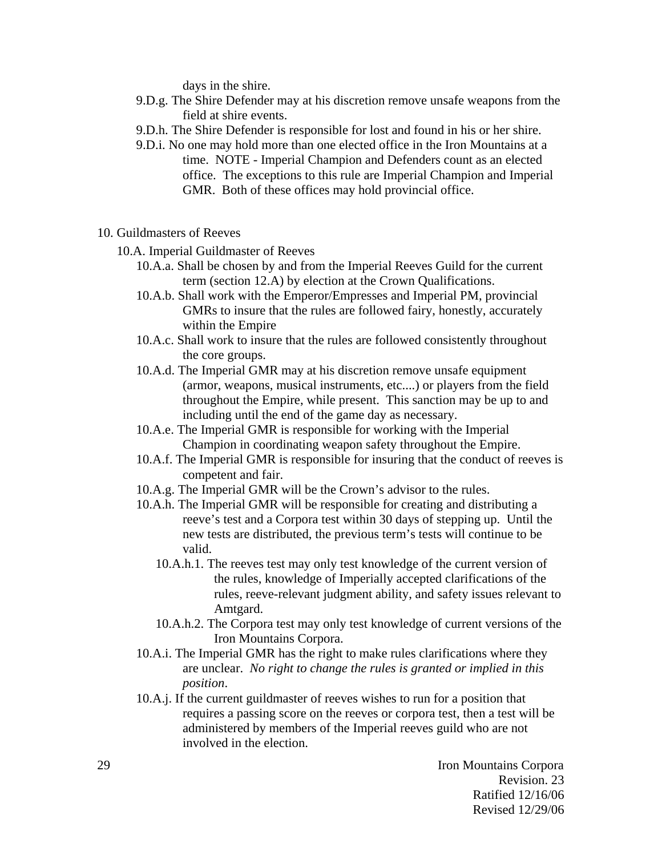days in the shire.

- 9.D.g. The Shire Defender may at his discretion remove unsafe weapons from the field at shire events.
- 9.D.h. The Shire Defender is responsible for lost and found in his or her shire.
- 9.D.i. No one may hold more than one elected office in the Iron Mountains at a time. NOTE - Imperial Champion and Defenders count as an elected office. The exceptions to this rule are Imperial Champion and Imperial GMR. Both of these offices may hold provincial office.
- 10. Guildmasters of Reeves
	- 10.A. Imperial Guildmaster of Reeves
		- 10.A.a. Shall be chosen by and from the Imperial Reeves Guild for the current term (section 12.A) by election at the Crown Qualifications.
		- 10.A.b. Shall work with the Emperor/Empresses and Imperial PM, provincial GMRs to insure that the rules are followed fairy, honestly, accurately within the Empire
		- 10.A.c. Shall work to insure that the rules are followed consistently throughout the core groups.
		- 10.A.d. The Imperial GMR may at his discretion remove unsafe equipment (armor, weapons, musical instruments, etc....) or players from the field throughout the Empire, while present. This sanction may be up to and including until the end of the game day as necessary.
		- 10.A.e. The Imperial GMR is responsible for working with the Imperial Champion in coordinating weapon safety throughout the Empire.
		- 10.A.f. The Imperial GMR is responsible for insuring that the conduct of reeves is competent and fair.
		- 10.A.g. The Imperial GMR will be the Crown's advisor to the rules.
		- 10.A.h. The Imperial GMR will be responsible for creating and distributing a reeve's test and a Corpora test within 30 days of stepping up. Until the new tests are distributed, the previous term's tests will continue to be valid.
			- 10.A.h.1. The reeves test may only test knowledge of the current version of the rules, knowledge of Imperially accepted clarifications of the rules, reeve-relevant judgment ability, and safety issues relevant to Amtgard.
			- 10.A.h.2. The Corpora test may only test knowledge of current versions of the Iron Mountains Corpora.
		- 10.A.i. The Imperial GMR has the right to make rules clarifications where they are unclear. *No right to change the rules is granted or implied in this position*.
		- 10.A.j. If the current guildmaster of reeves wishes to run for a position that requires a passing score on the reeves or corpora test, then a test will be administered by members of the Imperial reeves guild who are not involved in the election.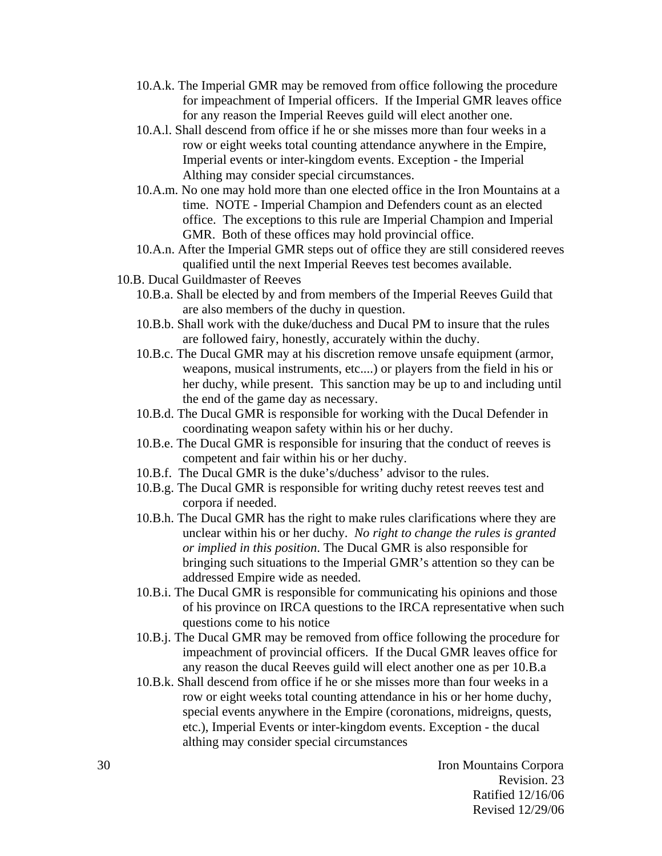- 10.A.k. The Imperial GMR may be removed from office following the procedure for impeachment of Imperial officers. If the Imperial GMR leaves office for any reason the Imperial Reeves guild will elect another one.
- 10.A.l. Shall descend from office if he or she misses more than four weeks in a row or eight weeks total counting attendance anywhere in the Empire, Imperial events or inter-kingdom events. Exception - the Imperial Althing may consider special circumstances.
- 10.A.m. No one may hold more than one elected office in the Iron Mountains at a time. NOTE - Imperial Champion and Defenders count as an elected office. The exceptions to this rule are Imperial Champion and Imperial GMR. Both of these offices may hold provincial office.
- 10.A.n. After the Imperial GMR steps out of office they are still considered reeves qualified until the next Imperial Reeves test becomes available.
- 10.B. Ducal Guildmaster of Reeves
	- 10.B.a. Shall be elected by and from members of the Imperial Reeves Guild that are also members of the duchy in question.
	- 10.B.b. Shall work with the duke/duchess and Ducal PM to insure that the rules are followed fairy, honestly, accurately within the duchy.
	- 10.B.c. The Ducal GMR may at his discretion remove unsafe equipment (armor, weapons, musical instruments, etc....) or players from the field in his or her duchy, while present. This sanction may be up to and including until the end of the game day as necessary.
	- 10.B.d. The Ducal GMR is responsible for working with the Ducal Defender in coordinating weapon safety within his or her duchy.
	- 10.B.e. The Ducal GMR is responsible for insuring that the conduct of reeves is competent and fair within his or her duchy.
	- 10.B.f. The Ducal GMR is the duke's/duchess' advisor to the rules.
	- 10.B.g. The Ducal GMR is responsible for writing duchy retest reeves test and corpora if needed.
	- 10.B.h. The Ducal GMR has the right to make rules clarifications where they are unclear within his or her duchy. *No right to change the rules is granted or implied in this position*. The Ducal GMR is also responsible for bringing such situations to the Imperial GMR's attention so they can be addressed Empire wide as needed.
	- 10.B.i. The Ducal GMR is responsible for communicating his opinions and those of his province on IRCA questions to the IRCA representative when such questions come to his notice
	- 10.B.j. The Ducal GMR may be removed from office following the procedure for impeachment of provincial officers. If the Ducal GMR leaves office for any reason the ducal Reeves guild will elect another one as per 10.B.a
	- 10.B.k. Shall descend from office if he or she misses more than four weeks in a row or eight weeks total counting attendance in his or her home duchy, special events anywhere in the Empire (coronations, midreigns, quests, etc.), Imperial Events or inter-kingdom events. Exception - the ducal althing may consider special circumstances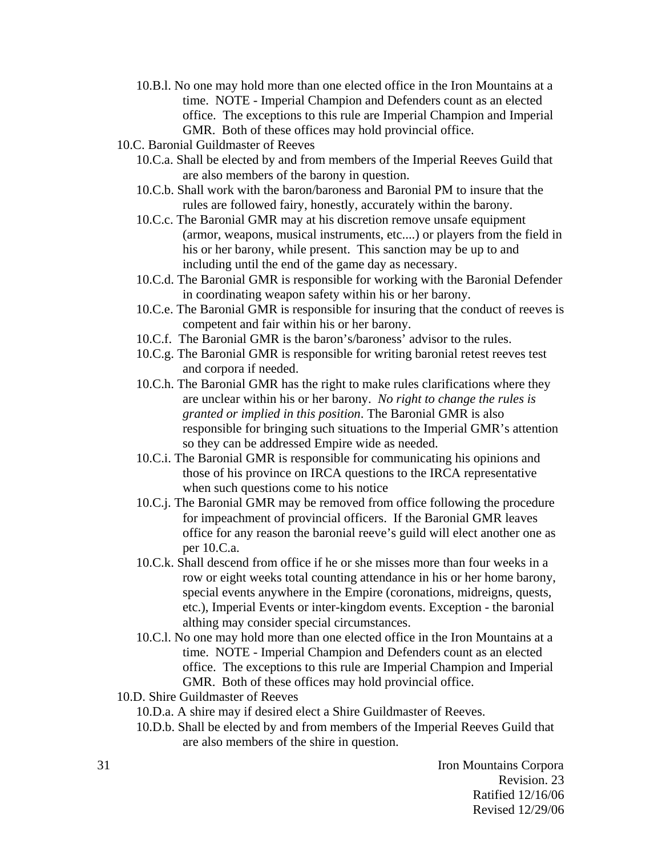- 10.B.l. No one may hold more than one elected office in the Iron Mountains at a time. NOTE - Imperial Champion and Defenders count as an elected office. The exceptions to this rule are Imperial Champion and Imperial GMR. Both of these offices may hold provincial office.
- 10.C. Baronial Guildmaster of Reeves
	- 10.C.a. Shall be elected by and from members of the Imperial Reeves Guild that are also members of the barony in question.
	- 10.C.b. Shall work with the baron/baroness and Baronial PM to insure that the rules are followed fairy, honestly, accurately within the barony.
	- 10.C.c. The Baronial GMR may at his discretion remove unsafe equipment (armor, weapons, musical instruments, etc....) or players from the field in his or her barony, while present. This sanction may be up to and including until the end of the game day as necessary.
	- 10.C.d. The Baronial GMR is responsible for working with the Baronial Defender in coordinating weapon safety within his or her barony.
	- 10.C.e. The Baronial GMR is responsible for insuring that the conduct of reeves is competent and fair within his or her barony.
	- 10.C.f. The Baronial GMR is the baron's/baroness' advisor to the rules.
	- 10.C.g. The Baronial GMR is responsible for writing baronial retest reeves test and corpora if needed.
	- 10.C.h. The Baronial GMR has the right to make rules clarifications where they are unclear within his or her barony. *No right to change the rules is granted or implied in this position*. The Baronial GMR is also responsible for bringing such situations to the Imperial GMR's attention so they can be addressed Empire wide as needed.
	- 10.C.i. The Baronial GMR is responsible for communicating his opinions and those of his province on IRCA questions to the IRCA representative when such questions come to his notice
	- 10.C.j. The Baronial GMR may be removed from office following the procedure for impeachment of provincial officers. If the Baronial GMR leaves office for any reason the baronial reeve's guild will elect another one as per 10.C.a.
	- 10.C.k. Shall descend from office if he or she misses more than four weeks in a row or eight weeks total counting attendance in his or her home barony, special events anywhere in the Empire (coronations, midreigns, quests, etc.), Imperial Events or inter-kingdom events. Exception - the baronial althing may consider special circumstances.
	- 10.C.l. No one may hold more than one elected office in the Iron Mountains at a time. NOTE - Imperial Champion and Defenders count as an elected office. The exceptions to this rule are Imperial Champion and Imperial GMR. Both of these offices may hold provincial office.
- 10.D. Shire Guildmaster of Reeves
	- 10.D.a. A shire may if desired elect a Shire Guildmaster of Reeves.
	- 10.D.b. Shall be elected by and from members of the Imperial Reeves Guild that are also members of the shire in question.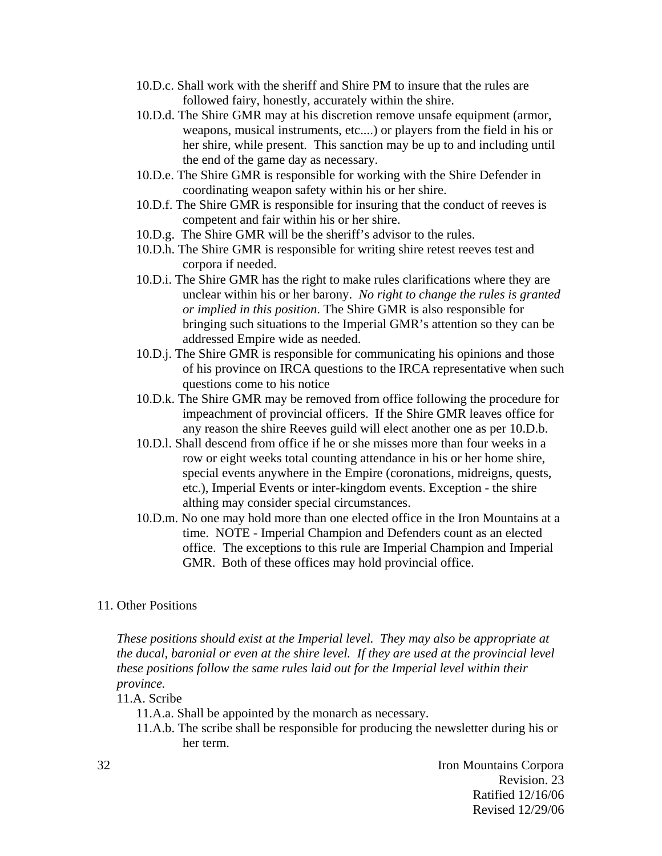- 10.D.c. Shall work with the sheriff and Shire PM to insure that the rules are followed fairy, honestly, accurately within the shire.
- 10.D.d. The Shire GMR may at his discretion remove unsafe equipment (armor, weapons, musical instruments, etc....) or players from the field in his or her shire, while present. This sanction may be up to and including until the end of the game day as necessary.
- 10.D.e. The Shire GMR is responsible for working with the Shire Defender in coordinating weapon safety within his or her shire.
- 10.D.f. The Shire GMR is responsible for insuring that the conduct of reeves is competent and fair within his or her shire.
- 10.D.g. The Shire GMR will be the sheriff's advisor to the rules.
- 10.D.h. The Shire GMR is responsible for writing shire retest reeves test and corpora if needed.
- 10.D.i. The Shire GMR has the right to make rules clarifications where they are unclear within his or her barony. *No right to change the rules is granted or implied in this position*. The Shire GMR is also responsible for bringing such situations to the Imperial GMR's attention so they can be addressed Empire wide as needed.
- 10.D.j. The Shire GMR is responsible for communicating his opinions and those of his province on IRCA questions to the IRCA representative when such questions come to his notice
- 10.D.k. The Shire GMR may be removed from office following the procedure for impeachment of provincial officers. If the Shire GMR leaves office for any reason the shire Reeves guild will elect another one as per 10.D.b.
- 10.D.l. Shall descend from office if he or she misses more than four weeks in a row or eight weeks total counting attendance in his or her home shire, special events anywhere in the Empire (coronations, midreigns, quests, etc.), Imperial Events or inter-kingdom events. Exception - the shire althing may consider special circumstances.
- 10.D.m. No one may hold more than one elected office in the Iron Mountains at a time. NOTE - Imperial Champion and Defenders count as an elected office. The exceptions to this rule are Imperial Champion and Imperial GMR. Both of these offices may hold provincial office.

#### 11. Other Positions

*These positions should exist at the Imperial level. They may also be appropriate at the ducal, baronial or even at the shire level. If they are used at the provincial level these positions follow the same rules laid out for the Imperial level within their province.* 

- 11.A. Scribe
	- 11.A.a. Shall be appointed by the monarch as necessary.
	- 11.A.b. The scribe shall be responsible for producing the newsletter during his or her term.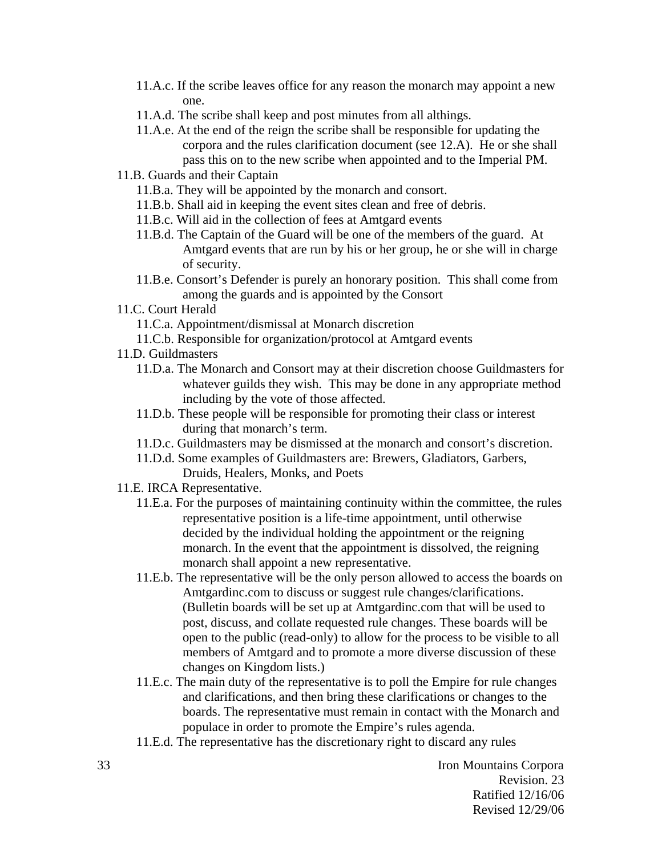- 11.A.c. If the scribe leaves office for any reason the monarch may appoint a new one.
- 11.A.d. The scribe shall keep and post minutes from all althings.
- 11.A.e. At the end of the reign the scribe shall be responsible for updating the corpora and the rules clarification document (see 12.A). He or she shall pass this on to the new scribe when appointed and to the Imperial PM.
- 11.B. Guards and their Captain
	- 11.B.a. They will be appointed by the monarch and consort.
	- 11.B.b. Shall aid in keeping the event sites clean and free of debris.
	- 11.B.c. Will aid in the collection of fees at Amtgard events
	- 11.B.d. The Captain of the Guard will be one of the members of the guard. At Amtgard events that are run by his or her group, he or she will in charge of security.
	- 11.B.e. Consort's Defender is purely an honorary position. This shall come from among the guards and is appointed by the Consort
- 11.C. Court Herald
	- 11.C.a. Appointment/dismissal at Monarch discretion
	- 11.C.b. Responsible for organization/protocol at Amtgard events
- 11.D. Guildmasters
	- 11.D.a. The Monarch and Consort may at their discretion choose Guildmasters for whatever guilds they wish. This may be done in any appropriate method including by the vote of those affected.
	- 11.D.b. These people will be responsible for promoting their class or interest during that monarch's term.
	- 11.D.c. Guildmasters may be dismissed at the monarch and consort's discretion.
	- 11.D.d. Some examples of Guildmasters are: Brewers, Gladiators, Garbers, Druids, Healers, Monks, and Poets
- 11.E. IRCA Representative.
	- 11.E.a. For the purposes of maintaining continuity within the committee, the rules representative position is a life-time appointment, until otherwise decided by the individual holding the appointment or the reigning monarch. In the event that the appointment is dissolved, the reigning monarch shall appoint a new representative.
	- 11.E.b. The representative will be the only person allowed to access the boards on Amtgardinc.com to discuss or suggest rule changes/clarifications. (Bulletin boards will be set up at Amtgardinc.com that will be used to post, discuss, and collate requested rule changes. These boards will be open to the public (read-only) to allow for the process to be visible to all members of Amtgard and to promote a more diverse discussion of these changes on Kingdom lists.)
	- 11.E.c. The main duty of the representative is to poll the Empire for rule changes and clarifications, and then bring these clarifications or changes to the boards. The representative must remain in contact with the Monarch and populace in order to promote the Empire's rules agenda.
	- 11.E.d. The representative has the discretionary right to discard any rules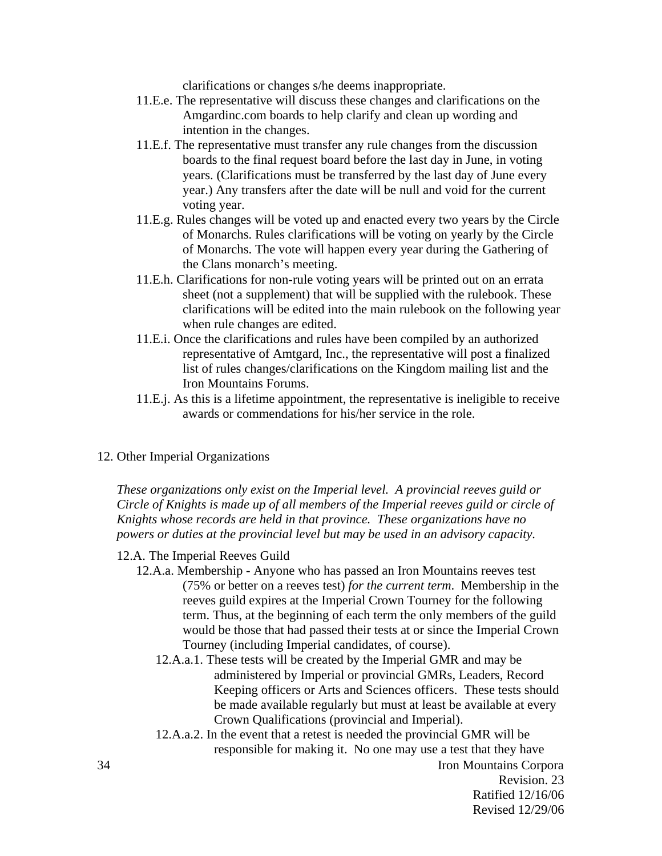clarifications or changes s/he deems inappropriate.

- 11.E.e. The representative will discuss these changes and clarifications on the Amgardinc.com boards to help clarify and clean up wording and intention in the changes.
- 11.E.f. The representative must transfer any rule changes from the discussion boards to the final request board before the last day in June, in voting years. (Clarifications must be transferred by the last day of June every year.) Any transfers after the date will be null and void for the current voting year.
- 11.E.g. Rules changes will be voted up and enacted every two years by the Circle of Monarchs. Rules clarifications will be voting on yearly by the Circle of Monarchs. The vote will happen every year during the Gathering of the Clans monarch's meeting.
- 11.E.h. Clarifications for non-rule voting years will be printed out on an errata sheet (not a supplement) that will be supplied with the rulebook. These clarifications will be edited into the main rulebook on the following year when rule changes are edited.
- 11.E.i. Once the clarifications and rules have been compiled by an authorized representative of Amtgard, Inc., the representative will post a finalized list of rules changes/clarifications on the Kingdom mailing list and the Iron Mountains Forums.
- 11.E.j. As this is a lifetime appointment, the representative is ineligible to receive awards or commendations for his/her service in the role.
- 12. Other Imperial Organizations

*These organizations only exist on the Imperial level. A provincial reeves guild or Circle of Knights is made up of all members of the Imperial reeves guild or circle of Knights whose records are held in that province. These organizations have no powers or duties at the provincial level but may be used in an advisory capacity.* 

#### 12.A. The Imperial Reeves Guild

- 12.A.a. Membership Anyone who has passed an Iron Mountains reeves test (75% or better on a reeves test) *for the current term*. Membership in the reeves guild expires at the Imperial Crown Tourney for the following term. Thus, at the beginning of each term the only members of the guild would be those that had passed their tests at or since the Imperial Crown Tourney (including Imperial candidates, of course).
	- 12.A.a.1. These tests will be created by the Imperial GMR and may be administered by Imperial or provincial GMRs, Leaders, Record Keeping officers or Arts and Sciences officers. These tests should be made available regularly but must at least be available at every Crown Qualifications (provincial and Imperial).
	- 12.A.a.2. In the event that a retest is needed the provincial GMR will be responsible for making it. No one may use a test that they have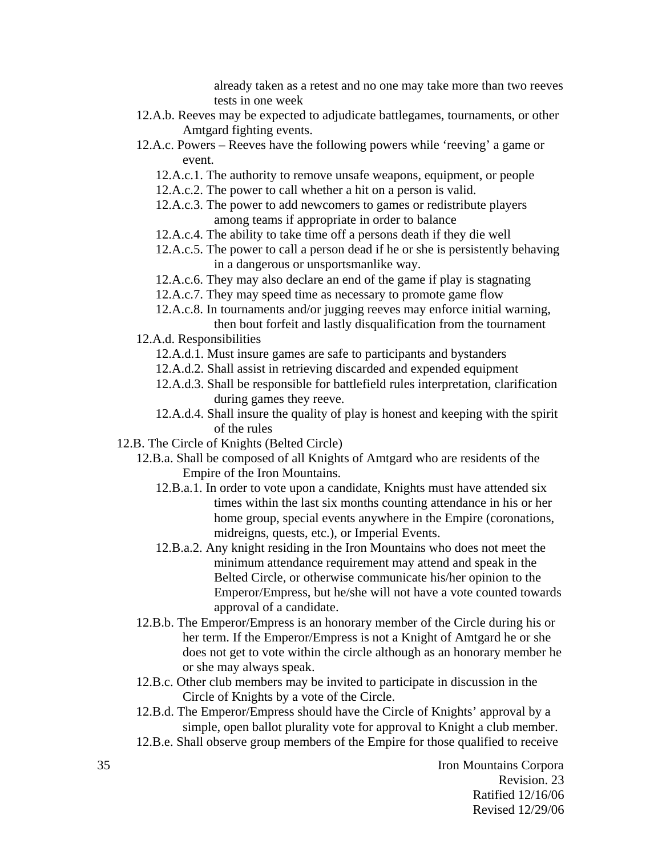already taken as a retest and no one may take more than two reeves tests in one week

- 12.A.b. Reeves may be expected to adjudicate battlegames, tournaments, or other Amtgard fighting events.
- 12.A.c. Powers Reeves have the following powers while 'reeving' a game or event.
	- 12.A.c.1. The authority to remove unsafe weapons, equipment, or people
	- 12.A.c.2. The power to call whether a hit on a person is valid.
	- 12.A.c.3. The power to add newcomers to games or redistribute players among teams if appropriate in order to balance
	- 12.A.c.4. The ability to take time off a persons death if they die well
	- 12.A.c.5. The power to call a person dead if he or she is persistently behaving in a dangerous or unsportsmanlike way.
	- 12.A.c.6. They may also declare an end of the game if play is stagnating
	- 12.A.c.7. They may speed time as necessary to promote game flow
	- 12.A.c.8. In tournaments and/or jugging reeves may enforce initial warning, then bout forfeit and lastly disqualification from the tournament
- 12.A.d. Responsibilities
	- 12.A.d.1. Must insure games are safe to participants and bystanders
	- 12.A.d.2. Shall assist in retrieving discarded and expended equipment
	- 12.A.d.3. Shall be responsible for battlefield rules interpretation, clarification during games they reeve.
	- 12.A.d.4. Shall insure the quality of play is honest and keeping with the spirit of the rules
- 12.B. The Circle of Knights (Belted Circle)
	- 12.B.a. Shall be composed of all Knights of Amtgard who are residents of the Empire of the Iron Mountains.
		- 12.B.a.1. In order to vote upon a candidate, Knights must have attended six times within the last six months counting attendance in his or her home group, special events anywhere in the Empire (coronations, midreigns, quests, etc.), or Imperial Events.
		- 12.B.a.2. Any knight residing in the Iron Mountains who does not meet the minimum attendance requirement may attend and speak in the Belted Circle, or otherwise communicate his/her opinion to the Emperor/Empress, but he/she will not have a vote counted towards approval of a candidate.
	- 12.B.b. The Emperor/Empress is an honorary member of the Circle during his or her term. If the Emperor/Empress is not a Knight of Amtgard he or she does not get to vote within the circle although as an honorary member he or she may always speak.
	- 12.B.c. Other club members may be invited to participate in discussion in the Circle of Knights by a vote of the Circle.
	- 12.B.d. The Emperor/Empress should have the Circle of Knights' approval by a simple, open ballot plurality vote for approval to Knight a club member.
	- 12.B.e. Shall observe group members of the Empire for those qualified to receive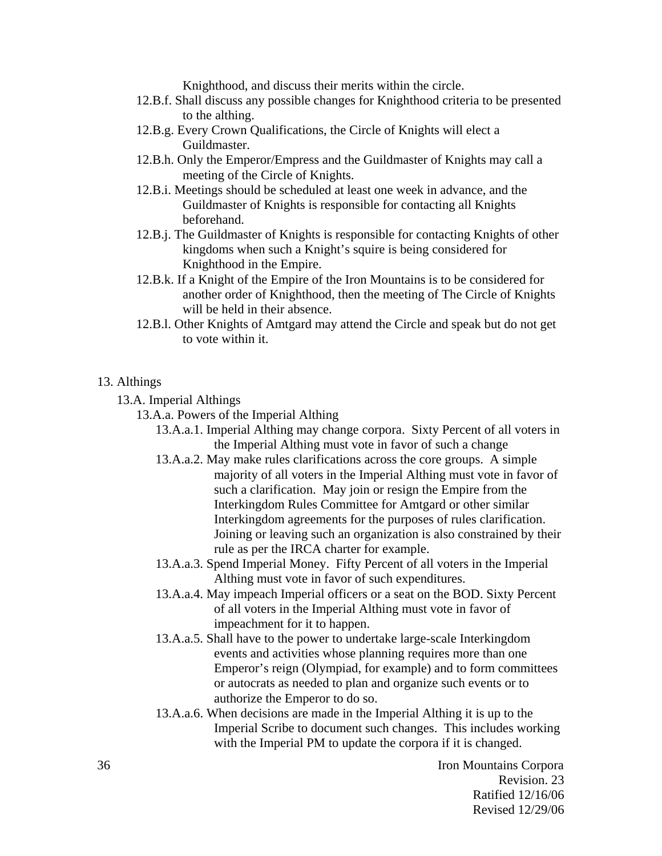Knighthood, and discuss their merits within the circle.

- 12.B.f. Shall discuss any possible changes for Knighthood criteria to be presented to the althing.
- 12.B.g. Every Crown Qualifications, the Circle of Knights will elect a Guildmaster.
- 12.B.h. Only the Emperor/Empress and the Guildmaster of Knights may call a meeting of the Circle of Knights.
- 12.B.i. Meetings should be scheduled at least one week in advance, and the Guildmaster of Knights is responsible for contacting all Knights beforehand.
- 12.B.j. The Guildmaster of Knights is responsible for contacting Knights of other kingdoms when such a Knight's squire is being considered for Knighthood in the Empire.
- 12.B.k. If a Knight of the Empire of the Iron Mountains is to be considered for another order of Knighthood, then the meeting of The Circle of Knights will be held in their absence.
- 12.B.l. Other Knights of Amtgard may attend the Circle and speak but do not get to vote within it.

#### 13. Althings

13.A. Imperial Althings

- 13.A.a. Powers of the Imperial Althing
	- 13.A.a.1. Imperial Althing may change corpora. Sixty Percent of all voters in the Imperial Althing must vote in favor of such a change
	- 13.A.a.2. May make rules clarifications across the core groups. A simple majority of all voters in the Imperial Althing must vote in favor of such a clarification. May join or resign the Empire from the Interkingdom Rules Committee for Amtgard or other similar Interkingdom agreements for the purposes of rules clarification. Joining or leaving such an organization is also constrained by their rule as per the IRCA charter for example.
	- 13.A.a.3. Spend Imperial Money. Fifty Percent of all voters in the Imperial Althing must vote in favor of such expenditures.
	- 13.A.a.4. May impeach Imperial officers or a seat on the BOD. Sixty Percent of all voters in the Imperial Althing must vote in favor of impeachment for it to happen.
	- 13.A.a.5. Shall have to the power to undertake large-scale Interkingdom events and activities whose planning requires more than one Emperor's reign (Olympiad, for example) and to form committees or autocrats as needed to plan and organize such events or to authorize the Emperor to do so.
	- 13.A.a.6. When decisions are made in the Imperial Althing it is up to the Imperial Scribe to document such changes. This includes working with the Imperial PM to update the corpora if it is changed.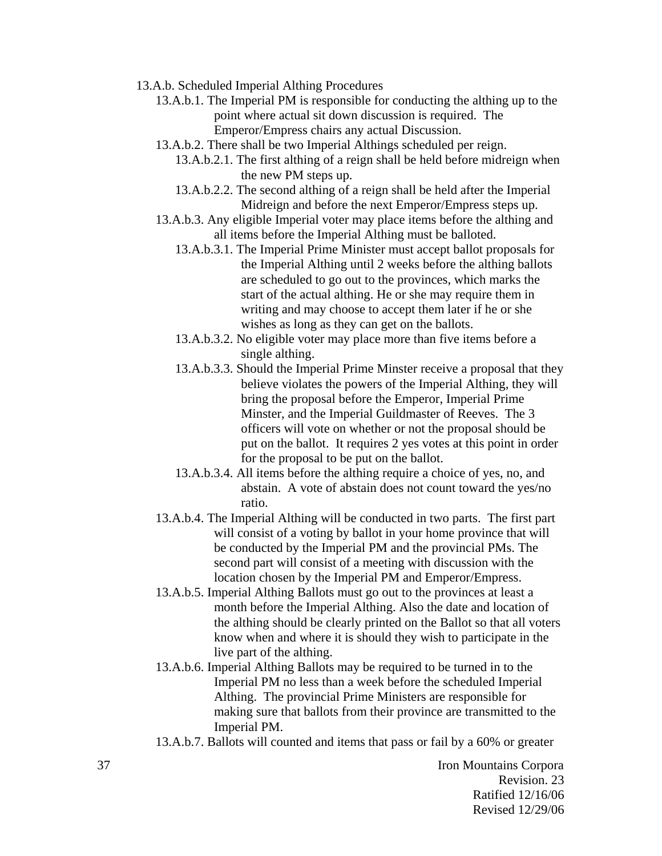- 13.A.b. Scheduled Imperial Althing Procedures
	- 13.A.b.1. The Imperial PM is responsible for conducting the althing up to the point where actual sit down discussion is required. The Emperor/Empress chairs any actual Discussion.
	- 13.A.b.2. There shall be two Imperial Althings scheduled per reign.
		- 13.A.b.2.1. The first althing of a reign shall be held before midreign when the new PM steps up.
		- 13.A.b.2.2. The second althing of a reign shall be held after the Imperial Midreign and before the next Emperor/Empress steps up.
	- 13.A.b.3. Any eligible Imperial voter may place items before the althing and all items before the Imperial Althing must be balloted.
		- 13.A.b.3.1. The Imperial Prime Minister must accept ballot proposals for the Imperial Althing until 2 weeks before the althing ballots are scheduled to go out to the provinces, which marks the start of the actual althing. He or she may require them in writing and may choose to accept them later if he or she wishes as long as they can get on the ballots.
		- 13.A.b.3.2. No eligible voter may place more than five items before a single althing.
		- 13.A.b.3.3. Should the Imperial Prime Minster receive a proposal that they believe violates the powers of the Imperial Althing, they will bring the proposal before the Emperor, Imperial Prime Minster, and the Imperial Guildmaster of Reeves. The 3 officers will vote on whether or not the proposal should be put on the ballot. It requires 2 yes votes at this point in order for the proposal to be put on the ballot.
		- 13.A.b.3.4. All items before the althing require a choice of yes, no, and abstain. A vote of abstain does not count toward the yes/no ratio.
	- 13.A.b.4. The Imperial Althing will be conducted in two parts. The first part will consist of a voting by ballot in your home province that will be conducted by the Imperial PM and the provincial PMs. The second part will consist of a meeting with discussion with the location chosen by the Imperial PM and Emperor/Empress.
	- 13.A.b.5. Imperial Althing Ballots must go out to the provinces at least a month before the Imperial Althing. Also the date and location of the althing should be clearly printed on the Ballot so that all voters know when and where it is should they wish to participate in the live part of the althing.
	- 13.A.b.6. Imperial Althing Ballots may be required to be turned in to the Imperial PM no less than a week before the scheduled Imperial Althing. The provincial Prime Ministers are responsible for making sure that ballots from their province are transmitted to the Imperial PM.
	- 13.A.b.7. Ballots will counted and items that pass or fail by a 60% or greater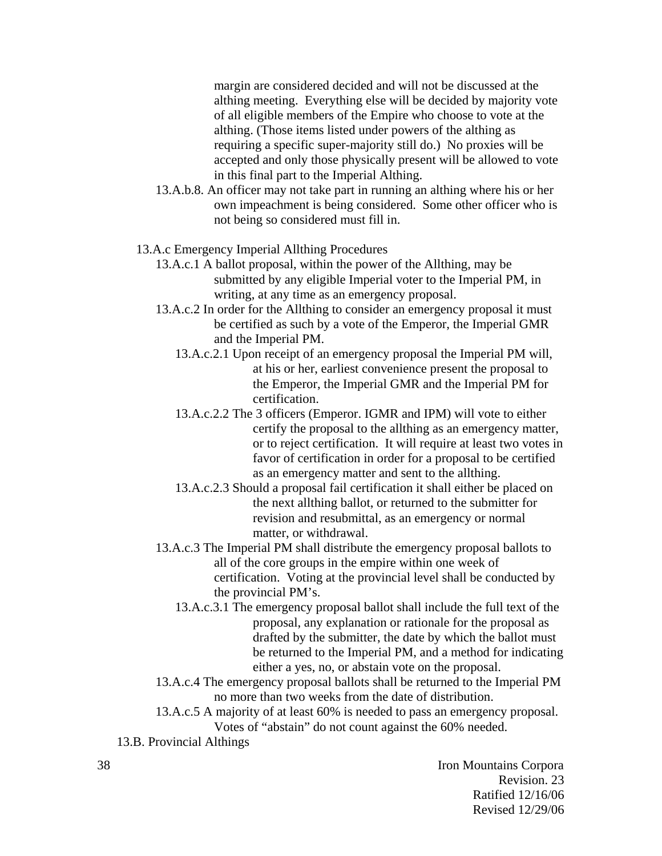margin are considered decided and will not be discussed at the althing meeting. Everything else will be decided by majority vote of all eligible members of the Empire who choose to vote at the althing. (Those items listed under powers of the althing as requiring a specific super-majority still do.) No proxies will be accepted and only those physically present will be allowed to vote in this final part to the Imperial Althing.

- 13.A.b.8. An officer may not take part in running an althing where his or her own impeachment is being considered. Some other officer who is not being so considered must fill in.
- 13.A.c Emergency Imperial Allthing Procedures
	- 13.A.c.1 A ballot proposal, within the power of the Allthing, may be submitted by any eligible Imperial voter to the Imperial PM, in writing, at any time as an emergency proposal.
	- 13.A.c.2 In order for the Allthing to consider an emergency proposal it must be certified as such by a vote of the Emperor, the Imperial GMR and the Imperial PM.
		- 13.A.c.2.1 Upon receipt of an emergency proposal the Imperial PM will, at his or her, earliest convenience present the proposal to the Emperor, the Imperial GMR and the Imperial PM for certification.
		- 13.A.c.2.2 The 3 officers (Emperor. IGMR and IPM) will vote to either certify the proposal to the allthing as an emergency matter, or to reject certification. It will require at least two votes in favor of certification in order for a proposal to be certified as an emergency matter and sent to the allthing.
		- 13.A.c.2.3 Should a proposal fail certification it shall either be placed on the next allthing ballot, or returned to the submitter for revision and resubmittal, as an emergency or normal matter, or withdrawal.
	- 13.A.c.3 The Imperial PM shall distribute the emergency proposal ballots to all of the core groups in the empire within one week of certification. Voting at the provincial level shall be conducted by the provincial PM's.
		- 13.A.c.3.1 The emergency proposal ballot shall include the full text of the proposal, any explanation or rationale for the proposal as drafted by the submitter, the date by which the ballot must be returned to the Imperial PM, and a method for indicating either a yes, no, or abstain vote on the proposal.
	- 13.A.c.4 The emergency proposal ballots shall be returned to the Imperial PM no more than two weeks from the date of distribution.
	- 13.A.c.5 A majority of at least 60% is needed to pass an emergency proposal. Votes of "abstain" do not count against the 60% needed.
- 13.B. Provincial Althings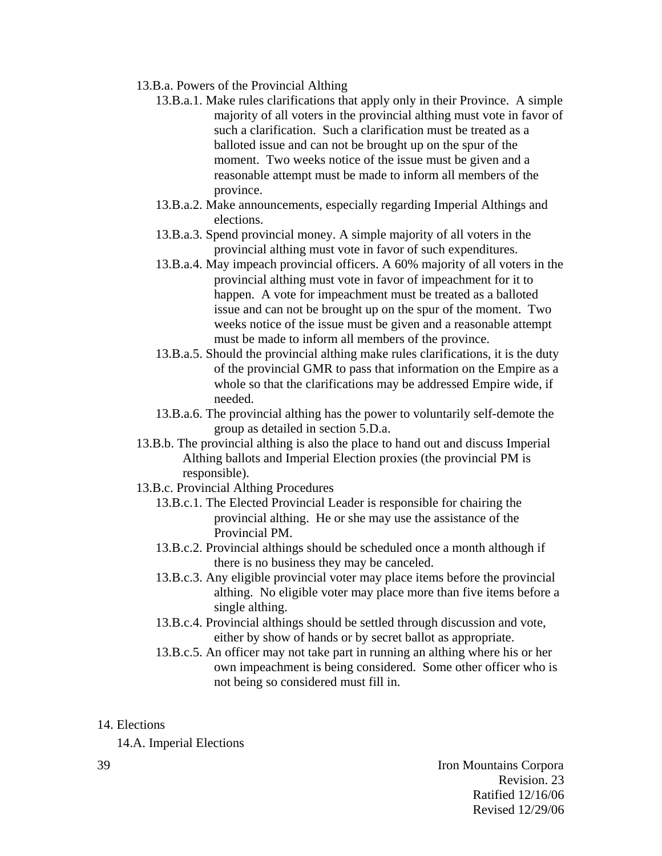- 13.B.a. Powers of the Provincial Althing
	- 13.B.a.1. Make rules clarifications that apply only in their Province. A simple majority of all voters in the provincial althing must vote in favor of such a clarification. Such a clarification must be treated as a balloted issue and can not be brought up on the spur of the moment. Two weeks notice of the issue must be given and a reasonable attempt must be made to inform all members of the province.
	- 13.B.a.2. Make announcements, especially regarding Imperial Althings and elections.
	- 13.B.a.3. Spend provincial money. A simple majority of all voters in the provincial althing must vote in favor of such expenditures.
	- 13.B.a.4. May impeach provincial officers. A 60% majority of all voters in the provincial althing must vote in favor of impeachment for it to happen. A vote for impeachment must be treated as a balloted issue and can not be brought up on the spur of the moment. Two weeks notice of the issue must be given and a reasonable attempt must be made to inform all members of the province.
	- 13.B.a.5. Should the provincial althing make rules clarifications, it is the duty of the provincial GMR to pass that information on the Empire as a whole so that the clarifications may be addressed Empire wide, if needed.
	- 13.B.a.6. The provincial althing has the power to voluntarily self-demote the group as detailed in section 5.D.a.
- 13.B.b. The provincial althing is also the place to hand out and discuss Imperial Althing ballots and Imperial Election proxies (the provincial PM is responsible).
- 13.B.c. Provincial Althing Procedures
	- 13.B.c.1. The Elected Provincial Leader is responsible for chairing the provincial althing. He or she may use the assistance of the Provincial PM.
	- 13.B.c.2. Provincial althings should be scheduled once a month although if there is no business they may be canceled.
	- 13.B.c.3. Any eligible provincial voter may place items before the provincial althing. No eligible voter may place more than five items before a single althing.
	- 13.B.c.4. Provincial althings should be settled through discussion and vote, either by show of hands or by secret ballot as appropriate.
	- 13.B.c.5. An officer may not take part in running an althing where his or her own impeachment is being considered. Some other officer who is not being so considered must fill in.
- 14. Elections

14.A. Imperial Elections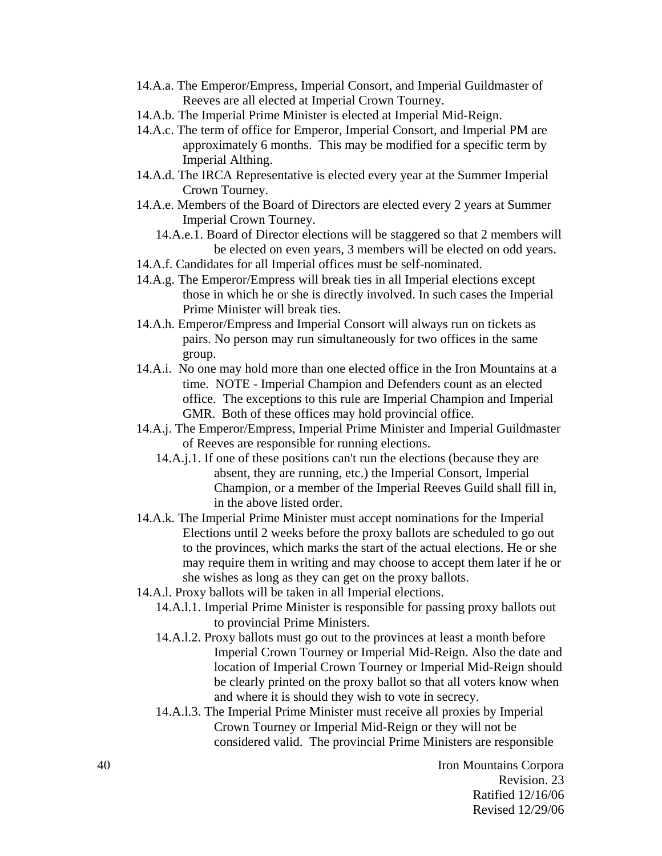- 14.A.a. The Emperor/Empress, Imperial Consort, and Imperial Guildmaster of Reeves are all elected at Imperial Crown Tourney.
- 14.A.b. The Imperial Prime Minister is elected at Imperial Mid-Reign.
- 14.A.c. The term of office for Emperor, Imperial Consort, and Imperial PM are approximately 6 months. This may be modified for a specific term by Imperial Althing.
- 14.A.d. The IRCA Representative is elected every year at the Summer Imperial Crown Tourney.
- 14.A.e. Members of the Board of Directors are elected every 2 years at Summer Imperial Crown Tourney.
	- 14.A.e.1. Board of Director elections will be staggered so that 2 members will be elected on even years, 3 members will be elected on odd years.
- 14.A.f. Candidates for all Imperial offices must be self-nominated.
- 14.A.g. The Emperor/Empress will break ties in all Imperial elections except those in which he or she is directly involved. In such cases the Imperial Prime Minister will break ties.
- 14.A.h. Emperor/Empress and Imperial Consort will always run on tickets as pairs. No person may run simultaneously for two offices in the same group.
- 14.A.i. No one may hold more than one elected office in the Iron Mountains at a time. NOTE - Imperial Champion and Defenders count as an elected office. The exceptions to this rule are Imperial Champion and Imperial GMR. Both of these offices may hold provincial office.
- 14.A.j. The Emperor/Empress, Imperial Prime Minister and Imperial Guildmaster of Reeves are responsible for running elections.
	- 14.A.j.1. If one of these positions can't run the elections (because they are absent, they are running, etc.) the Imperial Consort, Imperial Champion, or a member of the Imperial Reeves Guild shall fill in, in the above listed order.
- 14.A.k. The Imperial Prime Minister must accept nominations for the Imperial Elections until 2 weeks before the proxy ballots are scheduled to go out to the provinces, which marks the start of the actual elections. He or she may require them in writing and may choose to accept them later if he or she wishes as long as they can get on the proxy ballots.
- 14.A.l. Proxy ballots will be taken in all Imperial elections.
	- 14.A.l.1. Imperial Prime Minister is responsible for passing proxy ballots out to provincial Prime Ministers.
	- 14.A.l.2. Proxy ballots must go out to the provinces at least a month before Imperial Crown Tourney or Imperial Mid-Reign. Also the date and location of Imperial Crown Tourney or Imperial Mid-Reign should be clearly printed on the proxy ballot so that all voters know when and where it is should they wish to vote in secrecy.
	- 14.A.l.3. The Imperial Prime Minister must receive all proxies by Imperial Crown Tourney or Imperial Mid-Reign or they will not be considered valid. The provincial Prime Ministers are responsible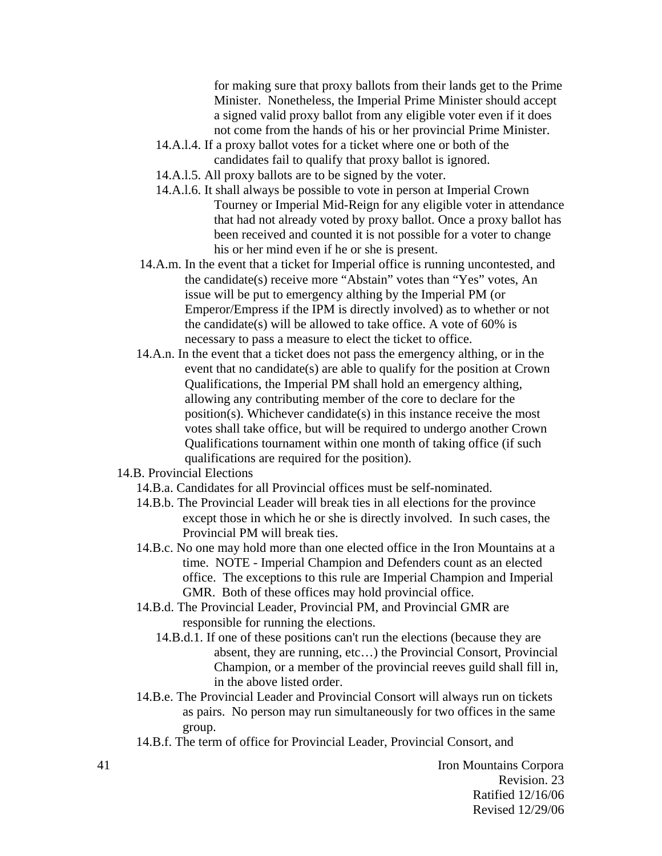for making sure that proxy ballots from their lands get to the Prime Minister. Nonetheless, the Imperial Prime Minister should accept a signed valid proxy ballot from any eligible voter even if it does not come from the hands of his or her provincial Prime Minister.

- 14.A.l.4. If a proxy ballot votes for a ticket where one or both of the candidates fail to qualify that proxy ballot is ignored.
- 14.A.l.5. All proxy ballots are to be signed by the voter.
- 14.A.l.6. It shall always be possible to vote in person at Imperial Crown Tourney or Imperial Mid-Reign for any eligible voter in attendance that had not already voted by proxy ballot. Once a proxy ballot has been received and counted it is not possible for a voter to change his or her mind even if he or she is present.
- 14.A.m. In the event that a ticket for Imperial office is running uncontested, and the candidate(s) receive more "Abstain" votes than "Yes" votes, An issue will be put to emergency althing by the Imperial PM (or Emperor/Empress if the IPM is directly involved) as to whether or not the candidate(s) will be allowed to take office. A vote of 60% is necessary to pass a measure to elect the ticket to office.
- 14.A.n. In the event that a ticket does not pass the emergency althing, or in the event that no candidate(s) are able to qualify for the position at Crown Qualifications, the Imperial PM shall hold an emergency althing, allowing any contributing member of the core to declare for the position(s). Whichever candidate(s) in this instance receive the most votes shall take office, but will be required to undergo another Crown Qualifications tournament within one month of taking office (if such qualifications are required for the position).
- 14.B. Provincial Elections
	- 14.B.a. Candidates for all Provincial offices must be self-nominated.
	- 14.B.b. The Provincial Leader will break ties in all elections for the province except those in which he or she is directly involved. In such cases, the Provincial PM will break ties.
	- 14.B.c. No one may hold more than one elected office in the Iron Mountains at a time. NOTE - Imperial Champion and Defenders count as an elected office. The exceptions to this rule are Imperial Champion and Imperial GMR. Both of these offices may hold provincial office.
	- 14.B.d. The Provincial Leader, Provincial PM, and Provincial GMR are responsible for running the elections.
		- 14.B.d.1. If one of these positions can't run the elections (because they are absent, they are running, etc…) the Provincial Consort, Provincial Champion, or a member of the provincial reeves guild shall fill in, in the above listed order.
	- 14.B.e. The Provincial Leader and Provincial Consort will always run on tickets as pairs. No person may run simultaneously for two offices in the same group.
	- 14.B.f. The term of office for Provincial Leader, Provincial Consort, and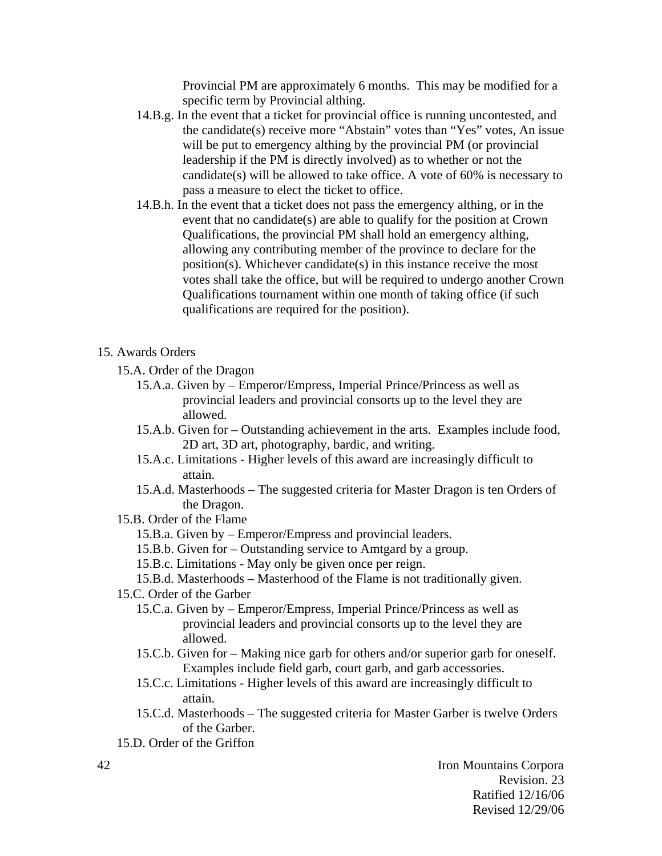Provincial PM are approximately 6 months. This may be modified for a specific term by Provincial althing.

- 14.B.g. In the event that a ticket for provincial office is running uncontested, and the candidate(s) receive more "Abstain" votes than "Yes" votes, An issue will be put to emergency althing by the provincial PM (or provincial leadership if the PM is directly involved) as to whether or not the candidate(s) will be allowed to take office. A vote of 60% is necessary to pass a measure to elect the ticket to office.
- 14.B.h. In the event that a ticket does not pass the emergency althing, or in the event that no candidate(s) are able to qualify for the position at Crown Qualifications, the provincial PM shall hold an emergency althing, allowing any contributing member of the province to declare for the position(s). Whichever candidate(s) in this instance receive the most votes shall take the office, but will be required to undergo another Crown Qualifications tournament within one month of taking office (if such qualifications are required for the position).

#### 15. Awards Orders

- 15.A. Order of the Dragon
	- 15.A.a. Given by Emperor/Empress, Imperial Prince/Princess as well as provincial leaders and provincial consorts up to the level they are allowed.
	- 15.A.b. Given for Outstanding achievement in the arts. Examples include food, 2D art, 3D art, photography, bardic, and writing.
	- 15.A.c. Limitations Higher levels of this award are increasingly difficult to attain.
	- 15.A.d. Masterhoods The suggested criteria for Master Dragon is ten Orders of the Dragon.
- 15.B. Order of the Flame
	- 15.B.a. Given by Emperor/Empress and provincial leaders.
	- 15.B.b. Given for Outstanding service to Amtgard by a group.
	- 15.B.c. Limitations May only be given once per reign.
	- 15.B.d. Masterhoods Masterhood of the Flame is not traditionally given.
- 15.C. Order of the Garber
	- 15.C.a. Given by Emperor/Empress, Imperial Prince/Princess as well as provincial leaders and provincial consorts up to the level they are allowed.
	- 15.C.b. Given for Making nice garb for others and/or superior garb for oneself. Examples include field garb, court garb, and garb accessories.
	- 15.C.c. Limitations Higher levels of this award are increasingly difficult to attain.
	- 15.C.d. Masterhoods The suggested criteria for Master Garber is twelve Orders of the Garber.
- 15.D. Order of the Griffon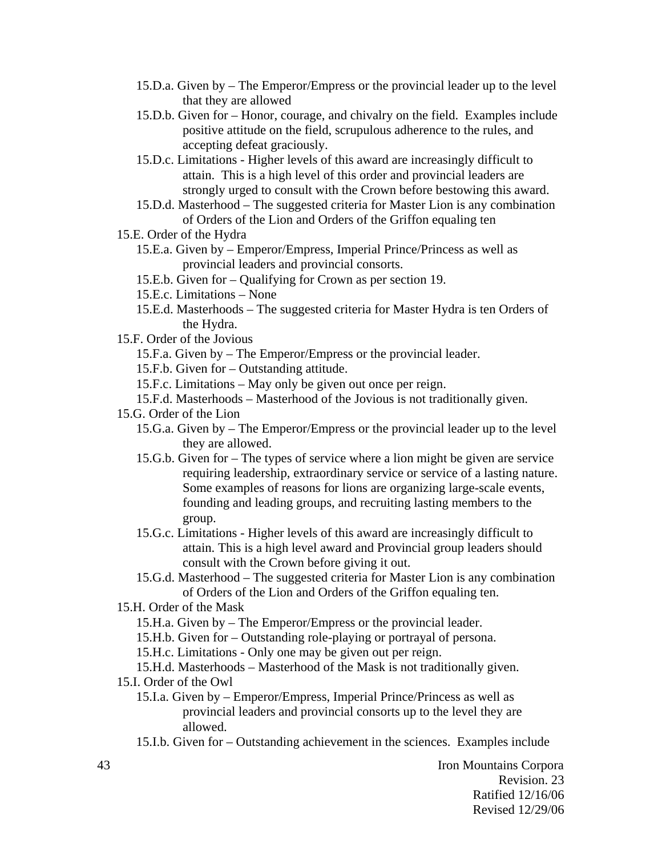- 15.D.a. Given by The Emperor/Empress or the provincial leader up to the level that they are allowed
- 15.D.b. Given for Honor, courage, and chivalry on the field. Examples include positive attitude on the field, scrupulous adherence to the rules, and accepting defeat graciously.
- 15.D.c. Limitations Higher levels of this award are increasingly difficult to attain. This is a high level of this order and provincial leaders are strongly urged to consult with the Crown before bestowing this award.
- 15.D.d. Masterhood The suggested criteria for Master Lion is any combination of Orders of the Lion and Orders of the Griffon equaling ten
- 15.E. Order of the Hydra
	- 15.E.a. Given by Emperor/Empress, Imperial Prince/Princess as well as provincial leaders and provincial consorts.
	- 15.E.b. Given for Qualifying for Crown as per section 19.
	- 15.E.c. Limitations None
	- 15.E.d. Masterhoods The suggested criteria for Master Hydra is ten Orders of the Hydra.
- 15.F. Order of the Jovious
	- 15.F.a. Given by The Emperor/Empress or the provincial leader.
	- 15.F.b. Given for Outstanding attitude.
	- 15.F.c. Limitations May only be given out once per reign.
	- 15.F.d. Masterhoods Masterhood of the Jovious is not traditionally given.

#### 15.G. Order of the Lion

- 15.G.a. Given by The Emperor/Empress or the provincial leader up to the level they are allowed.
- 15.G.b. Given for The types of service where a lion might be given are service requiring leadership, extraordinary service or service of a lasting nature. Some examples of reasons for lions are organizing large-scale events, founding and leading groups, and recruiting lasting members to the group.
- 15.G.c. Limitations Higher levels of this award are increasingly difficult to attain. This is a high level award and Provincial group leaders should consult with the Crown before giving it out.
- 15.G.d. Masterhood The suggested criteria for Master Lion is any combination of Orders of the Lion and Orders of the Griffon equaling ten.
- 15.H. Order of the Mask
	- 15.H.a. Given by The Emperor/Empress or the provincial leader.
	- 15.H.b. Given for Outstanding role-playing or portrayal of persona.

15.H.c. Limitations - Only one may be given out per reign.

### 15.H.d. Masterhoods – Masterhood of the Mask is not traditionally given.

15.I. Order of the Owl

- 15.I.a. Given by Emperor/Empress, Imperial Prince/Princess as well as provincial leaders and provincial consorts up to the level they are allowed.
- 15.I.b. Given for Outstanding achievement in the sciences. Examples include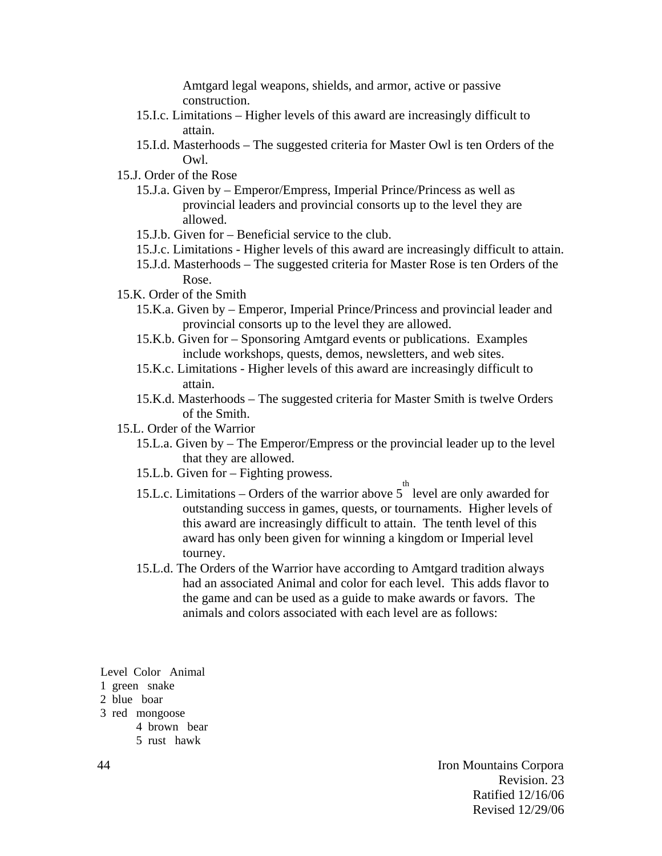Amtgard legal weapons, shields, and armor, active or passive construction.

- 15.I.c. Limitations Higher levels of this award are increasingly difficult to attain.
- 15.I.d. Masterhoods The suggested criteria for Master Owl is ten Orders of the Owl.
- 15.J. Order of the Rose
	- 15.J.a. Given by Emperor/Empress, Imperial Prince/Princess as well as provincial leaders and provincial consorts up to the level they are allowed.
	- 15.J.b. Given for Beneficial service to the club.
	- 15.J.c. Limitations Higher levels of this award are increasingly difficult to attain.
	- 15.J.d. Masterhoods The suggested criteria for Master Rose is ten Orders of the Rose.
- 15.K. Order of the Smith
	- 15.K.a. Given by Emperor, Imperial Prince/Princess and provincial leader and provincial consorts up to the level they are allowed.
	- 15.K.b. Given for Sponsoring Amtgard events or publications. Examples include workshops, quests, demos, newsletters, and web sites.
	- 15.K.c. Limitations Higher levels of this award are increasingly difficult to attain.
	- 15.K.d. Masterhoods The suggested criteria for Master Smith is twelve Orders of the Smith.
- 15.L. Order of the Warrior
	- 15.L.a. Given by The Emperor/Empress or the provincial leader up to the level that they are allowed.
	- 15.L.b. Given for Fighting prowess.
	- 15.L.c. Limitations Orders of the warrior above  $5<sup>th</sup>$  level are only awarded for outstanding success in games, quests, or tournaments. Higher levels of this award are increasingly difficult to attain. The tenth level of this award has only been given for winning a kingdom or Imperial level tourney.
	- 15.L.d. The Orders of the Warrior have according to Amtgard tradition always had an associated Animal and color for each level. This adds flavor to the game and can be used as a guide to make awards or favors. The animals and colors associated with each level are as follows:

Level Color Animal

- 1 green snake
- 2 blue boar
- 3 red mongoose
	- 4 brown bear
	- 5 rust hawk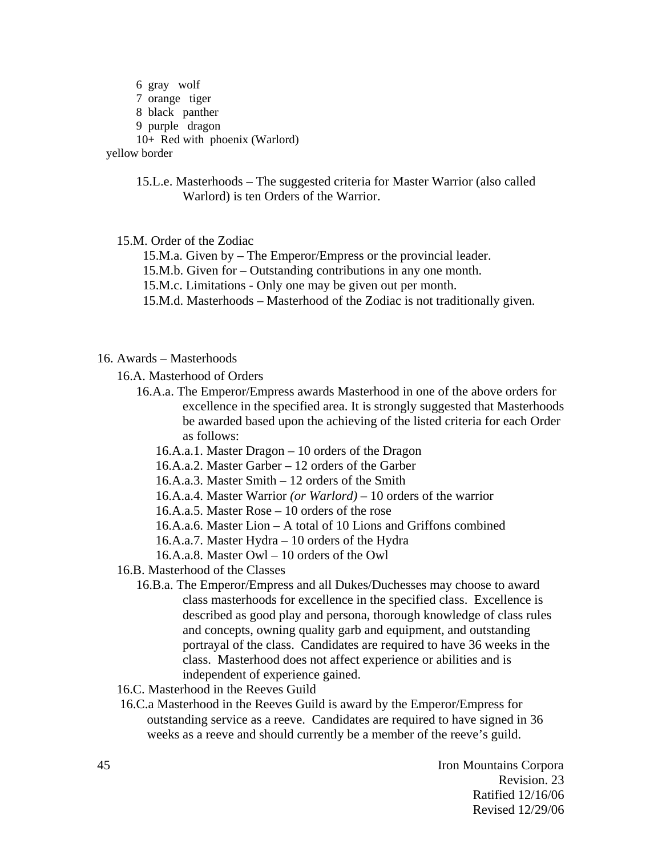6 gray wolf 7 orange tiger 8 black panther 9 purple dragon 10+ Red with phoenix (Warlord) yellow border

> 15.L.e. Masterhoods – The suggested criteria for Master Warrior (also called Warlord) is ten Orders of the Warrior.

15.M. Order of the Zodiac

15.M.a. Given by – The Emperor/Empress or the provincial leader.

15.M.b. Given for – Outstanding contributions in any one month.

15.M.c. Limitations - Only one may be given out per month.

15.M.d. Masterhoods – Masterhood of the Zodiac is not traditionally given.

#### 16. Awards – Masterhoods

16.A. Masterhood of Orders

- 16.A.a. The Emperor/Empress awards Masterhood in one of the above orders for excellence in the specified area. It is strongly suggested that Masterhoods be awarded based upon the achieving of the listed criteria for each Order as follows:
	- 16.A.a.1. Master Dragon 10 orders of the Dragon

16.A.a.2. Master Garber – 12 orders of the Garber

16.A.a.3. Master Smith – 12 orders of the Smith

16.A.a.4. Master Warrior *(or Warlord)* – 10 orders of the warrior

16.A.a.5. Master Rose – 10 orders of the rose

16.A.a.6. Master Lion – A total of 10 Lions and Griffons combined

16.A.a.7. Master Hydra – 10 orders of the Hydra

16.A.a.8. Master Owl – 10 orders of the Owl

- 16.B. Masterhood of the Classes
	- 16.B.a. The Emperor/Empress and all Dukes/Duchesses may choose to award class masterhoods for excellence in the specified class. Excellence is described as good play and persona, thorough knowledge of class rules and concepts, owning quality garb and equipment, and outstanding portrayal of the class. Candidates are required to have 36 weeks in the class. Masterhood does not affect experience or abilities and is independent of experience gained.
- 16.C. Masterhood in the Reeves Guild
- 16.C.a Masterhood in the Reeves Guild is award by the Emperor/Empress for outstanding service as a reeve. Candidates are required to have signed in 36 weeks as a reeve and should currently be a member of the reeve's guild.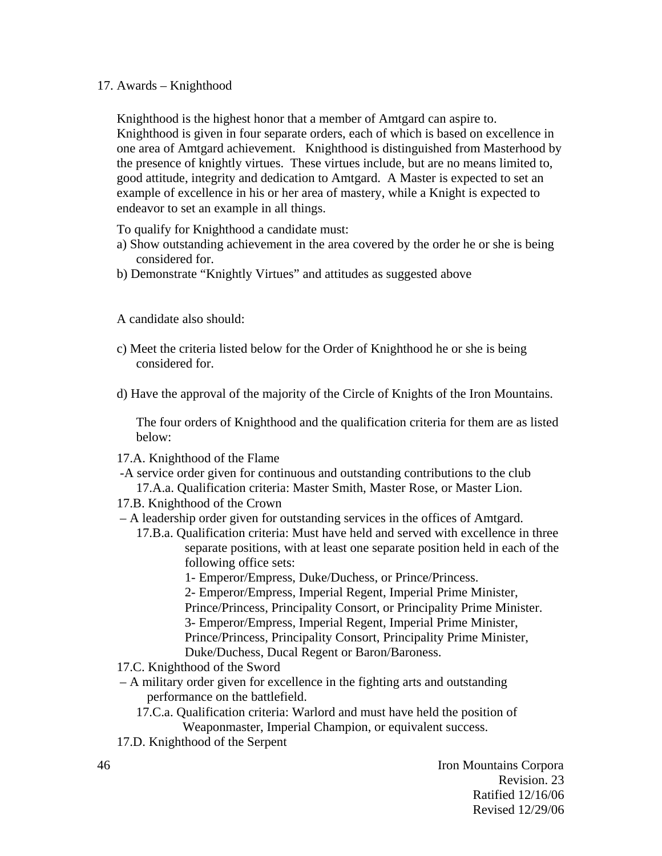### 17. Awards – Knighthood

Knighthood is the highest honor that a member of Amtgard can aspire to. Knighthood is given in four separate orders, each of which is based on excellence in one area of Amtgard achievement. Knighthood is distinguished from Masterhood by the presence of knightly virtues. These virtues include, but are no means limited to, good attitude, integrity and dedication to Amtgard. A Master is expected to set an example of excellence in his or her area of mastery, while a Knight is expected to endeavor to set an example in all things.

To qualify for Knighthood a candidate must:

- a) Show outstanding achievement in the area covered by the order he or she is being considered for.
- b) Demonstrate "Knightly Virtues" and attitudes as suggested above

A candidate also should:

- c) Meet the criteria listed below for the Order of Knighthood he or she is being considered for.
- d) Have the approval of the majority of the Circle of Knights of the Iron Mountains.

The four orders of Knighthood and the qualification criteria for them are as listed below:

- 17.A. Knighthood of the Flame
- -A service order given for continuous and outstanding contributions to the club
- 17.A.a. Qualification criteria: Master Smith, Master Rose, or Master Lion.
- 17.B. Knighthood of the Crown
- A leadership order given for outstanding services in the offices of Amtgard.
	- 17.B.a. Qualification criteria: Must have held and served with excellence in three separate positions, with at least one separate position held in each of the following office sets:
		- 1- Emperor/Empress, Duke/Duchess, or Prince/Princess.
		- 2- Emperor/Empress, Imperial Regent, Imperial Prime Minister,

Prince/Princess, Principality Consort, or Principality Prime Minister.

- 3- Emperor/Empress, Imperial Regent, Imperial Prime Minister,
- Prince/Princess, Principality Consort, Principality Prime Minister,
- Duke/Duchess, Ducal Regent or Baron/Baroness.
- 17.C. Knighthood of the Sword
- A military order given for excellence in the fighting arts and outstanding performance on the battlefield.
	- 17.C.a. Qualification criteria: Warlord and must have held the position of Weaponmaster, Imperial Champion, or equivalent success.
- 17.D. Knighthood of the Serpent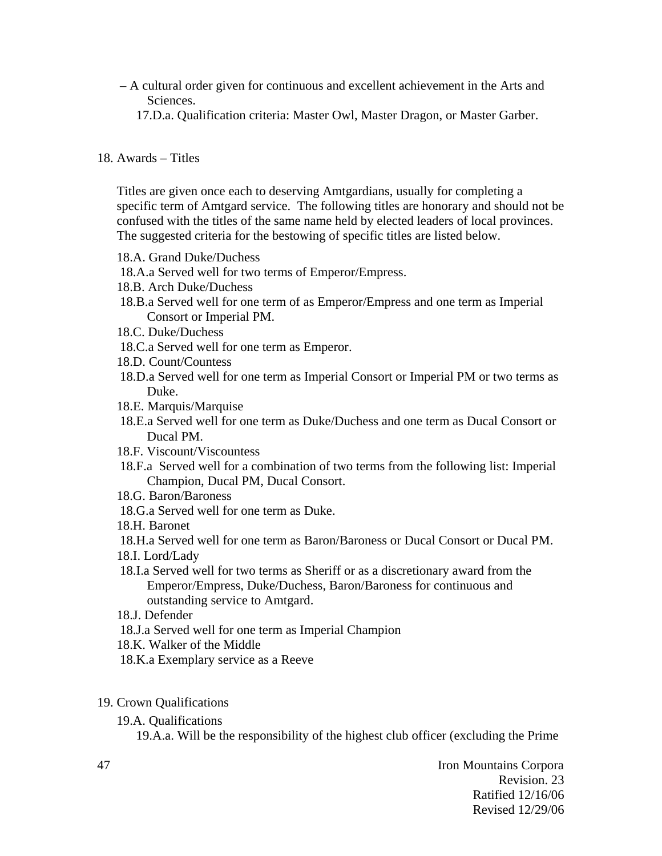- A cultural order given for continuous and excellent achievement in the Arts and Sciences.
	- 17.D.a. Qualification criteria: Master Owl, Master Dragon, or Master Garber.

### 18. Awards – Titles

Titles are given once each to deserving Amtgardians, usually for completing a specific term of Amtgard service. The following titles are honorary and should not be confused with the titles of the same name held by elected leaders of local provinces. The suggested criteria for the bestowing of specific titles are listed below.

- 18.A. Grand Duke/Duchess
- 18.A.a Served well for two terms of Emperor/Empress.
- 18.B. Arch Duke/Duchess
- 18.B.a Served well for one term of as Emperor/Empress and one term as Imperial Consort or Imperial PM.
- 18.C. Duke/Duchess
- 18.C.a Served well for one term as Emperor.
- 18.D. Count/Countess
- 18.D.a Served well for one term as Imperial Consort or Imperial PM or two terms as Duke.
- 18.E. Marquis/Marquise
- 18.E.a Served well for one term as Duke/Duchess and one term as Ducal Consort or Ducal PM.
- 18.F. Viscount/Viscountess
- 18.F.a Served well for a combination of two terms from the following list: Imperial Champion, Ducal PM, Ducal Consort.
- 18.G. Baron/Baroness
- 18.G.a Served well for one term as Duke.
- 18.H. Baronet

 18.H.a Served well for one term as Baron/Baroness or Ducal Consort or Ducal PM. 18.I. Lord/Lady

- 18.I.a Served well for two terms as Sheriff or as a discretionary award from the Emperor/Empress, Duke/Duchess, Baron/Baroness for continuous and outstanding service to Amtgard.
- 18.J. Defender
- 18.J.a Served well for one term as Imperial Champion
- 18.K. Walker of the Middle
- 18.K.a Exemplary service as a Reeve

### 19. Crown Qualifications

19.A. Qualifications

19.A.a. Will be the responsibility of the highest club officer (excluding the Prime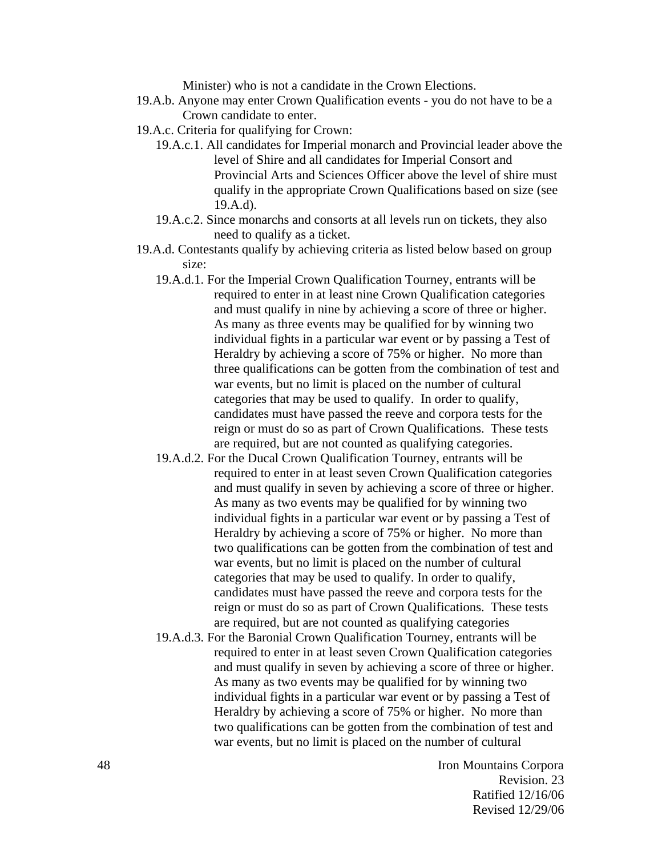Minister) who is not a candidate in the Crown Elections.

- 19.A.b. Anyone may enter Crown Qualification events you do not have to be a Crown candidate to enter.
- 19.A.c. Criteria for qualifying for Crown:
	- 19.A.c.1. All candidates for Imperial monarch and Provincial leader above the level of Shire and all candidates for Imperial Consort and Provincial Arts and Sciences Officer above the level of shire must qualify in the appropriate Crown Qualifications based on size (see 19.A.d).
	- 19.A.c.2. Since monarchs and consorts at all levels run on tickets, they also need to qualify as a ticket.
- 19.A.d. Contestants qualify by achieving criteria as listed below based on group size:
	- 19.A.d.1. For the Imperial Crown Qualification Tourney, entrants will be required to enter in at least nine Crown Qualification categories and must qualify in nine by achieving a score of three or higher. As many as three events may be qualified for by winning two individual fights in a particular war event or by passing a Test of Heraldry by achieving a score of 75% or higher. No more than three qualifications can be gotten from the combination of test and war events, but no limit is placed on the number of cultural categories that may be used to qualify. In order to qualify, candidates must have passed the reeve and corpora tests for the reign or must do so as part of Crown Qualifications. These tests are required, but are not counted as qualifying categories.
	- 19.A.d.2. For the Ducal Crown Qualification Tourney, entrants will be required to enter in at least seven Crown Qualification categories and must qualify in seven by achieving a score of three or higher. As many as two events may be qualified for by winning two individual fights in a particular war event or by passing a Test of Heraldry by achieving a score of 75% or higher. No more than two qualifications can be gotten from the combination of test and war events, but no limit is placed on the number of cultural categories that may be used to qualify. In order to qualify, candidates must have passed the reeve and corpora tests for the reign or must do so as part of Crown Qualifications. These tests are required, but are not counted as qualifying categories
	- 19.A.d.3. For the Baronial Crown Qualification Tourney, entrants will be required to enter in at least seven Crown Qualification categories and must qualify in seven by achieving a score of three or higher. As many as two events may be qualified for by winning two individual fights in a particular war event or by passing a Test of Heraldry by achieving a score of 75% or higher. No more than two qualifications can be gotten from the combination of test and war events, but no limit is placed on the number of cultural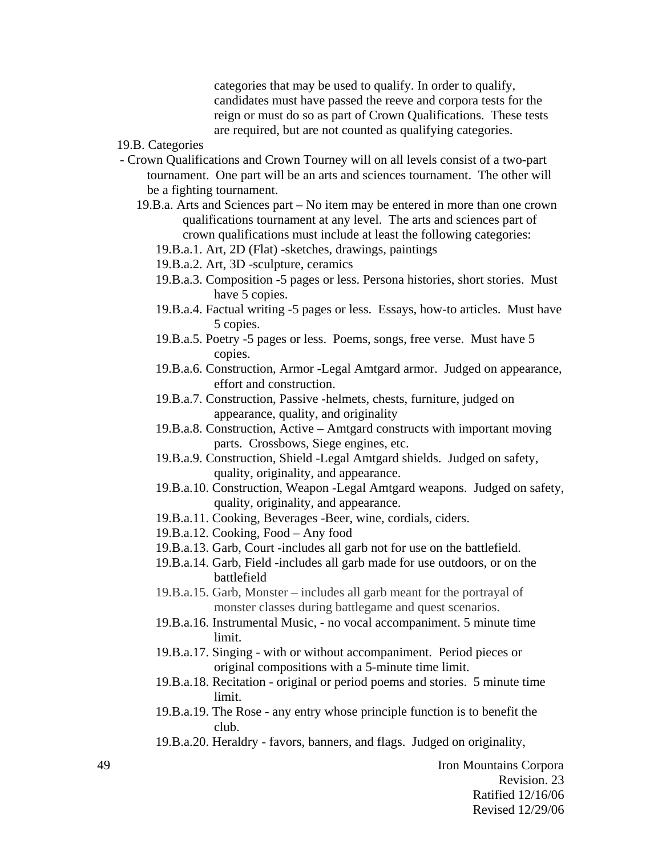categories that may be used to qualify. In order to qualify, candidates must have passed the reeve and corpora tests for the reign or must do so as part of Crown Qualifications. These tests are required, but are not counted as qualifying categories.

- 19.B. Categories
- Crown Qualifications and Crown Tourney will on all levels consist of a two-part tournament. One part will be an arts and sciences tournament. The other will be a fighting tournament.
	- 19.B.a. Arts and Sciences part No item may be entered in more than one crown qualifications tournament at any level. The arts and sciences part of crown qualifications must include at least the following categories:
		- 19.B.a.1. Art, 2D (Flat) -sketches, drawings, paintings
		- 19.B.a.2. Art, 3D -sculpture, ceramics
		- 19.B.a.3. Composition -5 pages or less. Persona histories, short stories. Must have 5 copies.
		- 19.B.a.4. Factual writing -5 pages or less. Essays, how-to articles. Must have 5 copies.
		- 19.B.a.5. Poetry -5 pages or less. Poems, songs, free verse. Must have 5 copies.
		- 19.B.a.6. Construction, Armor -Legal Amtgard armor. Judged on appearance, effort and construction.
		- 19.B.a.7. Construction, Passive -helmets, chests, furniture, judged on appearance, quality, and originality
		- 19.B.a.8. Construction, Active Amtgard constructs with important moving parts. Crossbows, Siege engines, etc.
		- 19.B.a.9. Construction, Shield -Legal Amtgard shields. Judged on safety, quality, originality, and appearance.
		- 19.B.a.10. Construction, Weapon -Legal Amtgard weapons. Judged on safety, quality, originality, and appearance.
		- 19.B.a.11. Cooking, Beverages -Beer, wine, cordials, ciders.
		- 19.B.a.12. Cooking, Food Any food
		- 19.B.a.13. Garb, Court -includes all garb not for use on the battlefield.
		- 19.B.a.14. Garb, Field -includes all garb made for use outdoors, or on the battlefield
		- 19.B.a.15. Garb, Monster includes all garb meant for the portrayal of monster classes during battlegame and quest scenarios.
		- 19.B.a.16. Instrumental Music, no vocal accompaniment. 5 minute time limit.
		- 19.B.a.17. Singing with or without accompaniment. Period pieces or original compositions with a 5-minute time limit.
		- 19.B.a.18. Recitation original or period poems and stories. 5 minute time limit.
		- 19.B.a.19. The Rose any entry whose principle function is to benefit the club.
		- 19.B.a.20. Heraldry favors, banners, and flags. Judged on originality,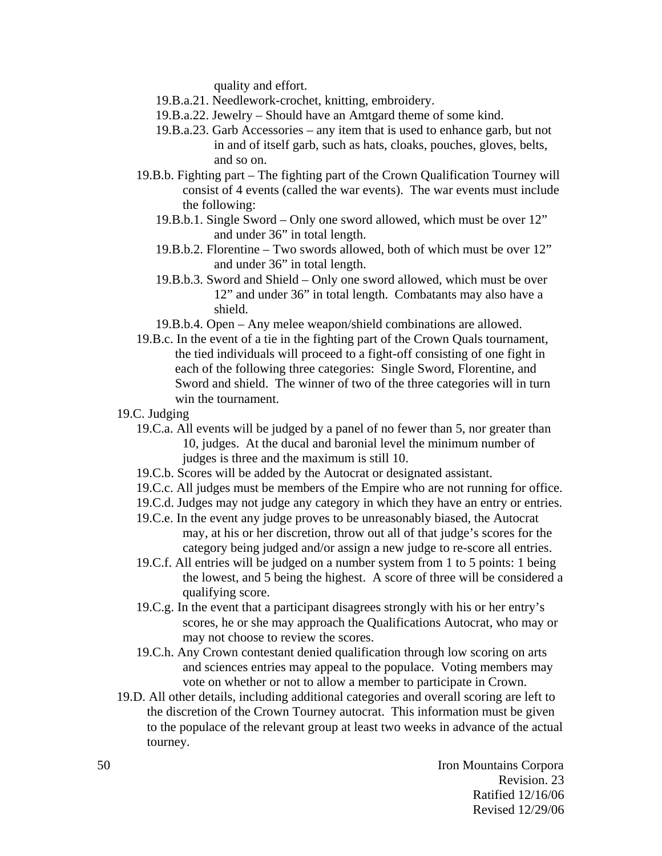quality and effort.

- 19.B.a.21. Needlework-crochet, knitting, embroidery.
- 19.B.a.22. Jewelry Should have an Amtgard theme of some kind.
- 19.B.a.23. Garb Accessories any item that is used to enhance garb, but not in and of itself garb, such as hats, cloaks, pouches, gloves, belts, and so on.
- 19.B.b. Fighting part The fighting part of the Crown Qualification Tourney will consist of 4 events (called the war events). The war events must include the following:
	- 19.B.b.1. Single Sword Only one sword allowed, which must be over 12" and under 36" in total length.
	- 19.B.b.2. Florentine Two swords allowed, both of which must be over 12" and under 36" in total length.
	- 19.B.b.3. Sword and Shield Only one sword allowed, which must be over 12" and under 36" in total length. Combatants may also have a shield.
	- 19.B.b.4. Open Any melee weapon/shield combinations are allowed.
- 19.B.c. In the event of a tie in the fighting part of the Crown Quals tournament, the tied individuals will proceed to a fight-off consisting of one fight in each of the following three categories: Single Sword, Florentine, and Sword and shield. The winner of two of the three categories will in turn win the tournament.
- 19.C. Judging
	- 19.C.a. All events will be judged by a panel of no fewer than 5, nor greater than 10, judges. At the ducal and baronial level the minimum number of judges is three and the maximum is still 10.
	- 19.C.b. Scores will be added by the Autocrat or designated assistant.
	- 19.C.c. All judges must be members of the Empire who are not running for office.
	- 19.C.d. Judges may not judge any category in which they have an entry or entries.
	- 19.C.e. In the event any judge proves to be unreasonably biased, the Autocrat may, at his or her discretion, throw out all of that judge's scores for the category being judged and/or assign a new judge to re-score all entries.
	- 19.C.f. All entries will be judged on a number system from 1 to 5 points: 1 being the lowest, and 5 being the highest. A score of three will be considered a qualifying score.
	- 19.C.g. In the event that a participant disagrees strongly with his or her entry's scores, he or she may approach the Qualifications Autocrat, who may or may not choose to review the scores.
	- 19.C.h. Any Crown contestant denied qualification through low scoring on arts and sciences entries may appeal to the populace. Voting members may vote on whether or not to allow a member to participate in Crown.
- 19.D. All other details, including additional categories and overall scoring are left to the discretion of the Crown Tourney autocrat. This information must be given to the populace of the relevant group at least two weeks in advance of the actual tourney.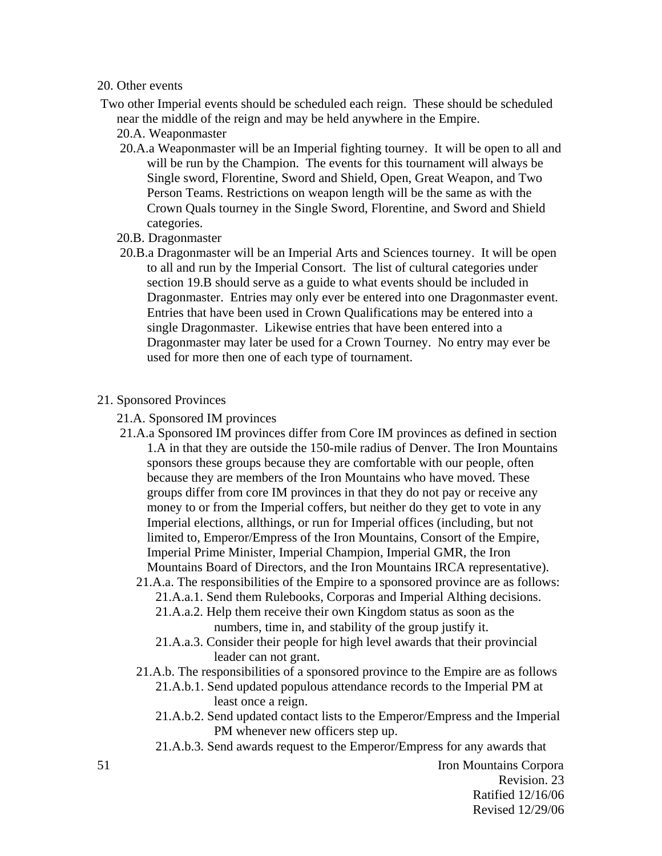#### 20. Other events

- Two other Imperial events should be scheduled each reign. These should be scheduled near the middle of the reign and may be held anywhere in the Empire.
	- 20.A. Weaponmaster
	- 20.A.a Weaponmaster will be an Imperial fighting tourney. It will be open to all and will be run by the Champion. The events for this tournament will always be Single sword, Florentine, Sword and Shield, Open, Great Weapon, and Two Person Teams. Restrictions on weapon length will be the same as with the Crown Quals tourney in the Single Sword, Florentine, and Sword and Shield categories.
	- 20.B. Dragonmaster
	- 20.B.a Dragonmaster will be an Imperial Arts and Sciences tourney. It will be open to all and run by the Imperial Consort. The list of cultural categories under section 19.B should serve as a guide to what events should be included in Dragonmaster. Entries may only ever be entered into one Dragonmaster event. Entries that have been used in Crown Qualifications may be entered into a single Dragonmaster. Likewise entries that have been entered into a Dragonmaster may later be used for a Crown Tourney. No entry may ever be used for more then one of each type of tournament.
- 21. Sponsored Provinces
	- 21.A. Sponsored IM provinces
	- 21.A.a Sponsored IM provinces differ from Core IM provinces as defined in section 1.A in that they are outside the 150-mile radius of Denver. The Iron Mountains sponsors these groups because they are comfortable with our people, often because they are members of the Iron Mountains who have moved. These groups differ from core IM provinces in that they do not pay or receive any money to or from the Imperial coffers, but neither do they get to vote in any Imperial elections, allthings, or run for Imperial offices (including, but not limited to, Emperor/Empress of the Iron Mountains, Consort of the Empire, Imperial Prime Minister, Imperial Champion, Imperial GMR, the Iron Mountains Board of Directors, and the Iron Mountains IRCA representative).
		- 21.A.a. The responsibilities of the Empire to a sponsored province are as follows:
			- 21.A.a.1. Send them Rulebooks, Corporas and Imperial Althing decisions.
			- 21.A.a.2. Help them receive their own Kingdom status as soon as the numbers, time in, and stability of the group justify it.
			- 21.A.a.3. Consider their people for high level awards that their provincial leader can not grant.
		- 21.A.b. The responsibilities of a sponsored province to the Empire are as follows
			- 21.A.b.1. Send updated populous attendance records to the Imperial PM at least once a reign.
			- 21.A.b.2. Send updated contact lists to the Emperor/Empress and the Imperial PM whenever new officers step up.
			- 21.A.b.3. Send awards request to the Emperor/Empress for any awards that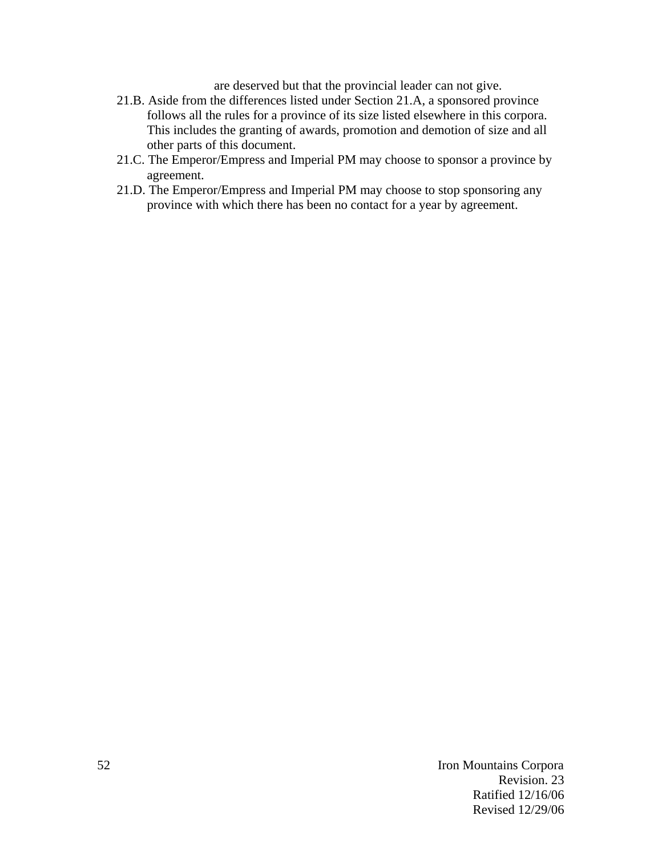are deserved but that the provincial leader can not give.

- 21.B. Aside from the differences listed under Section 21.A, a sponsored province follows all the rules for a province of its size listed elsewhere in this corpora. This includes the granting of awards, promotion and demotion of size and all other parts of this document.
- 21.C. The Emperor/Empress and Imperial PM may choose to sponsor a province by agreement.
- 21.D. The Emperor/Empress and Imperial PM may choose to stop sponsoring any province with which there has been no contact for a year by agreement.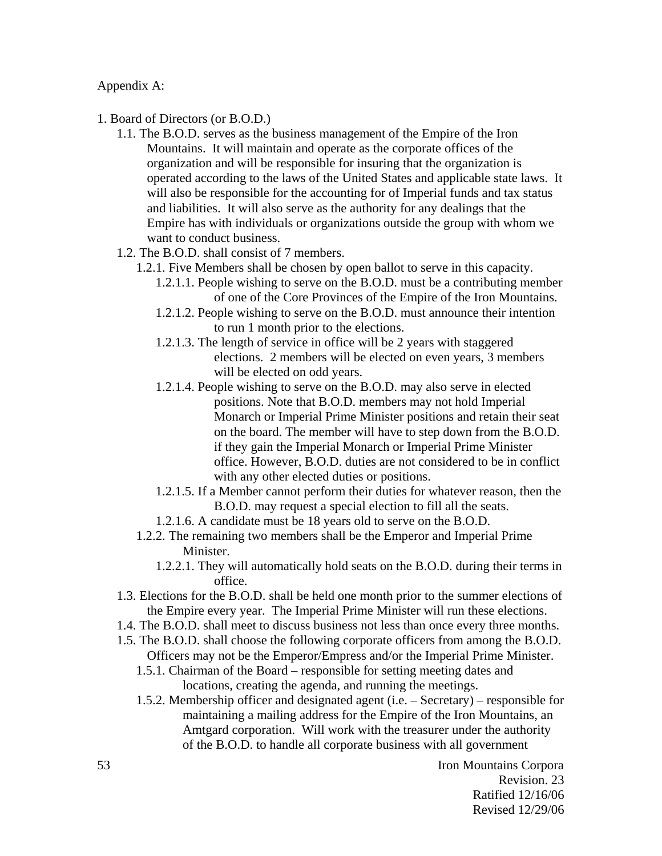Appendix A:

- 1. Board of Directors (or B.O.D.)
	- 1.1. The B.O.D. serves as the business management of the Empire of the Iron Mountains. It will maintain and operate as the corporate offices of the organization and will be responsible for insuring that the organization is operated according to the laws of the United States and applicable state laws. It will also be responsible for the accounting for of Imperial funds and tax status and liabilities. It will also serve as the authority for any dealings that the Empire has with individuals or organizations outside the group with whom we want to conduct business.
	- 1.2. The B.O.D. shall consist of 7 members.
		- 1.2.1. Five Members shall be chosen by open ballot to serve in this capacity.
			- 1.2.1.1. People wishing to serve on the B.O.D. must be a contributing member of one of the Core Provinces of the Empire of the Iron Mountains.
			- 1.2.1.2. People wishing to serve on the B.O.D. must announce their intention to run 1 month prior to the elections.
			- 1.2.1.3. The length of service in office will be 2 years with staggered elections. 2 members will be elected on even years, 3 members will be elected on odd years.
			- 1.2.1.4. People wishing to serve on the B.O.D. may also serve in elected positions. Note that B.O.D. members may not hold Imperial Monarch or Imperial Prime Minister positions and retain their seat on the board. The member will have to step down from the B.O.D. if they gain the Imperial Monarch or Imperial Prime Minister office. However, B.O.D. duties are not considered to be in conflict with any other elected duties or positions.
			- 1.2.1.5. If a Member cannot perform their duties for whatever reason, then the B.O.D. may request a special election to fill all the seats.
			- 1.2.1.6. A candidate must be 18 years old to serve on the B.O.D.
		- 1.2.2. The remaining two members shall be the Emperor and Imperial Prime Minister.
			- 1.2.2.1. They will automatically hold seats on the B.O.D. during their terms in office.
	- 1.3. Elections for the B.O.D. shall be held one month prior to the summer elections of the Empire every year. The Imperial Prime Minister will run these elections.
	- 1.4. The B.O.D. shall meet to discuss business not less than once every three months.
	- 1.5. The B.O.D. shall choose the following corporate officers from among the B.O.D. Officers may not be the Emperor/Empress and/or the Imperial Prime Minister.
		- 1.5.1. Chairman of the Board responsible for setting meeting dates and locations, creating the agenda, and running the meetings.
		- 1.5.2. Membership officer and designated agent (i.e. Secretary) responsible for maintaining a mailing address for the Empire of the Iron Mountains, an Amtgard corporation. Will work with the treasurer under the authority of the B.O.D. to handle all corporate business with all government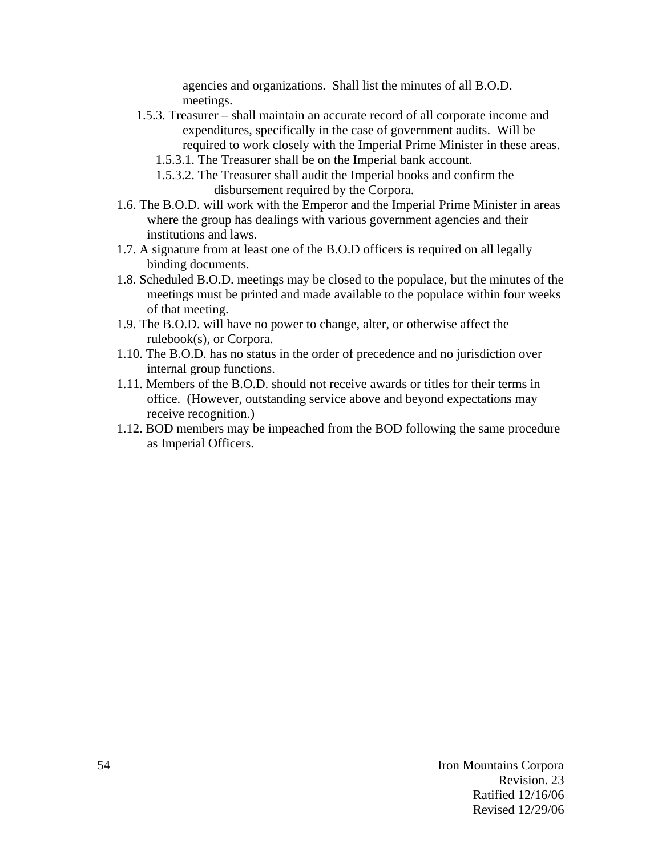agencies and organizations. Shall list the minutes of all B.O.D. meetings.

- 1.5.3. Treasurer shall maintain an accurate record of all corporate income and expenditures, specifically in the case of government audits. Will be required to work closely with the Imperial Prime Minister in these areas.
	- 1.5.3.1. The Treasurer shall be on the Imperial bank account.
	- 1.5.3.2. The Treasurer shall audit the Imperial books and confirm the disbursement required by the Corpora.
- 1.6. The B.O.D. will work with the Emperor and the Imperial Prime Minister in areas where the group has dealings with various government agencies and their institutions and laws.
- 1.7. A signature from at least one of the B.O.D officers is required on all legally binding documents.
- 1.8. Scheduled B.O.D. meetings may be closed to the populace, but the minutes of the meetings must be printed and made available to the populace within four weeks of that meeting.
- 1.9. The B.O.D. will have no power to change, alter, or otherwise affect the rulebook(s), or Corpora.
- 1.10. The B.O.D. has no status in the order of precedence and no jurisdiction over internal group functions.
- 1.11. Members of the B.O.D. should not receive awards or titles for their terms in office. (However, outstanding service above and beyond expectations may receive recognition.)
- 1.12. BOD members may be impeached from the BOD following the same procedure as Imperial Officers.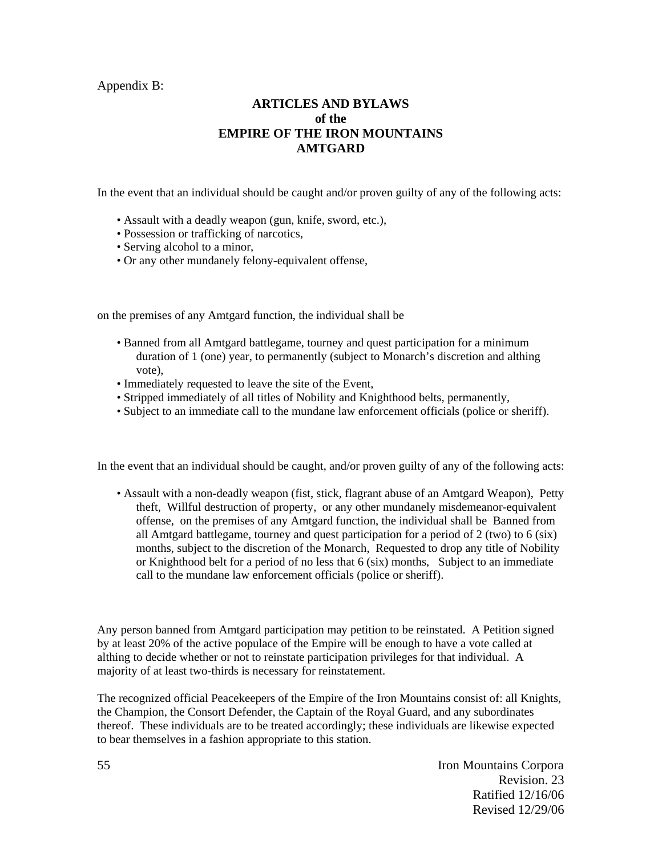Appendix B:

## **ARTICLES AND BYLAWS of the EMPIRE OF THE IRON MOUNTAINS AMTGARD**

In the event that an individual should be caught and/or proven guilty of any of the following acts:

- Assault with a deadly weapon (gun, knife, sword, etc.),
- Possession or trafficking of narcotics,
- Serving alcohol to a minor,
- Or any other mundanely felony-equivalent offense,

on the premises of any Amtgard function, the individual shall be

- Banned from all Amtgard battlegame, tourney and quest participation for a minimum duration of 1 (one) year, to permanently (subject to Monarch's discretion and althing vote),
- Immediately requested to leave the site of the Event,
- Stripped immediately of all titles of Nobility and Knighthood belts, permanently,
- Subject to an immediate call to the mundane law enforcement officials (police or sheriff).

In the event that an individual should be caught, and/or proven guilty of any of the following acts:

• Assault with a non-deadly weapon (fist, stick, flagrant abuse of an Amtgard Weapon), Petty theft, Willful destruction of property, or any other mundanely misdemeanor-equivalent offense, on the premises of any Amtgard function, the individual shall be Banned from all Amtgard battlegame, tourney and quest participation for a period of 2 (two) to 6 (six) months, subject to the discretion of the Monarch, Requested to drop any title of Nobility or Knighthood belt for a period of no less that 6 (six) months, Subject to an immediate call to the mundane law enforcement officials (police or sheriff).

Any person banned from Amtgard participation may petition to be reinstated. A Petition signed by at least 20% of the active populace of the Empire will be enough to have a vote called at althing to decide whether or not to reinstate participation privileges for that individual. A majority of at least two-thirds is necessary for reinstatement.

The recognized official Peacekeepers of the Empire of the Iron Mountains consist of: all Knights, the Champion, the Consort Defender, the Captain of the Royal Guard, and any subordinates thereof. These individuals are to be treated accordingly; these individuals are likewise expected to bear themselves in a fashion appropriate to this station.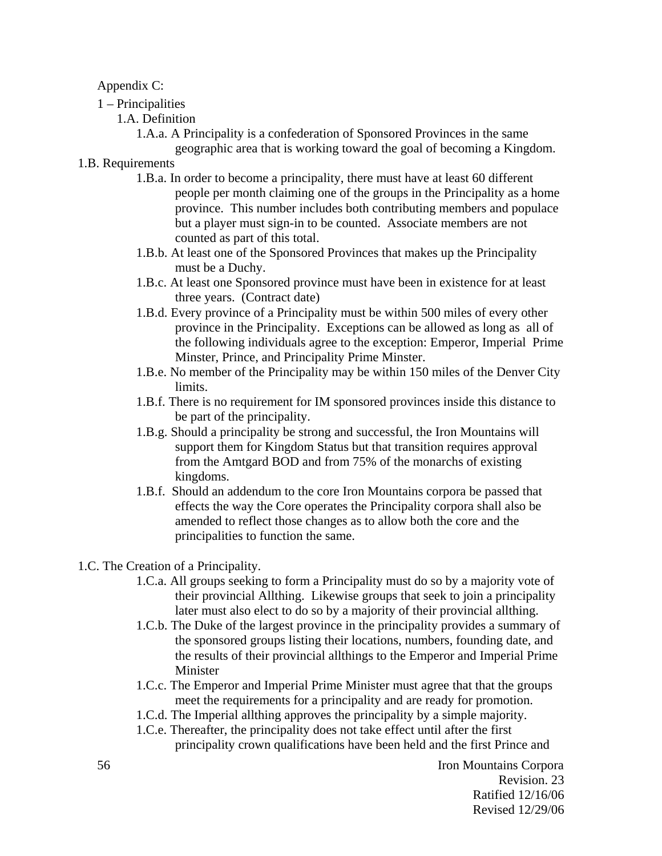### Appendix C:

- 1 Principalities
	- 1.A. Definition

1.A.a. A Principality is a confederation of Sponsored Provinces in the same geographic area that is working toward the goal of becoming a Kingdom.

- 1.B. Requirements
	- 1.B.a. In order to become a principality, there must have at least 60 different people per month claiming one of the groups in the Principality as a home province. This number includes both contributing members and populace but a player must sign-in to be counted. Associate members are not counted as part of this total.
	- 1.B.b. At least one of the Sponsored Provinces that makes up the Principality must be a Duchy.
	- 1.B.c. At least one Sponsored province must have been in existence for at least three years. (Contract date)
	- 1.B.d. Every province of a Principality must be within 500 miles of every other province in the Principality. Exceptions can be allowed as long as all of the following individuals agree to the exception: Emperor, Imperial Prime Minster, Prince, and Principality Prime Minster.
	- 1.B.e. No member of the Principality may be within 150 miles of the Denver City limits.
	- 1.B.f. There is no requirement for IM sponsored provinces inside this distance to be part of the principality.
	- 1.B.g. Should a principality be strong and successful, the Iron Mountains will support them for Kingdom Status but that transition requires approval from the Amtgard BOD and from 75% of the monarchs of existing kingdoms.
	- 1.B.f. Should an addendum to the core Iron Mountains corpora be passed that effects the way the Core operates the Principality corpora shall also be amended to reflect those changes as to allow both the core and the principalities to function the same.
- 1.C. The Creation of a Principality.
	- 1.C.a. All groups seeking to form a Principality must do so by a majority vote of their provincial Allthing. Likewise groups that seek to join a principality later must also elect to do so by a majority of their provincial allthing.
	- 1.C.b. The Duke of the largest province in the principality provides a summary of the sponsored groups listing their locations, numbers, founding date, and the results of their provincial allthings to the Emperor and Imperial Prime Minister
	- 1.C.c. The Emperor and Imperial Prime Minister must agree that that the groups meet the requirements for a principality and are ready for promotion.
	- 1.C.d. The Imperial allthing approves the principality by a simple majority.
	- 1.C.e. Thereafter, the principality does not take effect until after the first principality crown qualifications have been held and the first Prince and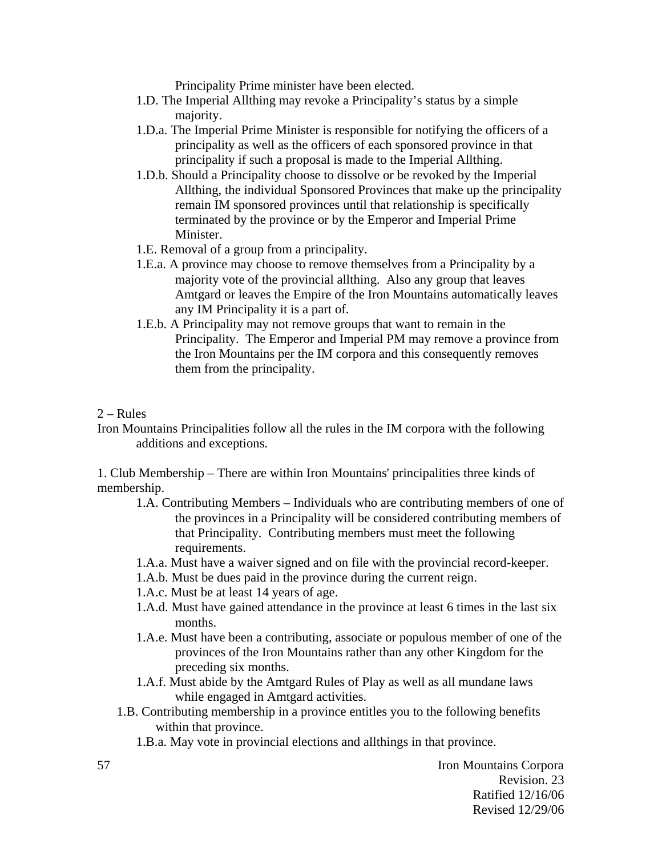Principality Prime minister have been elected.

- 1.D. The Imperial Allthing may revoke a Principality's status by a simple majority.
- 1.D.a. The Imperial Prime Minister is responsible for notifying the officers of a principality as well as the officers of each sponsored province in that principality if such a proposal is made to the Imperial Allthing.
- 1.D.b. Should a Principality choose to dissolve or be revoked by the Imperial Allthing, the individual Sponsored Provinces that make up the principality remain IM sponsored provinces until that relationship is specifically terminated by the province or by the Emperor and Imperial Prime Minister.
- 1.E. Removal of a group from a principality.
- 1.E.a. A province may choose to remove themselves from a Principality by a majority vote of the provincial allthing. Also any group that leaves Amtgard or leaves the Empire of the Iron Mountains automatically leaves any IM Principality it is a part of.
- 1.E.b. A Principality may not remove groups that want to remain in the Principality. The Emperor and Imperial PM may remove a province from the Iron Mountains per the IM corpora and this consequently removes them from the principality.

#### $2 - Rules$

Iron Mountains Principalities follow all the rules in the IM corpora with the following additions and exceptions.

1. Club Membership – There are within Iron Mountains' principalities three kinds of membership.

- 1.A. Contributing Members Individuals who are contributing members of one of the provinces in a Principality will be considered contributing members of that Principality. Contributing members must meet the following requirements.
- 1.A.a. Must have a waiver signed and on file with the provincial record-keeper.
- 1.A.b. Must be dues paid in the province during the current reign.
- 1.A.c. Must be at least 14 years of age.
- 1.A.d. Must have gained attendance in the province at least 6 times in the last six months.
- 1.A.e. Must have been a contributing, associate or populous member of one of the provinces of the Iron Mountains rather than any other Kingdom for the preceding six months.
- 1.A.f. Must abide by the Amtgard Rules of Play as well as all mundane laws while engaged in Amtgard activities.
- 1.B. Contributing membership in a province entitles you to the following benefits within that province.

1.B.a. May vote in provincial elections and allthings in that province.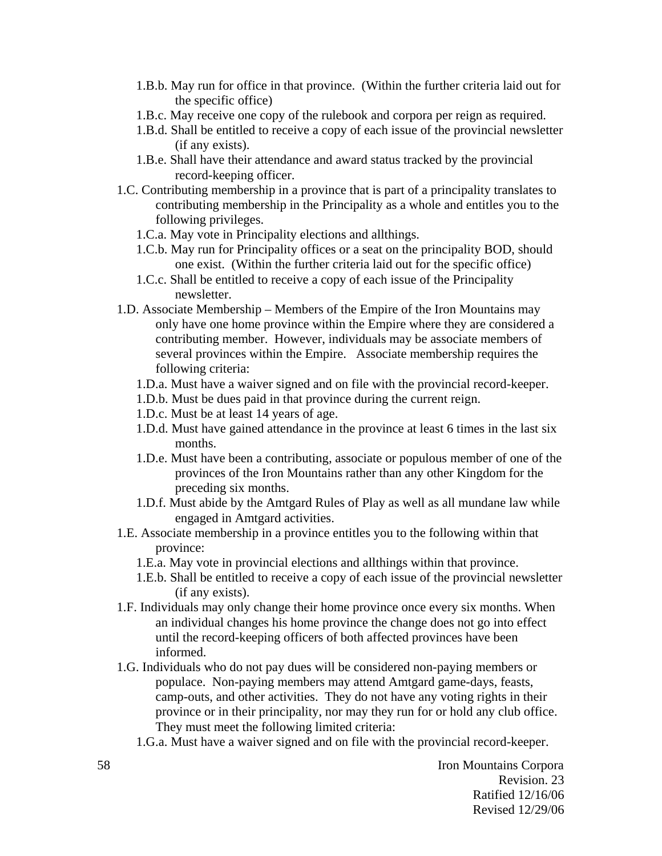- 1.B.b. May run for office in that province. (Within the further criteria laid out for the specific office)
- 1.B.c. May receive one copy of the rulebook and corpora per reign as required.
- 1.B.d. Shall be entitled to receive a copy of each issue of the provincial newsletter (if any exists).
- 1.B.e. Shall have their attendance and award status tracked by the provincial record-keeping officer.
- 1.C. Contributing membership in a province that is part of a principality translates to contributing membership in the Principality as a whole and entitles you to the following privileges.
	- 1.C.a. May vote in Principality elections and allthings.
	- 1.C.b. May run for Principality offices or a seat on the principality BOD, should one exist. (Within the further criteria laid out for the specific office)
	- 1.C.c. Shall be entitled to receive a copy of each issue of the Principality newsletter.
- 1.D. Associate Membership Members of the Empire of the Iron Mountains may only have one home province within the Empire where they are considered a contributing member. However, individuals may be associate members of several provinces within the Empire. Associate membership requires the following criteria:
	- 1.D.a. Must have a waiver signed and on file with the provincial record-keeper.
	- 1.D.b. Must be dues paid in that province during the current reign.
	- 1.D.c. Must be at least 14 years of age.
	- 1.D.d. Must have gained attendance in the province at least 6 times in the last six months.
	- 1.D.e. Must have been a contributing, associate or populous member of one of the provinces of the Iron Mountains rather than any other Kingdom for the preceding six months.
	- 1.D.f. Must abide by the Amtgard Rules of Play as well as all mundane law while engaged in Amtgard activities.
- 1.E. Associate membership in a province entitles you to the following within that province:
	- 1.E.a. May vote in provincial elections and allthings within that province.
	- 1.E.b. Shall be entitled to receive a copy of each issue of the provincial newsletter (if any exists).
- 1.F. Individuals may only change their home province once every six months. When an individual changes his home province the change does not go into effect until the record-keeping officers of both affected provinces have been informed.
- 1.G. Individuals who do not pay dues will be considered non-paying members or populace. Non-paying members may attend Amtgard game-days, feasts, camp-outs, and other activities. They do not have any voting rights in their province or in their principality, nor may they run for or hold any club office. They must meet the following limited criteria:
	- 1.G.a. Must have a waiver signed and on file with the provincial record-keeper.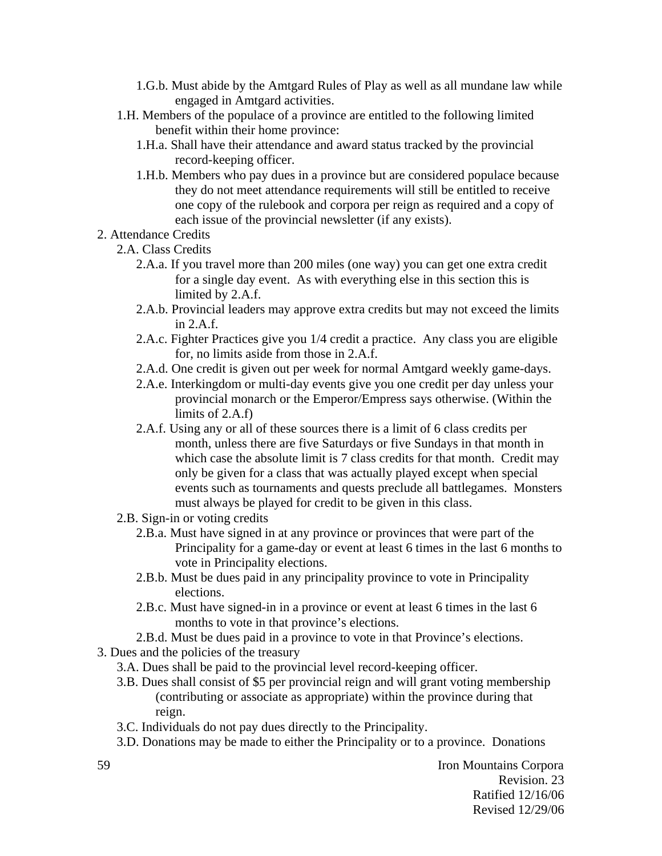- 1.G.b. Must abide by the Amtgard Rules of Play as well as all mundane law while engaged in Amtgard activities.
- 1.H. Members of the populace of a province are entitled to the following limited benefit within their home province:
	- 1.H.a. Shall have their attendance and award status tracked by the provincial record-keeping officer.
	- 1.H.b. Members who pay dues in a province but are considered populace because they do not meet attendance requirements will still be entitled to receive one copy of the rulebook and corpora per reign as required and a copy of each issue of the provincial newsletter (if any exists).
- 2. Attendance Credits
	- 2.A. Class Credits
		- 2.A.a. If you travel more than 200 miles (one way) you can get one extra credit for a single day event. As with everything else in this section this is limited by 2.A.f.
		- 2.A.b. Provincial leaders may approve extra credits but may not exceed the limits in 2.A.f.
		- 2.A.c. Fighter Practices give you 1/4 credit a practice. Any class you are eligible for, no limits aside from those in 2.A.f.
		- 2.A.d. One credit is given out per week for normal Amtgard weekly game-days.
		- 2.A.e. Interkingdom or multi-day events give you one credit per day unless your provincial monarch or the Emperor/Empress says otherwise. (Within the limits of 2.A.f)
		- 2.A.f. Using any or all of these sources there is a limit of 6 class credits per month, unless there are five Saturdays or five Sundays in that month in which case the absolute limit is 7 class credits for that month. Credit may only be given for a class that was actually played except when special events such as tournaments and quests preclude all battlegames. Monsters must always be played for credit to be given in this class.
	- 2.B. Sign-in or voting credits
		- 2.B.a. Must have signed in at any province or provinces that were part of the Principality for a game-day or event at least 6 times in the last 6 months to vote in Principality elections.
		- 2.B.b. Must be dues paid in any principality province to vote in Principality elections.
		- 2.B.c. Must have signed-in in a province or event at least 6 times in the last 6 months to vote in that province's elections.
		- 2.B.d. Must be dues paid in a province to vote in that Province's elections.
- 3. Dues and the policies of the treasury
	- 3.A. Dues shall be paid to the provincial level record-keeping officer.
	- 3.B. Dues shall consist of \$5 per provincial reign and will grant voting membership (contributing or associate as appropriate) within the province during that reign.
	- 3.C. Individuals do not pay dues directly to the Principality.
	- 3.D. Donations may be made to either the Principality or to a province. Donations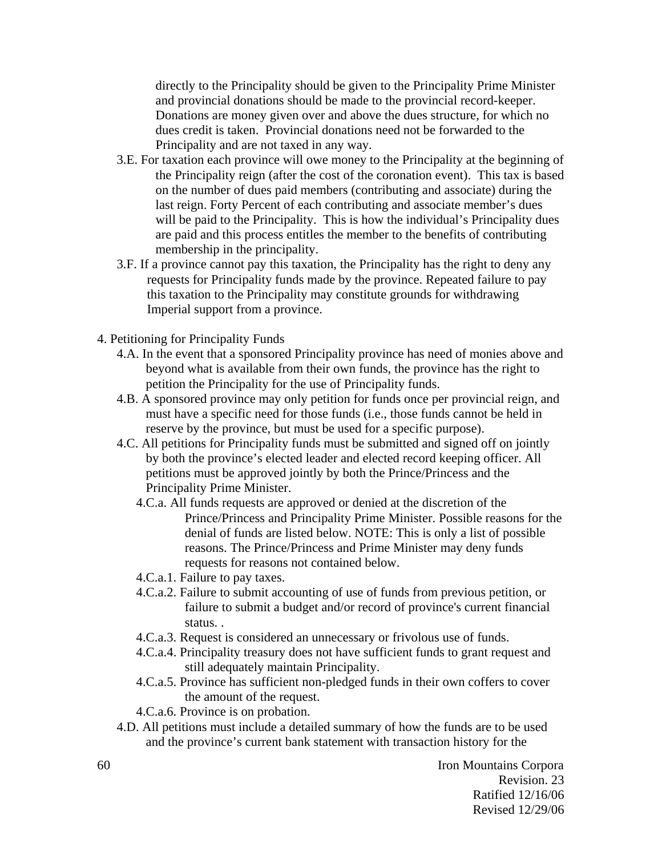directly to the Principality should be given to the Principality Prime Minister and provincial donations should be made to the provincial record-keeper. Donations are money given over and above the dues structure, for which no dues credit is taken. Provincial donations need not be forwarded to the Principality and are not taxed in any way.

- 3.E. For taxation each province will owe money to the Principality at the beginning of the Principality reign (after the cost of the coronation event). This tax is based on the number of dues paid members (contributing and associate) during the last reign. Forty Percent of each contributing and associate member's dues will be paid to the Principality. This is how the individual's Principality dues are paid and this process entitles the member to the benefits of contributing membership in the principality.
- 3.F. If a province cannot pay this taxation, the Principality has the right to deny any requests for Principality funds made by the province. Repeated failure to pay this taxation to the Principality may constitute grounds for withdrawing Imperial support from a province.
- 4. Petitioning for Principality Funds
	- 4.A. In the event that a sponsored Principality province has need of monies above and beyond what is available from their own funds, the province has the right to petition the Principality for the use of Principality funds.
	- 4.B. A sponsored province may only petition for funds once per provincial reign, and must have a specific need for those funds (i.e., those funds cannot be held in reserve by the province, but must be used for a specific purpose).
	- 4.C. All petitions for Principality funds must be submitted and signed off on jointly by both the province's elected leader and elected record keeping officer. All petitions must be approved jointly by both the Prince/Princess and the Principality Prime Minister.
		- 4.C.a. All funds requests are approved or denied at the discretion of the Prince/Princess and Principality Prime Minister. Possible reasons for the denial of funds are listed below. NOTE: This is only a list of possible reasons. The Prince/Princess and Prime Minister may deny funds requests for reasons not contained below.
		- 4.C.a.1. Failure to pay taxes.
		- 4.C.a.2. Failure to submit accounting of use of funds from previous petition, or failure to submit a budget and/or record of province's current financial status. .
		- 4.C.a.3. Request is considered an unnecessary or frivolous use of funds.
		- 4.C.a.4. Principality treasury does not have sufficient funds to grant request and still adequately maintain Principality.
		- 4.C.a.5. Province has sufficient non-pledged funds in their own coffers to cover the amount of the request.
		- 4.C.a.6. Province is on probation.
	- 4.D. All petitions must include a detailed summary of how the funds are to be used and the province's current bank statement with transaction history for the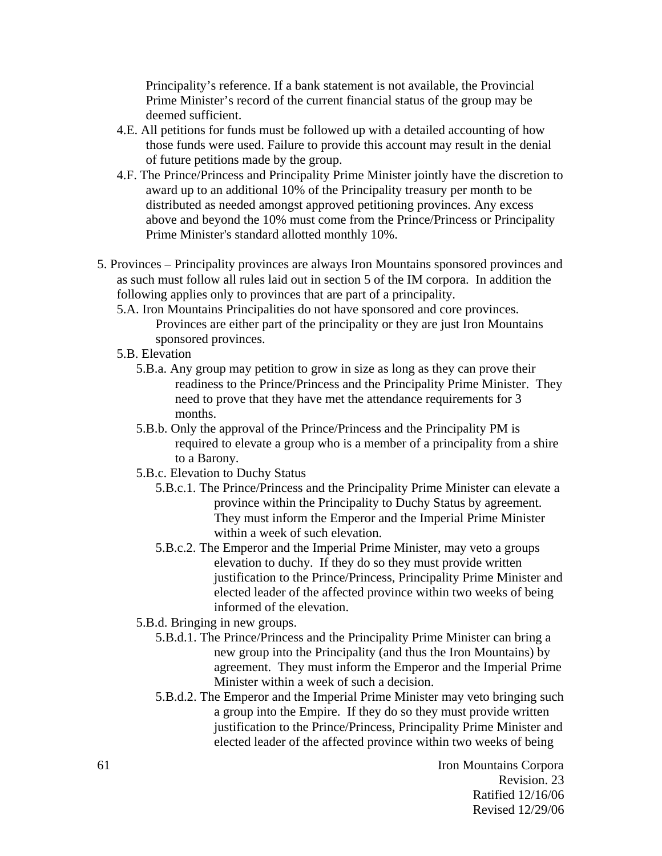Principality's reference. If a bank statement is not available, the Provincial Prime Minister's record of the current financial status of the group may be deemed sufficient.

- 4.E. All petitions for funds must be followed up with a detailed accounting of how those funds were used. Failure to provide this account may result in the denial of future petitions made by the group.
- 4.F. The Prince/Princess and Principality Prime Minister jointly have the discretion to award up to an additional 10% of the Principality treasury per month to be distributed as needed amongst approved petitioning provinces. Any excess above and beyond the 10% must come from the Prince/Princess or Principality Prime Minister's standard allotted monthly 10%.
- 5. Provinces Principality provinces are always Iron Mountains sponsored provinces and as such must follow all rules laid out in section 5 of the IM corpora. In addition the following applies only to provinces that are part of a principality.
	- 5.A. Iron Mountains Principalities do not have sponsored and core provinces. Provinces are either part of the principality or they are just Iron Mountains sponsored provinces.
	- 5.B. Elevation
		- 5.B.a. Any group may petition to grow in size as long as they can prove their readiness to the Prince/Princess and the Principality Prime Minister. They need to prove that they have met the attendance requirements for 3 months.
		- 5.B.b. Only the approval of the Prince/Princess and the Principality PM is required to elevate a group who is a member of a principality from a shire to a Barony.
		- 5.B.c. Elevation to Duchy Status
			- 5.B.c.1. The Prince/Princess and the Principality Prime Minister can elevate a province within the Principality to Duchy Status by agreement. They must inform the Emperor and the Imperial Prime Minister within a week of such elevation.
			- 5.B.c.2. The Emperor and the Imperial Prime Minister, may veto a groups elevation to duchy. If they do so they must provide written justification to the Prince/Princess, Principality Prime Minister and elected leader of the affected province within two weeks of being informed of the elevation.
		- 5.B.d. Bringing in new groups.
			- 5.B.d.1. The Prince/Princess and the Principality Prime Minister can bring a new group into the Principality (and thus the Iron Mountains) by agreement. They must inform the Emperor and the Imperial Prime Minister within a week of such a decision.
			- 5.B.d.2. The Emperor and the Imperial Prime Minister may veto bringing such a group into the Empire. If they do so they must provide written justification to the Prince/Princess, Principality Prime Minister and elected leader of the affected province within two weeks of being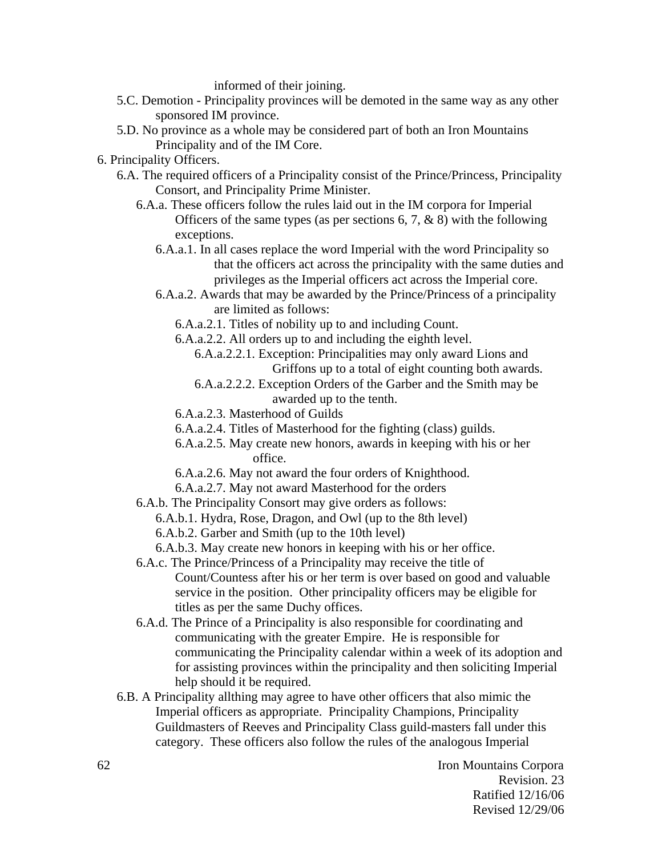informed of their joining.

- 5.C. Demotion Principality provinces will be demoted in the same way as any other sponsored IM province.
- 5.D. No province as a whole may be considered part of both an Iron Mountains Principality and of the IM Core.
- 6. Principality Officers.
	- 6.A. The required officers of a Principality consist of the Prince/Princess, Principality Consort, and Principality Prime Minister.
		- 6.A.a. These officers follow the rules laid out in the IM corpora for Imperial Officers of the same types (as per sections  $6, 7, \& 8$ ) with the following exceptions.
			- 6.A.a.1. In all cases replace the word Imperial with the word Principality so that the officers act across the principality with the same duties and privileges as the Imperial officers act across the Imperial core.
			- 6.A.a.2. Awards that may be awarded by the Prince/Princess of a principality are limited as follows:
				- 6.A.a.2.1. Titles of nobility up to and including Count.
				- 6.A.a.2.2. All orders up to and including the eighth level.
					- 6.A.a.2.2.1. Exception: Principalities may only award Lions and Griffons up to a total of eight counting both awards.
					- 6.A.a.2.2.2. Exception Orders of the Garber and the Smith may be awarded up to the tenth.
				- 6.A.a.2.3. Masterhood of Guilds
				- 6.A.a.2.4. Titles of Masterhood for the fighting (class) guilds.
				- 6.A.a.2.5. May create new honors, awards in keeping with his or her office.
				- 6.A.a.2.6. May not award the four orders of Knighthood.
				- 6.A.a.2.7. May not award Masterhood for the orders
		- 6.A.b. The Principality Consort may give orders as follows:
			- 6.A.b.1. Hydra, Rose, Dragon, and Owl (up to the 8th level)
			- 6.A.b.2. Garber and Smith (up to the 10th level)
			- 6.A.b.3. May create new honors in keeping with his or her office.
		- 6.A.c. The Prince/Princess of a Principality may receive the title of Count/Countess after his or her term is over based on good and valuable service in the position. Other principality officers may be eligible for titles as per the same Duchy offices.
		- 6.A.d. The Prince of a Principality is also responsible for coordinating and communicating with the greater Empire. He is responsible for communicating the Principality calendar within a week of its adoption and for assisting provinces within the principality and then soliciting Imperial help should it be required.
	- 6.B. A Principality allthing may agree to have other officers that also mimic the Imperial officers as appropriate. Principality Champions, Principality Guildmasters of Reeves and Principality Class guild-masters fall under this category. These officers also follow the rules of the analogous Imperial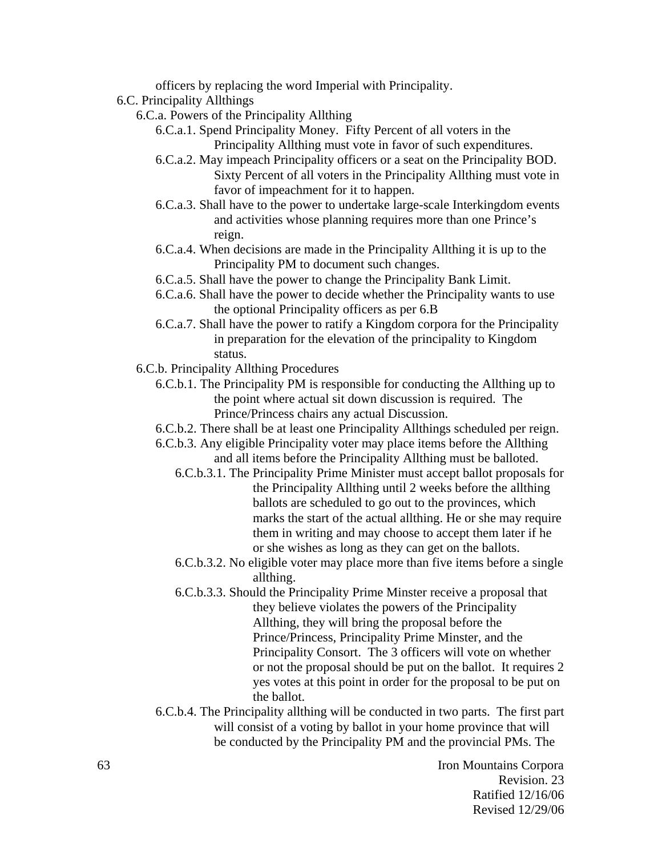officers by replacing the word Imperial with Principality.

- 6.C. Principality Allthings
	- 6.C.a. Powers of the Principality Allthing
		- 6.C.a.1. Spend Principality Money. Fifty Percent of all voters in the Principality Allthing must vote in favor of such expenditures.
		- 6.C.a.2. May impeach Principality officers or a seat on the Principality BOD. Sixty Percent of all voters in the Principality Allthing must vote in favor of impeachment for it to happen.
		- 6.C.a.3. Shall have to the power to undertake large-scale Interkingdom events and activities whose planning requires more than one Prince's reign.
		- 6.C.a.4. When decisions are made in the Principality Allthing it is up to the Principality PM to document such changes.
		- 6.C.a.5. Shall have the power to change the Principality Bank Limit.
		- 6.C.a.6. Shall have the power to decide whether the Principality wants to use the optional Principality officers as per 6.B
		- 6.C.a.7. Shall have the power to ratify a Kingdom corpora for the Principality in preparation for the elevation of the principality to Kingdom status.
	- 6.C.b. Principality Allthing Procedures
		- 6.C.b.1. The Principality PM is responsible for conducting the Allthing up to the point where actual sit down discussion is required. The Prince/Princess chairs any actual Discussion.
		- 6.C.b.2. There shall be at least one Principality Allthings scheduled per reign.
		- 6.C.b.3. Any eligible Principality voter may place items before the Allthing
			- and all items before the Principality Allthing must be balloted. 6.C.b.3.1. The Principality Prime Minister must accept ballot proposals for
			- the Principality Allthing until 2 weeks before the allthing ballots are scheduled to go out to the provinces, which marks the start of the actual allthing. He or she may require them in writing and may choose to accept them later if he or she wishes as long as they can get on the ballots.
			- 6.C.b.3.2. No eligible voter may place more than five items before a single allthing.
			- 6.C.b.3.3. Should the Principality Prime Minster receive a proposal that they believe violates the powers of the Principality Allthing, they will bring the proposal before the Prince/Princess, Principality Prime Minster, and the Principality Consort. The 3 officers will vote on whether or not the proposal should be put on the ballot. It requires 2 yes votes at this point in order for the proposal to be put on the ballot.
		- 6.C.b.4. The Principality allthing will be conducted in two parts. The first part will consist of a voting by ballot in your home province that will be conducted by the Principality PM and the provincial PMs. The